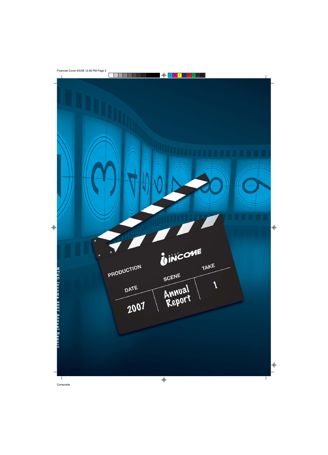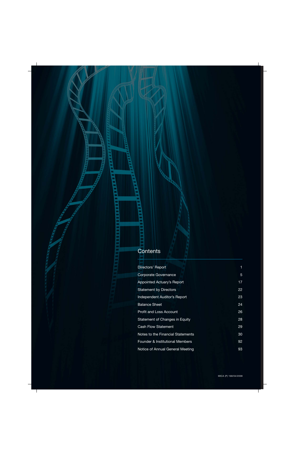## **Contents**

**Northern College Property College Property** 

| Directors' Report                          | 1  |
|--------------------------------------------|----|
| Corporate Governance                       | 5  |
| Appointed Actuary's Report                 | 17 |
| <b>Statement by Directors</b>              | 22 |
| Independent Auditor's Report               | 23 |
| <b>Balance Sheet</b>                       | 24 |
| <b>Profit and Loss Account</b>             | 26 |
| Statement of Changes in Equity             | 28 |
| <b>Cash Flow Statement</b>                 | 29 |
| Notes to the Financial Statements          | 30 |
| <b>Founder &amp; Institutional Members</b> | 92 |
| Notice of Annual General Meeting           | 93 |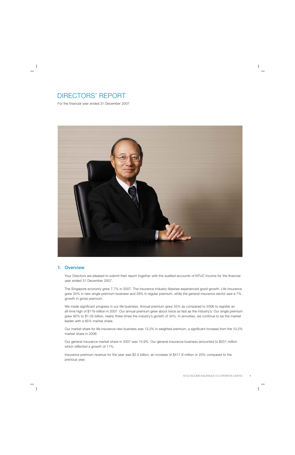For the financial year ended 31 December 2007



### **1. Overview**

Your Directors are pleased to submit their report together with the audited accounts of NTUC Income for the financial year ended 31 December 2007.

The Singapore economy grew 7.7% in 2007. The insurance industry likewise experienced good growth. Life insurance grew 34% in new single premium business and 28% in regular premium, while the general insurance sector saw a 7% growth in gross premium.

We made significant progress in our life business. Annual premium grew 55% as compared to 2006 to register an all-time high of \$119 million in 2007. Our annual premium grew about twice as fast as the industry's. Our single premium grew 92% to \$1.05 billion, nearly three times the industry's growth of 34%. In annuities, we continue to be the market leader with a 65% market share.

Our market share for life insurance new business was 13.3% in weighted premium, a significant increase from the 10.2% market share in 2006.

Our general insurance market share in 2007 was 10.9%. Our general insurance business amounted to \$251 million which reflected a growth of 11%.

Insurance premium revenue for the year was \$2.5 billion, an increase of \$417.9 million or 20% compared to the previous year.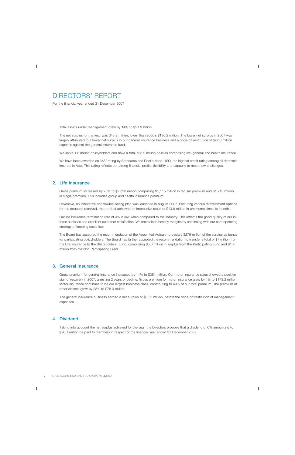For the financial year ended 31 December 2007

Total assets under management grew by 14% to \$21.3 billion.

The net surplus for the year was \$48.2 million, lower than 2006's \$196.2 million. The lower net surplus in 2007 was largely attributed to a lower net surplus in our general insurance business and a once-off restitution of \$72.3 million expense against the general insurance fund.

We serve 1.8 million policyholders and have a total of 3.2 million policies comprising life, general and health insurance.

 We have been awarded an "AA" rating by Standards and Poor's since 1999, the highest credit rating among all domestic insurers in Asia. This rating reflects our strong financial profile, flexibility and capacity to meet new challenges.

### **2. Life Insurance**

Gross premium increased by 23% to \$2,328 million comprising \$1,115 million in regular premium and \$1,213 million in single premium. This includes group and health insurance premium.

Revosave, an innovative and flexible saving plan was launched in August 2007. Featuring various reinvestment options for the coupons received, the product achieved an impressive result of \$13.8 million in premiums since its launch.

Our life insurance termination rate of 4% is low when compared to the industry. This reflects the good quality of our inforce business and excellent customer satisfaction. We maintained healthy margins by continuing with our core operating strategy of keeping costs low.

The Board has accepted the recommendation of the Appointed Actuary to declare \$279 million of the surplus as bonus for participating policyholders. The Board has further accepted the recommendation to transfer a total of \$7 million from the Life Insurance to the Shareholders' Fund, comprising \$5.6 million in surplus from the Participating Fund and \$1.4 million from the Non Participating Fund.

### **3. General Insurance**

Gross premium for general insurance increased by 11% to \$251 million. Our motor insurance sales showed a positive sign of recovery in 2007, arresting 2 years of decline. Gross premium for motor insurance grew by 4% to \$173.2 million. Motor insurance continues to be our largest business class, contributing to 69% of our total premium. The premium of other classes grew by 28% to \$78.0 million.

The general insurance business earned a net surplus of \$66.2 million, before the once-off restitution of management expenses.

### **4. Dividend**

Taking into account the net surplus achieved for the year, the Directors propose that a dividend of 6% amounting to \$26.1 million be paid to members in respect of the financial year ended 31 December 2007.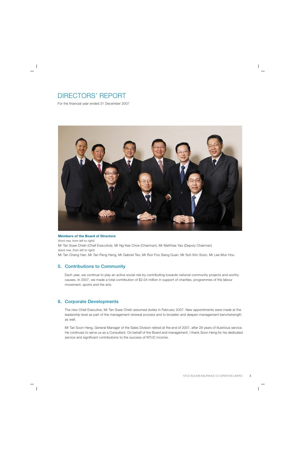For the financial year ended 31 December 2007



#### **Members of the Board of Directors**

*(front row, from left to right)* Mr Tan Suee Chieh (Chief Executive), Mr Ng Kee Choe (Chairman), Mr Matthias Yao (Deputy Chairman) *(back row, from left to right)* Mr Tan Cheng Han, Mr Tan Peng Heng, Mr Gabriel Teo, Mr Ron Foo Siang Guan, Mr Soh Kim Soon, Mr Lee Mun Hou

### **5. Contributions to Community**

Each year, we continue to play an active social role by contributing towards national community projects and worthy causes. In 2007, we made a total contribution of \$2.04 million in support of charities, programmes of the labour movement, sports and the arts.

### **6. Corporate Developments**

The new Chief Executive, Mr Tan Suee Chieh assumed duties in February 2007. New appointments were made at the leadership level as part of the management renewal process and to broaden and deepen management benchstrength as well.

Mr Tan Soon Heng, General Manager of the Sales Division retired at the end of 2007, after 29 years of illustrious service. He continues to serve us as a Consultant. On behalf of the Board and management, I thank Soon Heng for his dedicated service and significant contributions to the success of NTUC Income.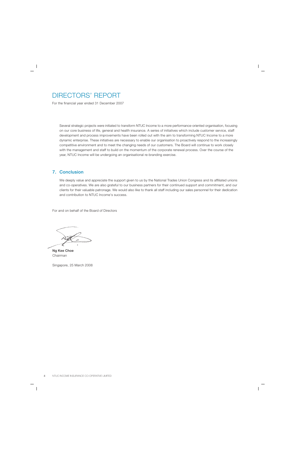For the financial year ended 31 December 2007

Several strategic projects were initiated to transform NTUC Income to a more performance-oriented organisation, focusing on our core business of life, general and health insurance. A series of initiatives which include customer service, staff development and process improvements have been rolled out with the aim to transforming NTUC Income to a more dynamic enterprise. These initiatives are necessary to enable our organisation to proactively respond to the increasingly competitive environment and to meet the changing needs of our customers. The Board will continue to work closely with the management and staff to build on the momentum of the corporate renewal process. Over the course of the year, NTUC Income will be undergoing an organisational re-branding exercise.

### **7. Conclusion**

We deeply value and appreciate the support given to us by the National Trades Union Congress and its affiliated unions and co-operatives. We are also grateful to our business partners for their continued support and commitment, and our clients for their valuable patronage. We would also like to thank all staff including our sales personnel for their dedication and contribution to NTUC Income's success.

For and on behalf of the Board of Directors

**Ng Kee Choe** Chairman

Singapore, 25 March 2008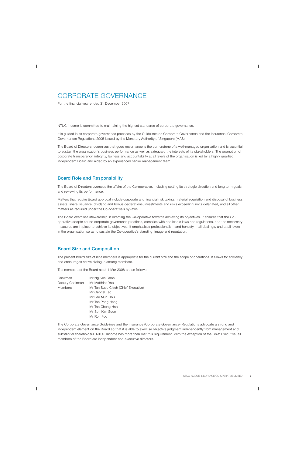For the financial year ended 31 December 2007

NTUC Income is committed to maintaining the highest standards of corporate governance.

It is guided in its corporate governance practices by the Guidelines on Corporate Governance and the Insurance (Corporate Governance) Regulations 2005 issued by the Monetary Authority of Singapore (MAS).

The Board of Directors recognises that good governance is the cornerstone of a well-managed organisation and is essential to sustain the organisation's business performance as well as safeguard the interests of its stakeholders. The promotion of corporate transparency, integrity, fairness and accountability at all levels of the organisation is led by a highly qualified independent Board and aided by an experienced senior management team.

## **Board Role and Responsibility**

The Board of Directors oversees the affairs of the Co-operative, including setting its strategic direction and long term goals, and reviewing its performance.

Matters that require Board approval include corporate and financial risk taking, material acquisition and disposal of business assets, share issuance, dividend and bonus declarations, investments and risks exceeding limits delegated, and all other matters as required under the Co-operative's by-laws.

The Board exercises stewardship in directing the Co-operative towards achieving its objectives. It ensures that the Cooperative adopts sound corporate governance practices, complies with applicable laws and regulations, and the necessary measures are in place to achieve its objectives. It emphasises professionalism and honesty in all dealings, and at all levels in the organisation so as to sustain the Co-operative's standing, image and reputation.

## **Board Size and Composition**

The present board size of nine members is appropriate for the current size and the scope of operations. It allows for efficiency and encourages active dialogue among members.

The members of the Board as at 1 Mar 2008 are as follows:

| Chairman        | Mr Ng Kee Choe                      |
|-----------------|-------------------------------------|
| Deputy Chairman | Mr Matthias Yao                     |
| <b>Members</b>  | Mr Tan Suee Chieh (Chief Executive) |
|                 | Mr Gabriel Teo                      |
|                 | Mr Lee Mun Hou                      |
|                 | Mr Tan Peng Heng                    |
|                 | Mr Tan Cheng Han                    |
|                 | Mr Soh Kim Soon                     |
|                 | Mr Ron Foo                          |
|                 |                                     |

The Corporate Governance Guidelines and the Insurance (Corporate Governance) Regulations advocate a strong and independent element on the Board so that it is able to exercise objective judgment independently from management and substantial shareholders. NTUC Income has more than met this requirement. With the exception of the Chief Executive, all members of the Board are independent non-executive directors.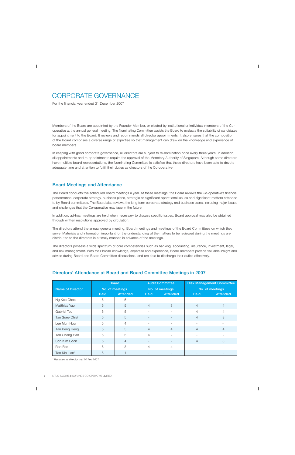For the financial year ended 31 December 2007

Members of the Board are appointed by the Founder Member, or elected by institutional or individual members of the Cooperative at the annual general meeting. The Nominating Committee assists the Board to evaluate the suitability of candidates for appointment to the Board. It reviews and recommends all director appointments. It also ensures that the composition of the Board comprises a diverse range of expertise so that management can draw on the knowledge and experience of board members.

In keeping with good corporate governance, all directors are subject to re-nomination once every three years. In addition, all appointments and re-appointments require the approval of the Monetary Authority of Singapore. Although some directors have multiple board representations, the Nominating Committee is satisfied that these directors have been able to devote adequate time and attention to fulfill their duties as directors of the Co-operative.

## **Board Meetings and Attendance**

The Board conducts five scheduled board meetings a year. At these meetings, the Board reviews the Co-operative's financial performance, corporate strategy, business plans, strategic or significant operational issues and significant matters attended to by Board committees. The Board also reviews the long term corporate strategy and business plans, including major issues and challenges that the Co-operative may face in the future.

In addition, ad-hoc meetings are held when necessary to discuss specific issues. Board approval may also be obtained through written resolutions approved by circulation.

The directors attend the annual general meeting, Board meetings and meetings of the Board Committees on which they serve. Materials and information important for the understanding of the matters to be reviewed during the meetings are distributed to the directors in a timely manner, in advance of the meetings.

The directors possess a wide spectrum of core competencies such as banking, accounting, insurance, investment, legal, and risk management. With their broad knowledge, expertise and experience, Board members provide valuable insight and advice during Board and Board Committee discussions, and are able to discharge their duties effectively.

|                  | <b>Board</b>    |                 | <b>Audit Committee</b> |                 | <b>Risk Management Committee</b> |                 |
|------------------|-----------------|-----------------|------------------------|-----------------|----------------------------------|-----------------|
| Name of Director | No. of meetings |                 | No. of meetings        |                 | No. of meetings                  |                 |
|                  | <b>Held</b>     | <b>Attended</b> | <b>Held</b>            | <b>Attended</b> | <b>Held</b>                      | <b>Attended</b> |
| Ng Kee Choe      | 5               | 5               |                        |                 |                                  |                 |
| Matthias Yao     | 5               | 5               | 4                      | 3               | $\overline{4}$                   | 4               |
| Gabriel Teo      | 5               | 5               |                        |                 | $\overline{4}$                   | 4               |
| Tan Suee Chieh   | 5               | 5               |                        |                 | $\overline{4}$                   | 3               |
| Lee Mun Hou      | 5               | $\overline{4}$  |                        |                 | $\overline{\phantom{a}}$         |                 |
| Tan Peng Heng    | 5               | 5               | 4                      | 4               | $\overline{4}$                   | 4               |
| Tan Cheng Han    | 5               | 5               | 4                      | $\overline{2}$  | $\overline{\phantom{a}}$         |                 |
| Soh Kim Soon     | 5               | $\overline{4}$  |                        |                 | $\overline{4}$                   | 3               |
| Ron Foo          | 5               | 3               | 4                      | 4               | $\overline{\phantom{a}}$         |                 |
| Tan Kin Lian*    | 5               |                 |                        |                 |                                  |                 |

## **Directors' Attendance at Board and Board Committee Meetings in 2007**

*\* Resigned as director wef 20 Feb 2007*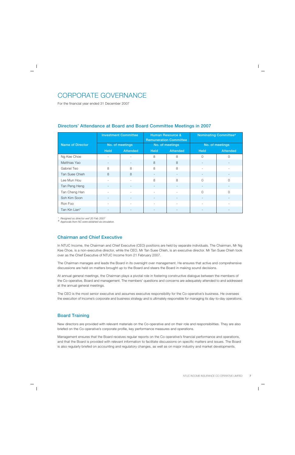For the financial year ended 31 December 2007

|                         | <b>Investment Committee</b> |                          | <b>Human Resource &amp;</b><br><b>Remuneration Committee</b> |                 | <b>Nominating Committee®</b> |                 |
|-------------------------|-----------------------------|--------------------------|--------------------------------------------------------------|-----------------|------------------------------|-----------------|
| <b>Name of Director</b> | No. of meetings             |                          |                                                              | No. of meetings |                              | No. of meetings |
|                         | <b>Held</b>                 | <b>Attended</b>          | <b>Held</b>                                                  | <b>Attended</b> | <b>Held</b>                  | <b>Attended</b> |
| Ng Kee Choe             |                             |                          | 8                                                            | 8               | $\overline{0}$               |                 |
| Matthias Yao            | $\overline{\phantom{a}}$    | $\overline{\phantom{a}}$ | 8                                                            | 8               | $\overline{\phantom{a}}$     |                 |
| Gabriel Teo             | 8                           | 8                        | 8                                                            | 8               | $\overline{\phantom{a}}$     |                 |
| Tan Suee Chieh          | 8                           | 8                        |                                                              |                 | $\overline{\phantom{a}}$     |                 |
| Lee Mun Hou             | $\overline{\phantom{0}}$    |                          | 8                                                            | 8               | $\Omega$                     | O               |
| Tan Peng Heng           |                             |                          |                                                              |                 |                              |                 |
| Tan Cheng Han           |                             |                          |                                                              |                 | $\Omega$                     | $\Omega$        |
| Soh Kim Soon            | $\overline{\phantom{a}}$    |                          |                                                              |                 | $\overline{\phantom{a}}$     |                 |
| Ron Foo                 |                             |                          |                                                              |                 |                              |                 |
| Tan Kin Lian*           |                             |                          |                                                              |                 |                              |                 |

## **Directors' Attendance at Board and Board Committee Meetings in 2007**

*\* Resigned as director wef 20 Feb 2007*

*@ Approvals from NC were obtained via circulation.*

## **Chairman and Chief Executive**

In NTUC Income, the Chairman and Chief Executive (CEO) positions are held by separate individuals. The Chairman, Mr Ng Kee Choe, is a non-executive director, while the CEO, Mr Tan Suee Chieh, is an executive director. Mr Tan Suee Chieh took over as the Chief Executive of NTUC Income from 21 February 2007.

The Chairman manages and leads the Board in its oversight over management. He ensures that active and comprehensive discussions are held on matters brought up to the Board and steers the Board in making sound decisions.

At annual general meetings, the Chairman plays a pivotal role in fostering constructive dialogue between the members of the Co-operative, Board and management. The members' questions and concerns are adequately attended to and addressed at the annual general meetings.

The CEO is the most senior executive and assumes executive responsibility for the Co-operative's business. He oversees the execution of Income's corporate and business strategy and is ultimately responsible for managing its day-to-day operations.

## **Board Training**

New directors are provided with relevant materials on the Co-operative and on their role and responsibilities. They are also briefed on the Co-operative's corporate profile, key performance measures and operations.

Management ensures that the Board receives regular reports on the Co-operative's financial performance and operations, and that the Board is provided with relevant information to facilitate discussions on specific matters and issues. The Board is also regularly briefed on accounting and regulatory changes, as well as on major industry and market developments.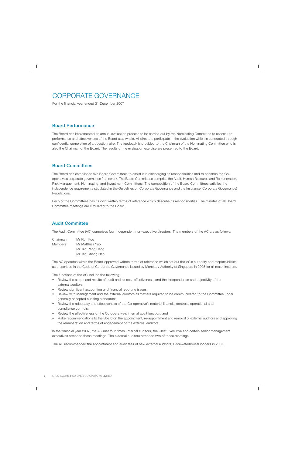For the financial year ended 31 December 2007

### **Board Performance**

The Board has implemented an annual evaluation process to be carried out by the Nominating Committee to assess the performance and effectiveness of the Board as a whole. All directors participate in the evaluation which is conducted through confidential completion of a questionnaire. The feedback is provided to the Chairman of the Nominating Committee who is also the Chairman of the Board. The results of the evaluation exercise are presented to the Board.

### **Board Committees**

The Board has established five Board Committees to assist it in discharging its responsibilities and to enhance the Cooperative's corporate governance framework. The Board Committees comprise the Audit, Human Resource and Remuneration, Risk Management, Nominating, and Investment Committees. The composition of the Board Committees satisfies the independence requirements stipulated in the Guidelines on Corporate Governance and the Insurance (Corporate Governance) Regulations.

Each of the Committees has its own written terms of reference which describe its responsibilities. The minutes of all Board Committee meetings are circulated to the Board.

### **Audit Committee**

The Audit Committee (AC) comprises four independent non-executive directors. The members of the AC are as follows:

Chairman Mr Ron Foo Members Mr Matthias Yao Mr Tan Peng Heng Mr Tan Cheng Han

The AC operates within the Board-approved written terms of reference which set out the AC's authority and responsibilities as prescribed in the Code of Corporate Governance issued by Monetary Authority of Singapore in 2005 for all major insurers.

The functions of the AC include the following:

- Review the scope and results of audit and its cost-effectiveness, and the independence and objectivity of the external auditors;
- Review significant accounting and financial reporting issues;
- Review with Management and the external auditors all matters required to be communicated to the Committee under generally accepted auditing standards;
- Review the adequacy and effectiveness of the Co-operative's material financial controls, operational and compliance controls;
- Review the effectiveness of the Co-operative's internal audit function; and
- Make recommendations to the Board on the appointment, re-appointment and removal of external auditors and approving the remuneration and terms of engagement of the external auditors.

In the financial year 2007, the AC met four times. Internal auditors, the Chief Executive and certain senior management executives attended these meetings. The external auditors attended two of these meetings.

The AC recommended the appointment and audit fees of new external auditors, PricewaterhouseCoopers in 2007.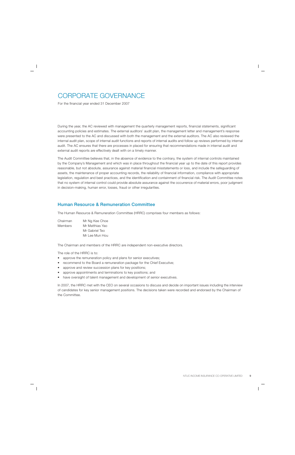For the financial year ended 31 December 2007

During the year, the AC reviewed with management the quarterly management reports, financial statements, significant accounting policies and estimates. The external auditors' audit plan, the management letter and management's response were presented to the AC and discussed with both the management and the external auditors. The AC also reviewed the internal audit plan, scope of internal audit functions and reports of internal audits and follow up reviews performed by internal audit. The AC ensures that there are processes in placed for ensuring that recommendations made in internal audit and external audit reports are effectively dealt with on a timely manner.

The Audit Committee believes that, in the absence of evidence to the contrary, the system of internal controls maintained by the Company's Management and which was in place throughout the financial year up to the date of this report provides reasonable, but not absolute, assurance against material financial misstatements or loss, and include the safeguarding of assets, the maintenance of proper accounting records, the reliability of financial information, compliance with appropriate legislation, regulation and best practices, and the identification and containment of financial risk. The Audit Committee notes that no system of internal control could provide absolute assurance against the occurrence of material errors, poor judgment in decision-making, human error, losses, fraud or other irregularities.

### **Human Resource & Remuneration Committee**

The Human Resource & Remuneration Committee (HRRC) comprises four members as follows:

| Chairman       | Mr Ng Kee Choe  |
|----------------|-----------------|
| <b>Members</b> | Mr Matthias Yao |
|                | Mr Gabriel Teo  |
|                | Mr Lee Mun Hou  |

The Chairman and members of the HRRC are independent non-executive directors.

The role of the HRRC is to:

- approve the remuneration policy and plans for senior executives;
- recommend to the Board a remuneration package for the Chief Executive;
- approve and review succession plans for key positions;
- approve appointments and terminations to key positions; and
- have oversight of talent management and development of senior executives.

In 2007, the HRRC met with the CEO on several occasions to discuss and decide on important issues including the interview of candidates for key senior management positions. The decisions taken were recorded and endorsed by the Chairman of the Committee.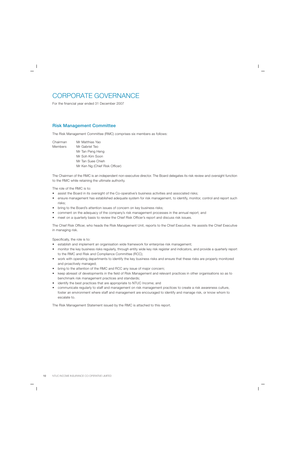For the financial year ended 31 December 2007

## **Risk Management Committee**

The Risk Management Committee (RMC) comprises six members as follows:

Chairman Mr Matthias Yao Members Mr Gabriel Teo Mr Tan Peng Heng Mr Soh Kim Soon Mr Tan Suee Chieh Mr Ken Ng (Chief Risk Officer)

The Chairman of the RMC is an independent non-executive director. The Board delegates its risk review and oversight function to the RMC while retaining the ultimate authority.

The role of the RMC is to:

- assist the Board in its oversight of the Co-operative's business activities and associated risks;
- ensure management has established adequate system for risk management, to identify, monitor, control and report such risks;
- bring to the Board's attention issues of concern on key business risks;
- comment on the adequacy of the company's risk management processes in the annual report; and
- meet on a quarterly basis to review the Chief Risk Officer's report and discuss risk issues.

The Chief Risk Officer, who heads the Risk Management Unit, reports to the Chief Executive. He assists the Chief Executive in managing risk.

Specifically, the role is to:

- establish and implement an organisation wide framework for enterprise risk management;
- monitor the key business risks regularly, through entity wide key risk register and indicators, and provide a quarterly report to the RMC and Risk and Compliance Committee (RCC);
- work with operating departments to identify the key business risks and ensure that these risks are properly monitored and proactively managed;
- bring to the attention of the RMC and RCC any issue of major concern;
- keep abreast of developments in the field of Risk Management and relevant practices in other organisations so as to benchmark risk management practices and standards;
- identify the best practices that are appropriate to NTUC Income; and
- communicate regularly to staff and management on risk management practices to create a risk awareness culture, foster an environment where staff and management are encouraged to identify and manage risk, or know whom to escalate to.

The Risk Management Statement issued by the RMC is attached to this report.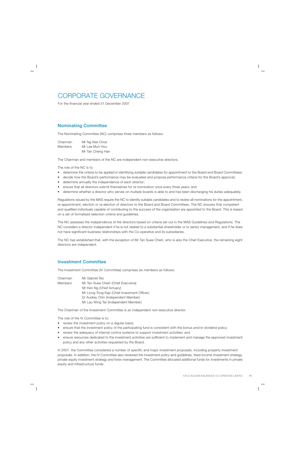For the financial year ended 31 December 2007

## **Nominating Committee**

The Nominating Committee (NC) comprises three members as follows:

| Chairman       | Mr Ng Kee Choe   |
|----------------|------------------|
| <b>Members</b> | Mr Lee Mun Hou   |
|                | Mr Tan Cheng Han |

The Chairman and members of the NC are independent non-executive directors.

The role of the NC is to:

- determine the criteria to be applied in identifying suitable candidates for appointment to the Board and Board Committees;
- decide how the Board's performance may be evaluated and propose performance criteria for the Board's approval;
- determine annually the independence of each director;
- ensure that all directors submit themselves for re-nomination once every three years; and
- determine whether a director who serves on multiple boards is able to and has been discharging his duties adequately.

Regulations issued by the MAS require the NC to identify suitable candidates and to review all nominations for the appointment, re-appointment, election or re-election of directors to the Board and Board Committees. The NC ensures that competent and qualified individuals capable of contributing to the success of the organisation are appointed to the Board. This is based on a set of formalised selection criteria and guidelines.

The NC assesses the independence of the directors based on criteria set out in the MAS Guidelines and Regulations. The NC considers a director independent if he is not related to a substantial shareholder or to senior management, and if he does not have significant business relationships with the Co-operative and its subsidiaries.

The NC has established that, with the exception of Mr Tan Suee Chieh, who is also the Chief Executive, the remaining eight directors are independent.

### **Investment Committee**

The Investment Committee (IV Committee) comprises six members as follows:

| Chairman       | Mr Gabriel Teo                               |
|----------------|----------------------------------------------|
| <b>Members</b> | Mr Tan Suee Chieh (Chief Executive)          |
|                | Mr Ken Ng (Chief Actuary)                    |
|                | Mr Liong Tong Kap (Chief Investment Officer) |
|                | Dr Audrey Chin (Independent Member)          |
|                | Mr Lau Wing Tat (Independent Member)         |

The Chairman of the Investment Committee is an independent non-executive director.

The role of the IV Committee is to:

- review the investment policy on a regular basis;
- ensure that the investment policy of the participating fund is consistent with the bonus and/or dividend policy;
- review the adequacy of internal control systems to support investment activities; and
- ensure resources dedicated to the investment activities are sufficient to implement and manage the approved investment policy and any other activities requested by the Board.

In 2007, the Committee considered a number of specific and major investment proposals, including property investment proposals. In addition, the IV Committee also reviewed the investment policy and guidelines, fixed income investment strategy, private equity investment strategy and forex management. The Committee allocated additional funds for investments in private equity and infrastructure funds.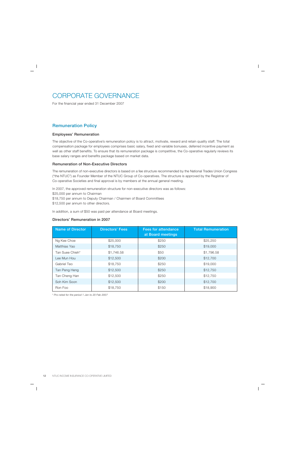For the financial year ended 31 December 2007

## **Remuneration Policy**

#### **Employees' Remuneration**

The objective of the Co-operative's remuneration policy is to attract, motivate, reward and retain quality staff. The total compensation package for employees comprises basic salary, fixed and variable bonuses, deferred incentive payment as well as other staff benefits. To ensure that its remuneration package is competitive, the Co-operative regularly reviews its base salary ranges and benefits package based on market data.

### **Remuneration of Non-Executive Directors**

The remuneration of non-executive directors is based on a fee structure recommended by the National Trades Union Congress ("the NTUC") as Founder Member of the NTUC Group of Co-operatives. The structure is approved by the Registrar of Co-operative Societies and final approval is by members at the annual general meeting.

In 2007, the approved remuneration structure for non-executive directors was as follows:

\$25,000 per annum to Chairman

\$18,750 per annum to Deputy Chairman / Chairmen of Board Committees

\$12,500 per annum to other directors.

In addition, a sum of \$50 was paid per attendance at Board meetings.

#### **Directors' Remuneration in 2007**

| <b>Name of Director</b> | <b>Directors' Fees</b> | <b>Fees for attendance</b><br>at Board meetings | <b>Total Remuneration</b> |
|-------------------------|------------------------|-------------------------------------------------|---------------------------|
| Ng Kee Choe             | \$25,000               | \$250                                           | \$25,250                  |
| Matthias Yao            | \$18,750               | \$250                                           | \$19,000                  |
| Tan Suee Chieh*         | \$1,746.58             | \$50                                            | \$1,796.58                |
| Lee Mun Hou             | \$12,500               | \$200                                           | \$12,700                  |
| Gabriel Teo             | \$18,750               | \$250                                           | \$19,000                  |
| Tan Peng Heng           | \$12,500               | \$250                                           | \$12,750                  |
| Tan Cheng Han           | \$12,500               | \$250                                           | \$12,750                  |
| Soh Kim Soon            | \$12,500               | \$200                                           | \$12,700                  |
| Ron Foo                 | \$18,750               | \$150                                           | \$18,900                  |

*\* Pro-rated for the period 1 Jan to 20 Feb 2007*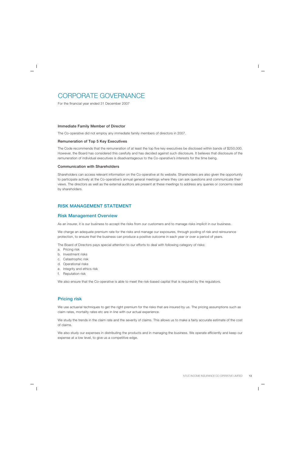For the financial year ended 31 December 2007

#### **Immediate Family Member of Director**

The Co-operative did not employ any immediate family members of directors in 2007.

#### **Remuneration of Top 5 Key Executives**

The Code recommends that the remuneration of at least the top five key executives be disclosed within bands of \$250,000. However, the Board has considered this carefully and has decided against such disclosure. It believes that disclosure of the remuneration of individual executives is disadvantageous to the Co-operative's interests for the time being.

#### **Communication with Shareholders**

Shareholders can access relevant information on the Co-operative at its website. Shareholders are also given the opportunity to participate actively at the Co-operative's annual general meetings where they can ask questions and communicate their views. The directors as well as the external auditors are present at these meetings to address any queries or concerns raised by shareholders.

## **RISK MANAGEMENT STATEMENT**

### **Risk Management Overview**

As an insurer, it is our business to accept the risks from our customers and to manage risks implicit in our business.

We charge an adequate premium rate for the risks and manage our exposures, through pooling of risk and reinsurance protection, to ensure that the business can produce a positive outcome in each year or over a period of years.

The Board of Directors pays special attention to our efforts to deal with following category of risks:

- a. Pricing risk
- b. Investment risks
- c. Catastrophic risk
- d. Operational risks
- e. Integrity and ethics risk
- f. Reputation risk

We also ensure that the Co-operative is able to meet the risk-based capital that is required by the regulators.

## **Pricing risk**

We use actuarial techniques to get the right premium for the risks that are insured by us. The pricing assumptions such as claim rates, mortality rates etc are in line with our actual experience.

We study the trends in the claim rate and the severity of claims. This allows us to make a fairly accurate estimate of the cost of claims.

We also study our expenses in distributing the products and in managing the business. We operate efficiently and keep our expense at a low level, to give us a competitive edge.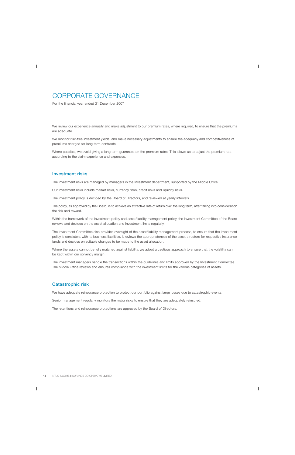For the financial year ended 31 December 2007

We review our experience annually and make adjustment to our premium rates, where required, to ensure that the premiums are adequate.

We monitor risk-free investment yields, and make necessary adjustments to ensure the adequacy and competitiveness of premiums charged for long term contracts.

Where possible, we avoid giving a long term guarantee on the premium rates. This allows us to adjust the premium rate according to the claim experience and expenses.

### **Investment risks**

The investment risks are managed by managers in the Investment department, supported by the Middle Office.

Our investment risks include market risks, currency risks, credit risks and liquidity risks.

The investment policy is decided by the Board of Directors, and reviewed at yearly intervals.

The policy, as approved by the Board, is to achieve an attractive rate of return over the long term, after taking into consideration the risk and reward.

Within the framework of the investment policy and asset/liability management policy, the Investment Committee of the Board reviews and decides on the asset allocation and investment limits regularly.

The Investment Committee also provides oversight of the asset/liability management process, to ensure that the investment policy is consistent with its business liabilities. It reviews the appropriateness of the asset structure for respective insurance funds and decides on suitable changes to be made to the asset allocation.

Where the assets cannot be fully matched against liability, we adopt a cautious approach to ensure that the volatility can be kept within our solvency margin.

The investment managers handle the transactions within the guidelines and limits approved by the Investment Committee. The Middle Office reviews and ensures compliance with the investment limits for the various categories of assets.

### **Catastrophic risk**

We have adequate reinsurance protection to protect our portfolio against large losses due to catastrophic events.

Senior management regularly monitors the major risks to ensure that they are adequately reinsured.

The retentions and reinsurance protections are approved by the Board of Directors.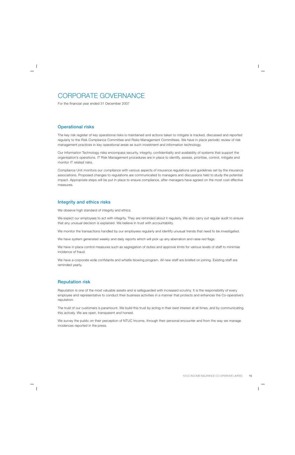For the financial year ended 31 December 2007

### **Operational risks**

The key risk register of key operational risks is maintained and actions taken to mitigate is tracked, discussed and reported regularly to the Risk Compliance Committee and Risks Management Committees. We have in place periodic review of risk management practices in key operational areas as such investment and information technology.

Our Information Technology risks encompass security, integrity, confidentiality and availability of systems that support the organisation's operations. IT Risk Management procedures are in place to identify, assess, prioritise, control, mitigate and monitor IT related risks.

Compliance Unit monitors our compliance with various aspects of insurance regulations and guidelines set by the insurance associations. Proposed changes to regulations are communicated to managers and discussions held to study the potential impact. Appropriate steps will be put in place to ensure compliance, after managers have agreed on the most cost effective measures.

### **Integrity and ethics risks**

We observe high standard of integrity and ethics.

We expect our employees to act with integrity. They are reminded about it regularly. We also carry out regular audit to ensure that any unusual decision is explained. We believe in trust with accountability.

We monitor the transactions handled by our employees regularly and identify unusual trends that need to be investigated.

We have system generated weekly and daily reports which will pick up any aberration and raise red flags.

We have in place control measures such as segregation of duties and approval limits for various levels of staff to minimise incidence of fraud.

We have a corporate wide confidante and whistle blowing program. All new staff are briefed on joining. Existing staff are reminded yearly.

### **Reputation risk**

Reputation is one of the most valuable assets and is safeguarded with increased scrutiny. It is the responsibility of every employee and representative to conduct their business activities in a manner that protects and enhances the Co-operative's reputation.

The trust of our customers is paramount. We build this trust by acting in their best interest at all times, and by communicating this actively. We are open, transparent and honest.

We survey the public on their perception of NTUC Income, through their personal encounter and from the way we manage incidences reported in the press.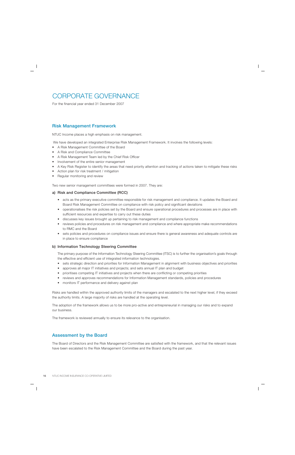For the financial year ended 31 December 2007

## **Risk Management Framework**

NTUC Income places a high emphasis on risk management.

We have developed an integrated Enterprise Risk Management Framework. It involves the following levels:

- A Risk Management Committee of the Board
- A Risk and Compliance Committee
- A Risk Management Team led by the Chief Risk Officer
- Involvement of the entire senior management
- A Key Risk Register to identify the areas that need priority attention and tracking of actions taken to mitigate these risks
- Action plan for risk treatment / mitigation
- Regular monitoring and review

Two new senior management committees were formed in 2007. They are:

### **a) Risk and Compliance Committee (RCC)**

- acts as the primary executive committee responsible for risk management and compliance. It updates the Board and Board Risk Management Committee on compliance with risk policy and significant deviations
- operationalises the risk policies set by the Board and ensure operational procedures and processes are in place with sufficient resources and expertise to carry out these duties
- discusses key issues brought up pertaining to risk management and compliance functions
- reviews policies and procedures on risk management and compliance and where appropriate make recommendations to RMC and the Board
- sets policies and procedures on compliance issues and ensure there is general awareness and adequate controls are in place to ensure compliance

#### **b) Information Technology Steering Committee**

The primary purpose of the Information Technology Steering Committee (ITSC) is to further the organisation's goals through the effective and efficient use of integrated information technologies.

- sets strategic direction and priorities for Information Management in alignment with business objectives and priorities
- approves all major IT initiatives and projects; and sets annual IT plan and budget
- prioritises competing IT initiatives and projects when there are conflicting or competing priorities
- reviews and approves recommendations for Information Management standards, policies and procedures
- monitors IT performance and delivery against plan

Risks are handled within the approved authority limits of the managers and escalated to the next higher level, if they exceed the authority limits. A large majority of risks are handled at the operating level.

The adoption of the framework allows us to be more pro-active and entrepreneurial in managing our risks and to expand our business.

The framework is reviewed annually to ensure its relevance to the organisation.

## **Assessment by the Board**

The Board of Directors and the Risk Management Committee are satisfied with the framework, and that the relevant issues have been escalated to the Risk Management Committee and the Board during the past year.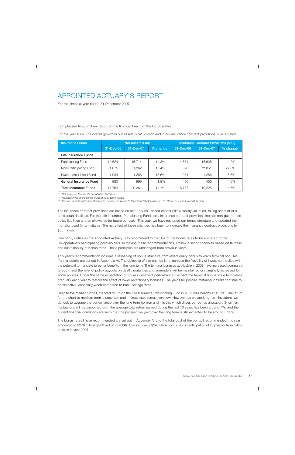For the financial year ended 31 December 2007

I am pleased to submit my report on the financial health of the Co-operative.

For the year 2007, the overall growth in our assets is \$2.5 billion and in our insurance contract provisions is \$2.4 billion.

| <b>Insurance Funds</b>       | * Net Assets (\$mil) |           |          | <b>Insurance Contract Provisions (\$mil)</b> |           |          |
|------------------------------|----------------------|-----------|----------|----------------------------------------------|-----------|----------|
|                              | 31-Dec-06            | 31-Dec-07 | % change | 31-Dec-06                                    | 31-Dec-07 | % change |
| Life Insurance Funds         |                      |           |          |                                              |           |          |
| Participating Fund           | 14.624               | 16.714    | 14.3%    | 14.571                                       | ** 16.635 | 14.2%    |
| Non-Participating Fund       | 1.075                | 1.262     | 17.4%    | 696                                          | *** 851   | 22.3%    |
| Investment-Linked Fund       | 1.084                | 1.286     | 18.6%    | 1.084                                        | 1.286     | 18.6%    |
| General Insurance Fund       | 980                  | 999       | 1.9%     | 436                                          | 456       | 4.6%     |
| <b>Total Insurance Funds</b> | 17,763               | 20.261    | 14.1%    | 16.787                                       | 19,228    | 14.5%    |

*\* Net Assets is the assets net of other liabilities.*

*\*\* Includes Investment contract liabilities of \$249 million.*

*\*\*\* Includes a reclassification of reserves, please see Notes to the Financial Statements - 19. Reserves for Future Distribution.*

The insurance contract provisions are based on statutory risk-based capital (RBC) liability valuation, taking account of all contractual liabilities. For the Life Insurance Participating Fund, total insurance contract provisions include non-guaranteed policy liabilities and an allowance for future bonuses. This year, we have reshaped our bonus structure and updated the mortality used for annuitants. The net effect of these changes has been to increase the insurance contract provisions by \$55 million.

One of my duties as the Appointed Actuary is to recommend to the Board, the bonus rates to be allocated to the Co-operative's participating policyholders. In making these recommendations, I follow a set of principles based on fairness and sustainability of bonus rates. These principles are unchanged from previous years.

This year's recommendation includes a reshaping of bonus structure from reversionary bonus towards terminal bonuses (further details are set out in Appendix A). The objective of this change is to increase the flexibility of investment policy with the potential to translate to better benefits in the long term. The terminal bonuses applicable in 2008 have increased compared to 2007, and the level of policy payouts on death, maturities and surrenders will be maintained or marginally increased for some policies. Under the same expectation of future investment performance, I expect the terminal bonus scale to increase gradually each year to restore the effect of lower reversionary bonuses. The yields for policies maturing in 2008 continue to be attractive, especially when compared to bank savings rates.

Despite the market turmoil, the total return on the Life Insurance Participating Fund in 2007 was healthy at 10.7%. The return for the short to medium term is uncertain and interest rates remain very low. However, as we are long term investors, we do look to average the performance over the long term horizon and it is this which drives our bonus allocation. Short term fluctuations will be smoothed out. The average total return earned during the last 10 years has been around 7%, and the current financial conditions are such that the prospective yield over the long term is still expected to be around 5.25%.

The bonus rates I have recommended are set out in Appendix A, and the total cost of the bonus I recommended this year amounted to \$279 million (\$309 million in 2006). This includes a \$24 million bonus paid in anticipation of surplus for terminating policies in year 2007.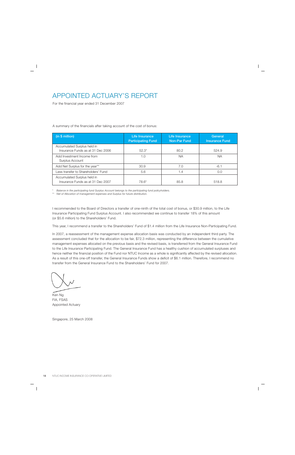For the financial year ended 31 December 2007

A summary of the financials after taking account of the cost of bonus:

| (in \$ million)                                                  | Life Insurance<br><b>Participating Fund</b> | Life Insurance<br><b>Non-Par Fund</b> | General<br><b>Insurance Fund</b> |
|------------------------------------------------------------------|---------------------------------------------|---------------------------------------|----------------------------------|
| Accumulated Surplus held in<br>Insurance Funds as at 31 Dec 2006 | $52.3*$                                     | 80.2                                  | 524.9                            |
| Add Investment Income from<br>Surplus Account                    | 1.0                                         | <b>NA</b>                             | <b>NA</b>                        |
| Add Net Surplus for the year**                                   | 30.9                                        | 7.0                                   | $-6.1$                           |
| Less transfer to Shareholders' Fund                              | 5.6                                         | 1.4                                   | 0.0                              |
| Accumulated Surplus held in<br>Insurance Funds as at 31 Dec 2007 | 78.6*                                       | 85.8                                  | 518.8                            |

*\* Balance in the participating fund Surplus Account belongs to the participating fund policyholders.*

*\*\* Net of Allocation of management expenses and Surplus for future distribution.*

I recommended to the Board of Directors a transfer of one-ninth of the total cost of bonus, or \$30.9 million, to the Life Insurance Participating Fund Surplus Account. I also recommended we continue to transfer 18% of this amount (or \$5.6 million) to the Shareholders' Fund.

This year, I recommend a transfer to the Shareholders' Fund of \$1.4 million from the Life Insurance Non-Participating Fund.

In 2007, a reassessment of the management expense allocation basis was conducted by an independent third party. The assessment concluded that for the allocation to be fair, \$72.3 million, representing the difference between the cumulative management expenses allocated on the previous basis and the revised basis, is transferred from the General Insurance Fund to the Life Insurance Participating Fund. The General Insurance Fund has a healthy cushion of accumulated surpluses and hence neither the financial position of the Fund nor NTUC Income as a whole is significantly affected by the revised allocation. As a result of this one-off transfer, the General Insurance Funds show a deficit of \$6.1 million. Therefore, I recommend no transfer from the General Insurance Fund to the Shareholders' Fund for 2007.

Ken Ng FIA, FSAS Appointed Actuary

Singapore, 25 March 2008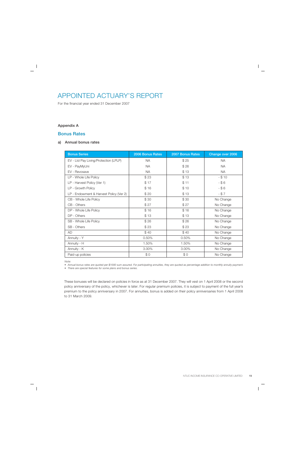For the financial year ended 31 December 2007

### **Appendix A**

### **Bonus Rates**

#### **a) Annual bonus rates**

| <b>Bonus Series</b>                     | 2006 Bonus Rates | 2007 Bonus Rates | Change over 2006 |
|-----------------------------------------|------------------|------------------|------------------|
| EV - Ltd Pay Living/Protection (LPLP)   | <b>NA</b>        | \$25             | <b>NA</b>        |
| EV - PayMyUni                           | <b>NA</b>        | \$26             | <b>NA</b>        |
| EV - Revosave                           | <b>NA</b>        | \$13             | <b>NA</b>        |
| LP - Whole Life Policy                  | \$23             | \$13             | $-$ \$ 10        |
| LP - Harvest Policy (Ver 1)             | \$17             | \$11             | $-$ \$6          |
| LP - Growth Policy                      | \$16             | \$10             | $-$ \$6          |
| LP - Endowment & Harvest Policy (Ver 2) | \$20             | \$13             | $-$ \$7          |
| CB - Whole Life Policy                  | \$30             | \$30             | No Change        |
| CB - Others                             | \$27             | \$27             | No Change        |
| DP - Whole Life Policy                  | \$16             | \$16             | No Change        |
| DP - Others                             | \$13             | \$13             | No Change        |
| SB - Whole Life Policy                  | \$26             | \$26             | No Change        |
| SB - Others                             | \$23             | \$23             | No Change        |
| AD                                      | \$40             | \$40             | No Change        |
| Annuity - Y                             | 0.50%            | 0.50%            | No Change        |
| Annuity - H                             | 1.50%            | 1.50%            | No Change        |
| Annuity - K                             | 3.00%            | 3.00%            | No Change        |
| Paid-up policies                        | \$0              | \$0              | No Change        |

*Note:*

*• Annual bonus rates are quoted per \$1000 sum assured. For participating annuities, they are quoted as percentage addition to monthly annuity payment.*

*• There are special features for some plans and bonus series.*

These bonuses will be declared on policies in force as at 31 December 2007. They will vest on 1 April 2008 or the second policy anniversary of the policy, whichever is later. For regular premium policies, it is subject to payment of the full year's premium to the policy anniversary in 2007. For annuities, bonus is added on their policy anniversaries from 1 April 2008 to 31 March 2009.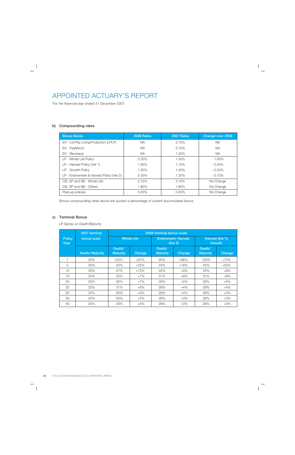For the financial year ended 31 December 2007

### **b) Compounding rates**

| <b>Bonus Series</b>                     | <b>2006 Rates</b> | <b>2007 Rates</b> | Change over 2006 |
|-----------------------------------------|-------------------|-------------------|------------------|
| EV - Ltd Pay Living/Protection (LPLP)   | <b>NA</b>         | 2.75%             | <b>NA</b>        |
| EV - PayMyUni                           | <b>NA</b>         | 2.70%             | <b>NA</b>        |
| EV - Revosave                           | NA.               | 1.30%             | NA.              |
| LP - Whole Life Policy                  | 2.30%             | 1.30%             | $-1.00\%$        |
| LP - Harvest Policy (Ver 1)             | 1.60%             | 1.10%             | $-0.50%$         |
| LP - Growth Policy                      | 1.50%             | 1.00%             | $-0.50\%$        |
| LP - Endowment & Harvest Policy (Ver 2) | 2.00%             | 1.30%             | $-0.70\%$        |
| CB, DP and SB - Whole Life              | 2.10%             | 2.10%             | No Change        |
| CB, DP and SB - Others                  | 1.80%             | 1.80%             | No Change        |
| Paid-up policies                        | $0.00\%$          | $0.00\%$          | No Change        |

Bonus compounding rates above are quoted a percentage of current accumulated bonus.

### **c) Terminal Bonus**

LP Series on Death/Maturity

|                       | 2007 terminal          | 2008 terminal bonus scale |        |                           |                                      |                                   |               |  |  |  |
|-----------------------|------------------------|---------------------------|--------|---------------------------|--------------------------------------|-----------------------------------|---------------|--|--|--|
| <b>Policy</b><br>Year | bonus scale            | <b>Whole Life</b>         |        |                           | <b>Endowment, Harvest</b><br>(Ver 2) | Harvest (Ver 1),<br><b>Growth</b> |               |  |  |  |
|                       | <b>Death/ Maturity</b> | Death/<br><b>Maturity</b> | Change | Death/<br><b>Maturity</b> | Change                               | Death/<br><b>Maturity</b>         | <b>Change</b> |  |  |  |
|                       | 25%                    | 122%                      | $+97%$ | 93%                       | $+68%$                               | 100%                              | $+75%$        |  |  |  |
| 5                     | 25%                    | 50%                       | $+25%$ | 43%                       | $+18%$                               | 45%                               | $+20%$        |  |  |  |
| 10                    | 25%                    | 37%                       | $+12%$ | 34%                       | $+9\%$                               | 34%                               | $+9\%$        |  |  |  |
| 15                    | 25%                    | 32%                       | $+7%$  | 31%                       | $+6\%$                               | 31%                               | $+6\%$        |  |  |  |
| 20                    | 25%                    | 32%                       | $+7\%$ | 30%                       | $+5\%$                               | 30%                               | $+5%$         |  |  |  |
| 25                    | 25%                    | 31%                       | $+6\%$ | 29%                       | $+4%$                                | 29%                               | $+4%$         |  |  |  |
| 30                    | 25%                    | 30%                       | $+5%$  | 29%                       | $+4%$                                | 29%                               | $+4%$         |  |  |  |
| 35                    | 25%                    | 30%                       | $+5%$  | 28%                       | $+3\%$                               | 28%                               | $+3\%$        |  |  |  |
| 40                    | 25%                    | 29%                       | $+4%$  | 28%                       | $+3\%$                               | 28%                               | $+3\%$        |  |  |  |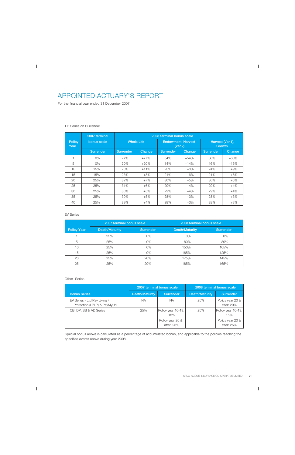For the financial year ended 31 December 2007

#### LP Series on Surrender

|                       | 2007 terminal | 2008 terminal bonus scale |        |                  |                                      |                            |        |  |  |  |
|-----------------------|---------------|---------------------------|--------|------------------|--------------------------------------|----------------------------|--------|--|--|--|
| <b>Policy</b><br>Year | bonus scale   | <b>Whole Life</b>         |        |                  | <b>Endowment, Harvest</b><br>(Ver 2) | Harvest (Ver 1),<br>Growth |        |  |  |  |
| <b>Surrender</b>      |               | <b>Surrender</b>          | Change | <b>Surrender</b> | Change                               | Surrender                  | Change |  |  |  |
|                       | $0\%$         | 77%                       | $+77%$ | 54%              | $+54%$                               | 60%                        | $+60%$ |  |  |  |
| 5                     | $0\%$         | 20%                       | $+20%$ | 14%              | $+14%$                               | 16%                        | $+16%$ |  |  |  |
| 10                    | 15%           | 26%                       | $+11%$ | 23%              | $+8\%$                               | 24%                        | $+9\%$ |  |  |  |
| 15                    | 15%           | 23%                       | $+8%$  | 21%              | $+6%$                                | 21%                        | $+6\%$ |  |  |  |
| 20                    | 25%           | 32%                       | $+7%$  | 30%              | $+5\%$                               | 30%                        | $+5%$  |  |  |  |
| 25                    | 25%           | 31%                       | $+6%$  | 29%              | $+4%$                                | 29%                        | $+4%$  |  |  |  |
| 30                    | 25%           | 30%                       | $+5%$  | 29%              | $+4%$                                | 29%                        | $+4%$  |  |  |  |
| 35                    | 25%           | 30%                       | $+5%$  | 28%              | $+3\%$                               | 28%                        | $+3\%$ |  |  |  |
| 40                    | 25%           | 29%                       | $+4%$  | 28%              | $+3\%$                               | 28%                        | $+3\%$ |  |  |  |

#### EV Series

|                    | 2007 terminal bonus scale |                  | 2008 terminal bonus scale |           |  |  |
|--------------------|---------------------------|------------------|---------------------------|-----------|--|--|
| <b>Policy Year</b> | Death/Maturity            | <b>Surrender</b> | Death/Maturity            | Surrender |  |  |
|                    | 25%                       | 0%               | 0%                        | 0%        |  |  |
| 5                  | 25%                       | 0%               | 80%                       | 30%       |  |  |
| 10                 | 25%                       | 0%               | 150%                      | 105%      |  |  |
| 15                 | 25%                       | 0%               | 165%                      | 125%      |  |  |
| 20                 | 25%                       | 20%              | 175%                      | 145%      |  |  |
| 25                 | 25%                       | 20%              | 185%                      | 165%      |  |  |

#### Other Series

|                                                              |                       | 2007 terminal bonus scale      | 2008 terminal bonus scale |                                |  |  |
|--------------------------------------------------------------|-----------------------|--------------------------------|---------------------------|--------------------------------|--|--|
| <b>Bonus Series</b>                                          | <b>Death/Maturity</b> | <b>Surrender</b>               | <b>Death/Maturity</b>     | <b>Surrender</b>               |  |  |
| EV Series - Ltd Pay Living /<br>Protection (LPLP) & PayMyUni | ΝA                    | <b>NA</b>                      | 25%                       | Policy year 20 &<br>after: 20% |  |  |
| CB, DP, SB & AD Series                                       | 25%                   | Policy year 10-19:<br>15%      | 25%                       | Policy year 10-19:<br>15%      |  |  |
|                                                              |                       | Policy year 20 &<br>after: 25% |                           | Policy year 20 &<br>after: 25% |  |  |

Special bonus above is calculated as a percentage of accumulated bonus, and applicable to the policies reaching the specified events above during year 2008.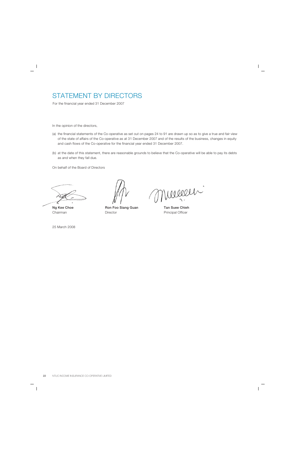# STATEMENT BY DIRECTORS

For the financial year ended 31 December 2007

In the opinion of the directors,

- (a) the financial statements of the Co-operative as set out on pages 24 to 91 are drawn up so as to give a true and fair view of the state of affairs of the Co-operative as at 31 December 2007 and of the results of the business, changes in equity and cash flows of the Co-operative for the financial year ended 31 December 2007.
- (b) at the date of this statement, there are reasonable grounds to believe that the Co-operative will be able to pay its debts as and when they fall due.

On behalf of the Board of Directors

25 March 2008

**Ng Kee Choe Ron Foo Siang Guan Tan Suee Chieh** Chairman **Director** Director **Principal Officer** 

ment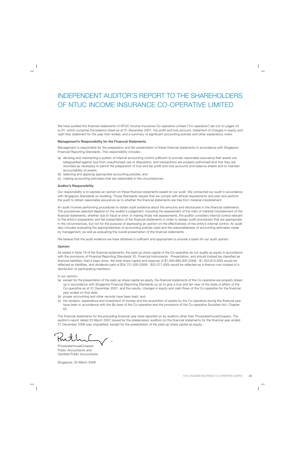# INDEPENDENT AUDITOR'S REPORT TO THE SHAREHOLDERS OF NTUC INCOME INSURANCE CO-OPERATIVE LIMITED

We have audited the financial statements of NTUC Income Insurance Co-operative Limited ("Co-operative") set out on pages 24 to 91, which comprise the balance sheet as at 31 December 2007, the profit and loss account, statement of changes in equity and cash flow statement for the year then ended, and a summary of significant accounting policies and other explanatory notes.

#### **Management's Responsibility for the Financial Statements**

Management is responsible for the preparation and fair presentation of these financial statements in accordance with Singapore Financial Reporting Standards. This responsibility includes :

- (a) devising and maintaining a system of internal accounting control sufficient to provide reasonable assurance that assets are safeguarded against loss from unauthorised use or disposition; and transactions are properly authorised and that they are recorded as necessary to permit the preparation of true and fair profit and loss accounts and balance sheets and to maintain accountability of assets;
- (b) selecting and applying appropriate accounting policies; and
- (c) making accounting estimates that are reasonable in the circumstances.

#### **Auditor's Responsibility**

Our responsibility is to express an opinion on these financial statements based on our audit. We conducted our audit in accordance with Singapore Standards on Auditing. Those Standards require that we comply with ethical requirements and plan and perform the audit to obtain reasonable assurance as to whether the financial statements are free from material misstatement.

An audit involves performing procedures to obtain audit evidence about the amounts and disclosures in the financial statements. The procedures selected depend on the auditor's judgement, including the assessment of the risks of material misstatement of the financial statements, whether due to fraud or error. In making those risk assessments, the auditor considers internal control relevant to the entity's preparation and fair presentation of the financial statements in order to design audit procedures that are appropriate in the circumstances, but not for the purpose of expressing an opinion on the effectiveness of the entity's internal control. An audit also includes evaluating the appropriateness of accounting policies used and the reasonableness of accounting estimates made by management, as well as evaluating the overall presentation of the financial statements.

We believe that the audit evidence we have obtained is sufficient and appropriate to provide a basis for our audit opinion.

#### **Opinion**

As stated in Note 18 of the financial statements, the paid-up share capital of the Co-operative do not qualify as equity in accordance with the provisions of Financial Reporting Standards 32, Financial Instruments : Presentation, and should instead be classified as financial liabilities. Had it been done, the total share capital and reserves of \$1,493,965,000 (2006 : \$1,453,810,000) would be reflected as liabilities, and dividends paid of \$34,721,000 (2006 : \$25,071,000) would be reflected as a finance cost instead of a distribution to participating members.

In our opinion,

- (a) except for the presentation of the paid-up share capital as equity, the financial statements of the Co-operative are properly drawn up in accordance with Singapore Financial Reporting Standards so as to give a true and fair view of the state of affairs of the Co-operative as at 31 December 2007, and the results, changes in equity and cash flows of the Co-operative for the financial year ended on that date;
- (b) proper accounting and other records have been kept; and
- (c) the receipts, expenditure and investment of monies and the acquisition of assets by the Co-operative during the financial year have been in accordance with the By-laws of the Co-operative and the provisions of the Co-operative Societies Act, Chapter 62.

The financial statements for the preceding financial year were reported on by auditors other than PricewaterhouseCoopers. The auditor's report dated 23 March 2007 issued by the predecessor auditors on the financial statements for the financial year ended 31 December 2006 was unqualified, except for the presentation of the paid-up share capital as equity.

PricewaterhouseCoopers Public Accountants and Certified Public Accountants

Singapore, 25 March 2008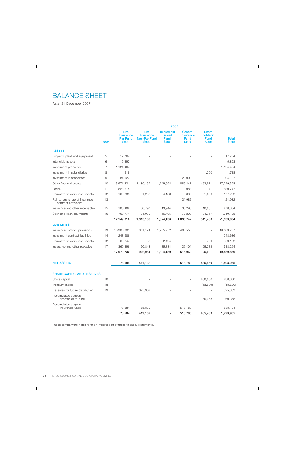# BALANCE SHEET

As at 31 December 2007

|                                                       | 2007           |                                                      |                                                          |                                                            |                                                     |                                                  |                       |  |
|-------------------------------------------------------|----------------|------------------------------------------------------|----------------------------------------------------------|------------------------------------------------------------|-----------------------------------------------------|--------------------------------------------------|-----------------------|--|
|                                                       | <b>Note</b>    | Life<br><b>Insurance</b><br><b>Par Fund</b><br>\$000 | Life<br><b>Insurance</b><br><b>Non-Par Fund</b><br>\$000 | <b>Investment</b><br><b>Linked</b><br><b>Fund</b><br>\$000 | General<br><b>Insurance</b><br><b>Fund</b><br>\$000 | <b>Share</b><br>holders'<br><b>Fund</b><br>\$000 | <b>Total</b><br>\$000 |  |
| <b>ASSETS</b>                                         |                |                                                      |                                                          |                                                            |                                                     |                                                  |                       |  |
| Property, plant and equipment                         | 5              | 17,764                                               |                                                          |                                                            |                                                     |                                                  | 17,764                |  |
| Intangible assets                                     | 6              | 5,893                                                |                                                          |                                                            |                                                     |                                                  | 5,893                 |  |
| Investment properties                                 | $\overline{7}$ | 1,124,464                                            |                                                          |                                                            |                                                     |                                                  | 1,124,464             |  |
| Investment in subsidiaries                            | 8              | 518                                                  |                                                          |                                                            |                                                     | 1,200                                            | 1,718                 |  |
| Investment in associates                              | 9              | 84,127                                               |                                                          |                                                            | 20,000                                              |                                                  | 104,127               |  |
| Other financial assets                                | 10             | 13,971,331                                           | 1,180,157                                                | 1,249,598                                                  | 885,341                                             | 462,971                                          | 17,749,398            |  |
| Loans                                                 | 11             | 828,618                                              |                                                          |                                                            | 2,088                                               | 41                                               | 830,747               |  |
| Derivative financial instruments                      | 12             | 169,338                                              | 1,253                                                    | 4,183                                                      | 838                                                 | 1,650                                            | 177,262               |  |
| Reinsurers' share of insurance<br>contract provisions | 13             |                                                      |                                                          |                                                            | 24,982                                              |                                                  | 24,982                |  |
| Insurance and other receivables                       | 15             | 186,489                                              | 36,797                                                   | 13,944                                                     | 30,293                                              | 10,831                                           | 278,354               |  |
| Cash and cash equivalents                             | 16             | 760,774                                              | 94,979                                                   | 56,405                                                     | 72,200                                              | 34,767                                           | 1,019,125             |  |
|                                                       |                | 17,149,316                                           | 1,313,186                                                | 1,324,130                                                  | 1,035,742                                           | 511,460                                          | 21,333,834            |  |
| <b>LIABILITIES</b>                                    |                |                                                      |                                                          |                                                            |                                                     |                                                  |                       |  |
| Insurance contract provisions                         | 13             | 16,386,303                                           | 851,174                                                  | 1,285,752                                                  | 480,558                                             |                                                  | 19,003,787            |  |
| Investment contract liabilities                       | 14             | 248,686                                              |                                                          |                                                            |                                                     |                                                  | 248,686               |  |
| Derivative financial instruments                      | 12             | 65,847                                               | 32                                                       | 2,494                                                      |                                                     | 759                                              | 69,132                |  |
| Insurance and other payables                          | 17             | 369,896                                              | 50,848                                                   | 35,884                                                     | 36,404                                              | 25,232                                           | 518,264               |  |
|                                                       |                | 17,070,732                                           | 902,054                                                  | 1,324,130                                                  | 516,962                                             | 25,991                                           | 19,839,869            |  |
| <b>NET ASSETS</b>                                     |                | 78,584                                               | 411,132                                                  |                                                            | 518,780                                             | 485,469                                          | 1,493,965             |  |
| <b>SHARE CAPITAL AND RESERVES</b>                     |                |                                                      |                                                          |                                                            |                                                     |                                                  |                       |  |
| Share capital                                         | 18             |                                                      |                                                          |                                                            |                                                     | 438,800                                          | 438,800               |  |
| Treasury shares                                       | 18             |                                                      |                                                          |                                                            |                                                     | (13,699)                                         | (13,699)              |  |
| Reserves for future distribution                      | 19             |                                                      | 325,302                                                  |                                                            |                                                     |                                                  | 325,302               |  |
| Accumulated surplus<br>- shareholders' fund           |                |                                                      |                                                          |                                                            |                                                     | 60,368                                           | 60,368                |  |
| Accumulated surplus<br>- insurance funds              |                | 78,584                                               | 85,830                                                   | $\overline{a}$                                             | 518,780                                             |                                                  | 683,194               |  |
|                                                       |                | 78,584                                               | 411,132                                                  | ä,                                                         | 518,780                                             | 485,469                                          | 1,493,965             |  |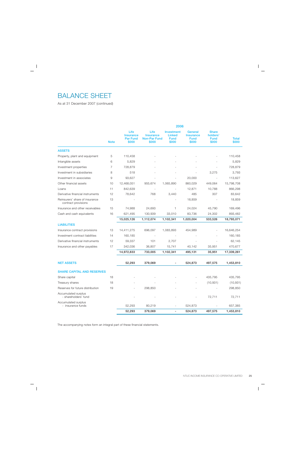# BALANCE SHEET

As at 31 December 2007 (continued)

|                                                       | 2006           |                                                      |                                                          |                                                            |                                                     |                                                  |                |
|-------------------------------------------------------|----------------|------------------------------------------------------|----------------------------------------------------------|------------------------------------------------------------|-----------------------------------------------------|--------------------------------------------------|----------------|
|                                                       | <b>Note</b>    | Life<br><b>Insurance</b><br><b>Par Fund</b><br>\$000 | Life<br><b>Insurance</b><br><b>Non-Par Fund</b><br>\$000 | <b>Investment</b><br><b>Linked</b><br><b>Fund</b><br>\$000 | General<br><b>Insurance</b><br><b>Fund</b><br>\$000 | <b>Share</b><br>holders'<br><b>Fund</b><br>\$000 | Total<br>\$000 |
| <b>ASSETS</b>                                         |                |                                                      |                                                          |                                                            |                                                     |                                                  |                |
| Property, plant and equipment                         | 5              | 110,458                                              |                                                          |                                                            |                                                     |                                                  | 110,458        |
| Intangible assets                                     | 6              | 5,829                                                |                                                          |                                                            |                                                     |                                                  | 5,829          |
| Investment properties                                 | $\overline{7}$ | 728,879                                              |                                                          |                                                            |                                                     |                                                  | 728,879        |
| Investment in subsidiaries                            | 8              | 518                                                  |                                                          |                                                            |                                                     | 3,275                                            | 3,793          |
| Investment in associates                              | 9              | 93,627                                               |                                                          |                                                            | 20,000                                              |                                                  | 113,627        |
| Other financial assets                                | 10             | 12,468,051                                           | 955,674                                                  | 1,065,890                                                  | 860,029                                             | 449,064                                          | 15,798,708     |
| Loans                                                 | 11             | 842,639                                              |                                                          |                                                            | 12,871                                              | 10,788                                           | 866,298        |
| Derivative financial instruments                      | 12             | 78,642                                               | 768                                                      | 3,440                                                      | 485                                                 | 307                                              | 83,642         |
| Reinsurers' share of insurance<br>contract provisions | 13             |                                                      |                                                          |                                                            | 18,859                                              |                                                  | 18,859         |
| Insurance and other receivables                       | 15             | 74,988                                               | 24,693                                                   | $\mathbf{1}$                                               | 24,024                                              | 45,790                                           | 169,496        |
| Cash and cash equivalents                             | 16             | 621,495                                              | 130,939                                                  | 33,010                                                     | 83,736                                              | 24,302                                           | 893,482        |
|                                                       |                | 15,025,126                                           | 1,112,074                                                | 1,102,341                                                  | 1,020,004                                           | 533,526                                          | 18,793,071     |
| <b>LIABILITIES</b>                                    |                |                                                      |                                                          |                                                            |                                                     |                                                  |                |
| Insurance contract provisions                         | 13             | 14,411,275                                           | 696,097                                                  | 1,083,893                                                  | 454,989                                             |                                                  | 16,646,254     |
| Investment contract liabilities                       | 14             | 160,185                                              |                                                          |                                                            |                                                     |                                                  | 160,185        |
| Derivative financial instruments                      | 12             | 59,337                                               | 101                                                      | 2,707                                                      |                                                     |                                                  | 62,145         |
| Insurance and other payables                          | 17             | 342,036                                              | 36,807                                                   | 15,741                                                     | 40,142                                              | 35,951                                           | 470,677        |
|                                                       |                | 14,972,833                                           | 733,005                                                  | 1,102,341                                                  | 495,131                                             | 35,951                                           | 17,339,261     |
| <b>NET ASSETS</b>                                     |                | 52,293                                               | 379,069                                                  |                                                            | 524,873                                             | 497,575                                          | 1,453,810      |
| <b>SHARE CAPITAL AND RESERVES</b>                     |                |                                                      |                                                          |                                                            |                                                     |                                                  |                |
| Share capital                                         | 18             |                                                      |                                                          |                                                            |                                                     | 435,795                                          | 435,795        |
| Treasury shares                                       | 18             |                                                      |                                                          |                                                            |                                                     | (10, 931)                                        | (10, 931)      |
| Reserves for future distribution                      | 19             |                                                      | 298,850                                                  |                                                            |                                                     |                                                  | 298,850        |
| Accumulated surplus<br>- shareholders' fund           |                |                                                      |                                                          |                                                            |                                                     | 72,711                                           | 72,711         |
| Accumulated surplus<br>- insurance funds              |                | 52,293                                               | 80,219                                                   |                                                            | 524,873                                             |                                                  | 657,385        |
|                                                       |                | 52,293                                               | 379,069                                                  | ä,                                                         | 524,873                                             | 497,575                                          | 1,453,810      |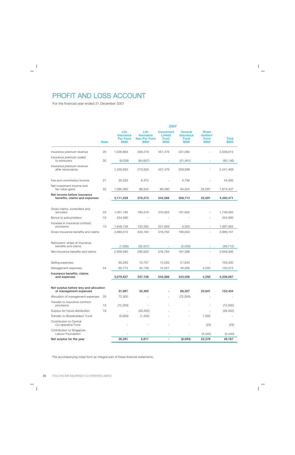# PROFIT AND LOSS ACCOUNT

For the financial year ended 31 December 2007

|                                                                  |             |                                                      |                                                          | 2007                                                |                                                     |                                                  |                       |
|------------------------------------------------------------------|-------------|------------------------------------------------------|----------------------------------------------------------|-----------------------------------------------------|-----------------------------------------------------|--------------------------------------------------|-----------------------|
|                                                                  | <b>Note</b> | Life<br><b>Insurance</b><br><b>Par Fund</b><br>\$000 | Life<br><b>Insurance</b><br><b>Non-Par Fund</b><br>\$000 | Investment<br><b>Linked</b><br><b>Fund</b><br>\$000 | General<br><b>Insurance</b><br><b>Fund</b><br>\$000 | <b>Share</b><br>holders'<br><b>Fund</b><br>\$000 | <b>Total</b><br>\$000 |
| Insurance premium revenue                                        | 20          | 1,509,863                                            | 338,216                                                  | 457,476                                             | 231,060                                             | $\overline{a}$                                   | 2,536,615             |
| Insurance premium ceded<br>to reinsurers                         | 20          | (9,028)                                              | (64, 657)                                                | ÷                                                   | (21, 461)                                           | -                                                | (95, 146)             |
| Insurance premium revenue<br>after reinsurance                   |             | 1,500,835                                            | 273,559                                                  | 457,476                                             | 209,599                                             | $\overline{\phantom{0}}$                         | 2,441,469             |
| Fee and commission income                                        | 21          | 30,333                                               | 8,472                                                    |                                                     | 5,790                                               |                                                  | 44,595                |
| Net investment income and<br>fair value gains                    | 22          | 1,580,360                                            | 88,542                                                   | 86,090                                              | 94,324                                              | 25,091                                           | 1,874,407             |
| Net income before insurance<br>benefits, claims and expenses     |             | 3,111,528                                            | 370,573                                                  | 543,566                                             | 309,713                                             | 25,091                                           | 4,360,471             |
| Gross claims, surrenders and<br>annuities                        | 23          | 1,057,782                                            | 190,578                                                  | 316,925                                             | 181,650                                             |                                                  | 1,746,935             |
| Bonus to policyholders                                           | 13          | 254,590                                              |                                                          |                                                     |                                                     |                                                  | 254,590               |
| Increase in insurance contract<br>provisions                     | 13          | 1,648,138                                            | 132,582                                                  | 201,859                                             | 5,003                                               |                                                  | 1,987,582             |
| Gross insurance benefits and claims                              |             | 2,960,510                                            | 323,160                                                  | 518,784                                             | 186,653                                             | $\overline{a}$                                   | 3,989,107             |
| Reinsurers' share of insurance<br>benefits and claims            |             | (1,930)                                              | (32, 527)                                                |                                                     | (5, 255)                                            |                                                  | (39, 712)             |
| Net insurance benefits and claims                                |             | 2,958,580                                            | 290,633                                                  | 518,784                                             | 181,398                                             |                                                  | 3,949,395             |
| Selling expenses                                                 |             | 60,285                                               | 10,737                                                   | 12,535                                              | 21,843                                              |                                                  | 105,400               |
| Management expenses                                              | 24          | 60,772                                               | 35,738                                                   | 12,247                                              | 40,265                                              | 4,250                                            | 153,272               |
| Insurance benefits, claims<br>and expenses                       |             | 3,079,637                                            | 337,108                                                  | 543,566                                             | 243,506                                             | 4,250                                            | 4,208,067             |
| Net surplus before levy and allocation<br>of management expenses |             | 31,891                                               | 33,465                                                   |                                                     | 66,207                                              | 20,841                                           | 152,404               |
| Allocation of management expenses                                | 25          | 72,300                                               |                                                          |                                                     | (72, 300)                                           |                                                  |                       |
| Transfer to insurance contract<br>provisions                     | 13          | (72,300)                                             |                                                          |                                                     |                                                     |                                                  | (72, 300)             |
| Surplus for future distribution                                  | 19          |                                                      | (26, 452)                                                |                                                     |                                                     |                                                  | (26, 452)             |
| Transfer to Shareholders' Fund                                   |             | (5,600)                                              | (1, 402)                                                 |                                                     |                                                     | 7,002                                            |                       |
| Contribution to Central<br>Co-operative Fund                     |             |                                                      |                                                          |                                                     |                                                     | (25)                                             | (25)                  |
| Contribution to Singapore<br>Labour Foundation                   |             |                                                      |                                                          |                                                     |                                                     | (5,440)                                          | (5,440)               |
| Net surplus for the year                                         |             | 26,291                                               | 5,611                                                    | -                                                   | (6,093)                                             | 22,378                                           | 48,187                |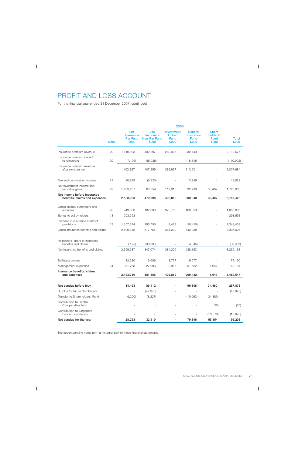# PROFIT AND LOSS ACCOUNT

For the financial year ended 31 December 2007 (continued)

|                                                              | 2006        |                                               |                                                          |                                                            |                                                     |                                                  |                       |  |
|--------------------------------------------------------------|-------------|-----------------------------------------------|----------------------------------------------------------|------------------------------------------------------------|-----------------------------------------------------|--------------------------------------------------|-----------------------|--|
|                                                              | <b>Note</b> | Life<br>Insurance<br><b>Par Fund</b><br>\$000 | Life<br><b>Insurance</b><br><b>Non-Par Fund</b><br>\$000 | <b>Investment</b><br><b>Linked</b><br><b>Fund</b><br>\$000 | General<br><b>Insurance</b><br><b>Fund</b><br>\$000 | <b>Share</b><br>holders'<br><b>Fund</b><br>\$000 | <b>Total</b><br>\$000 |  |
| Insurance premium revenue                                    | 20          | 1,110,993                                     | 492,297                                                  | 282,937                                                    | 232,449                                             |                                                  | 2,118,676             |  |
| Insurance premium ceded<br>to reinsurers                     | 20          | (7, 106)                                      | (85,038)                                                 | $\overline{\phantom{a}}$                                   | (18, 848)                                           | $\overline{\phantom{a}}$                         | (110, 992)            |  |
| Insurance premium revenue<br>after reinsurance               |             | 1,103,887                                     | 407,259                                                  | 282,937                                                    | 213,601                                             |                                                  | 2,007,684             |  |
| Fee and commission income                                    | 21          | 20,899                                        | (5,320)                                                  |                                                            | 3,349                                               |                                                  | 18,928                |  |
| Net investment income and<br>fair value gains                | 22          | 1,403,437                                     | 68,759                                                   | 119,915                                                    | 92,290                                              | 36,407                                           | 1,720,808             |  |
| Net income before insurance<br>benefits, claims and expenses |             | 2,528,223                                     | 470,698                                                  | 402,852                                                    | 309,240                                             | 36,407                                           | 3,747,420             |  |
| Gross claims, surrenders and<br>annuities                    | 23          | 949,588                                       | 182,008                                                  | 375,786                                                    | 160,653                                             |                                                  | 1,668,035             |  |
| Bonus to policyholders                                       | 13          | 293,553                                       |                                                          |                                                            |                                                     |                                                  | 293,553               |  |
| Increase in insurance contract<br>provisions                 | 13          | 1,157,674                                     | 195,756                                                  | 8,423                                                      | (18, 415)                                           |                                                  | 1,343,438             |  |
| Gross insurance benefits and claims                          |             | 2,400,815                                     | 377,764                                                  | 384,209                                                    | 142,238                                             |                                                  | 3,305,026             |  |
| Reinsurers' share of insurance<br>benefits and claims        |             | (1, 128)                                      | (30, 690)                                                |                                                            | (4,045)                                             |                                                  | (35, 863)             |  |
| Net insurance benefits and claims                            |             | 2,399,687                                     | 347,074                                                  | 384,209                                                    | 138,193                                             |                                                  | 3,269,163             |  |
| Selling expenses                                             |             | 42,280                                        | 6,606                                                    | 8,727                                                      | 19,577                                              |                                                  | 77,190                |  |
| Management expenses                                          | 24          | 51,763                                        | 27,906                                                   | 9,916                                                      | 51,662                                              | 1,947                                            | 143,194               |  |
| Insurance benefits, claims<br>and expenses                   |             | 2,493,730                                     | 381,586                                                  | 402,852                                                    | 209,432                                             | 1,947                                            | 3,489,547             |  |
| Net surplus before levy                                      |             | 34,493                                        | 89,112                                                   |                                                            | 99,808                                              | 34,460                                           | 257,873               |  |
| Surplus for future distribution                              |             |                                               | (47, 975)                                                |                                                            |                                                     |                                                  | (47, 975)             |  |
| Transfer to Shareholders' Fund                               |             | (6,200)                                       | (8, 227)                                                 |                                                            | (19,962)                                            | 34,389                                           |                       |  |
| Contribution to Central<br>Co-operative Fund                 |             |                                               |                                                          |                                                            |                                                     | (25)                                             | (25)                  |  |
| Contribution to Singapore<br>Labour Foundation               |             |                                               |                                                          |                                                            |                                                     | (13,670)                                         | (13, 670)             |  |
| Net surplus for the year                                     |             | 28,293                                        | 32,910                                                   | $\overline{\phantom{0}}$                                   | 79,846                                              | 55,154                                           | 196,203               |  |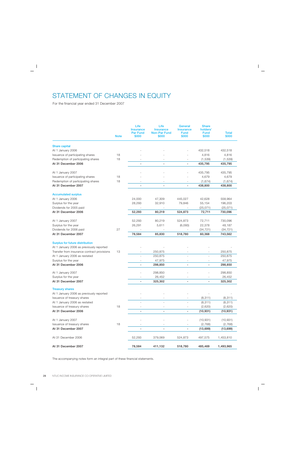# STATEMENT OF CHANGES IN EQUITY

For the financial year ended 31 December 2007

|                                             | <b>Note</b> | Life<br><b>Insurance</b><br><b>Par Fund</b><br>\$000 | Life<br><b>Insurance</b><br><b>Non-Par Fund</b><br>\$000 | General<br><b>Insurance</b><br><b>Fund</b><br>\$000 | <b>Share</b><br>holders'<br><b>Fund</b><br>\$000 | <b>Total</b><br>\$000 |
|---------------------------------------------|-------------|------------------------------------------------------|----------------------------------------------------------|-----------------------------------------------------|--------------------------------------------------|-----------------------|
| <b>Share capital</b>                        |             |                                                      |                                                          |                                                     |                                                  |                       |
| At 1 January 2006                           |             |                                                      |                                                          |                                                     | 432,518                                          | 432,518               |
| Issuance of participating shares            | 18          |                                                      |                                                          |                                                     | 4,816                                            | 4,816                 |
| Redemption of participating shares          | 18          |                                                      |                                                          |                                                     | (1,539)                                          | (1,539)               |
| At 31 December 2006                         |             | $\overline{\phantom{a}}$                             | $\overline{\phantom{a}}$                                 | ÷,                                                  | 435,795                                          | 435,795               |
| At 1 January 2007                           |             |                                                      |                                                          |                                                     | 435,795                                          | 435,795               |
| Issuance of participating shares            | 18          |                                                      |                                                          |                                                     | 4,679                                            | 4,679                 |
| Redemption of participating shares          | 18          |                                                      |                                                          |                                                     | (1,674)                                          | (1,674)               |
| At 31 December 2007                         |             | $\overline{\phantom{a}}$                             | $\overline{\phantom{a}}$                                 | $\overline{\phantom{0}}$                            | 438,800                                          | 438,800               |
| <b>Accumulated surplus</b>                  |             |                                                      |                                                          |                                                     |                                                  |                       |
| At 1 January 2006                           |             | 24,000                                               | 47,309                                                   | 445,027                                             | 42,628                                           | 558,964               |
| Surplus for the year                        |             | 28,293                                               | 32,910                                                   | 79,846                                              | 55,154                                           | 196,203               |
| Dividends for 2005 paid                     |             |                                                      |                                                          |                                                     | (25, 071)                                        | (25,071)              |
| At 31 December 2006                         |             | 52,293                                               | 80,219                                                   | 524,873                                             | 72,711                                           | 730,096               |
| At 1 January 2007                           |             | 52,293                                               | 80,219                                                   | 524,873                                             | 72,711                                           | 730,096               |
| Surplus for the year                        |             | 26,291                                               | 5,611                                                    | (6,093)                                             | 22,378                                           | 48,187                |
| Dividends for 2006 paid                     | 27          |                                                      |                                                          |                                                     | (34, 721)                                        | (34, 721)             |
| At 31 December 2007                         |             | 78,584                                               | 85,830                                                   | 518,780                                             | 60,368                                           | 743,562               |
| <b>Surplus for future distribution</b>      |             |                                                      |                                                          |                                                     |                                                  |                       |
| At 1 January 2006 as previously reported    |             |                                                      |                                                          |                                                     |                                                  |                       |
| Transfer from insurance contract provisions | 13          |                                                      | 250,875                                                  |                                                     |                                                  | 250,875               |
| At 1 January 2006 as restated               |             |                                                      | 250,875                                                  |                                                     |                                                  | 250,875               |
| Surplus for the year                        |             |                                                      | 47,975                                                   |                                                     |                                                  | 47,975                |
| At 31 December 2006                         |             | $\qquad \qquad \blacksquare$                         | 298,850                                                  | ÷                                                   | $\blacksquare$                                   | 298,850               |
| At 1 January 2007                           |             |                                                      | 298,850                                                  |                                                     |                                                  | 298,850               |
| Surplus for the year                        |             |                                                      | 26,452                                                   |                                                     |                                                  | 26,452                |
| At 31 December 2007                         |             |                                                      | 325,302                                                  | ٠                                                   |                                                  | 325,302               |
| <b>Treasury shares</b>                      |             |                                                      |                                                          |                                                     |                                                  |                       |
| At 1 January 2006 as previously reported    |             |                                                      |                                                          |                                                     |                                                  |                       |
| Issuance of treasury shares                 |             |                                                      |                                                          |                                                     | (8, 311)                                         | (8, 311)              |
| At 1 January 2006 as restated               |             |                                                      |                                                          |                                                     | (8, 311)                                         | (8, 311)              |
| Issuance of treasury shares                 | 18          |                                                      |                                                          |                                                     | (2,620)                                          | (2,620)               |
| At 31 December 2006                         |             |                                                      |                                                          | ÷,                                                  | (10, 931)                                        | (10, 931)             |
| At 1 January 2007                           |             |                                                      |                                                          |                                                     | (10, 931)                                        | (10, 931)             |
| Issuance of treasury shares                 | 18          |                                                      |                                                          |                                                     | (2,768)                                          | (2,768)               |
| At 31 December 2007                         |             | $\qquad \qquad \blacksquare$                         | $\blacksquare$                                           | $\overline{\phantom{0}}$                            | (13,699)                                         | (13,699)              |
| At 31 December 2006                         |             | 52,293                                               | 379,069                                                  | 524,873                                             | 497,575                                          | 1,453,810             |
| At 31 December 2007                         |             | 78,584                                               | 411,132                                                  | 518,780                                             | 485,469                                          | 1,493,965             |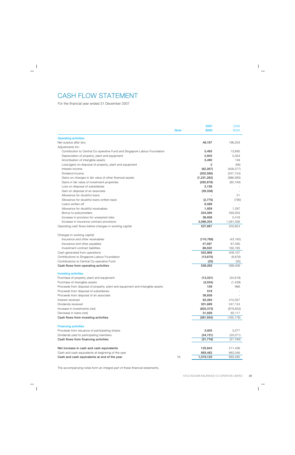# CASH FLOW STATEMENT

For the financial year ended 31 December 2007

|                                                                               |             | 2007              | 2006       |
|-------------------------------------------------------------------------------|-------------|-------------------|------------|
|                                                                               | <b>Note</b> | \$000             | \$000      |
| <b>Operating activities</b>                                                   |             |                   |            |
| Net surplus after levy                                                        |             | 48,187            | 196,203    |
| Adjustments for:                                                              |             |                   |            |
| Contribution to Central Co-operative Fund and Singapore Labour Foundation     |             | 5,465             | 13,695     |
| Depreciation of property, plant and equipment                                 |             | 2,945             | 5,353      |
| Amortisation of intangible assets                                             |             | 3,490             | 149        |
| Loss/(gain) on disposal of property, plant and equipment                      |             | 2                 | (56)       |
| Interest income                                                               |             | (62, 267)         | (408, 377) |
| Dividend income                                                               |             | (302, 580)        | (247, 124) |
| Gains on changes in fair value of other financial assets                      |             | (1, 231, 282)     | (986, 360) |
| Gains in fair value of investment properties                                  |             | (292, 676)        | (60, 194)  |
| Loss on disposal of subsidiaries                                              |             | 2,136             |            |
| Gain on disposal of an associate                                              |             | (29, 338)         |            |
| Allowance for doubtful loans                                                  |             |                   | 21         |
| Allowance for doubtful loans written back                                     |             | (2, 775)          | (790)      |
| Loans written off                                                             |             | 6,589             |            |
| Allowance for doubtful receivables                                            |             | 1,929             | 1,297      |
|                                                                               |             |                   | 293,553    |
| Bonus to policyholders                                                        |             | 254,590<br>36,938 |            |
| Increase in provision for unexpired risks                                     |             |                   | 5,418      |
| Increase in insurance contract provisions                                     |             | 2,086,334         | 1,391,036  |
| Operating cash flows before changes in working capital                        |             | 527,687           | 203,824    |
| Changes in working capital:                                                   |             |                   |            |
| Insurance and other receivables                                               |             | (110, 788)        | (43, 192)  |
| Insurance and other payables                                                  |             | 47,587            | 87,290     |
| Investment contract liabilities                                               |             | 88,502            | 160,185    |
| Cash generated from operations                                                |             | 552,988           | 408,107    |
| Contributions to Singapore Labour Foundation                                  |             | (13, 670)         | (9,676)    |
| Contributions to Central Co-operative Fund                                    |             | (25)              | (25)       |
| Cash flows from operating activities                                          |             | 539,293           | 398,406    |
| <b>Investing activities</b>                                                   |             |                   |            |
| Purchase of property, plant and equipment                                     |             | (13, 321)         | (34, 618)  |
| Purchase of intangible assets                                                 |             | (3, 554)          | (1,439)    |
| Proceeds from disposal of property, plant and equipment and intangible assets |             | 159               | 966        |
| Proceeds from disposal of subsidiaries                                        |             | 519               |            |
| Proceeds from disposal of an associate                                        |             | 38,838            |            |
| Interest received                                                             |             | 62,283            | 410,327    |
| Dividends received                                                            |             | 301,689           | 247,124    |
| Increase in investments (net)                                                 |             | (820, 373)        | (879, 653) |
| Decrease in Ioans (net)                                                       |             | 51,826            | 92,117     |
| Cash flows from investing activities                                          |             | (381, 934)        | (165, 176) |
| <b>Financing activities</b>                                                   |             |                   |            |
| Proceeds from issuance of participating shares                                |             | 3,005             | 3,277      |
| Dividends paid to participating members                                       |             | (34, 721)         | (25,071)   |
| Cash flows from financing activities                                          |             | (31, 716)         | (21, 794)  |
|                                                                               |             |                   |            |
| Net increase in cash and cash equivalents                                     |             | 125,643           | 211,436    |
| Cash and cash equivalents at beginning of the year                            |             | 893,482           | 682,046    |
| Cash and cash equivalents at end of the year                                  | 16          | 1,019,125         | 893,482    |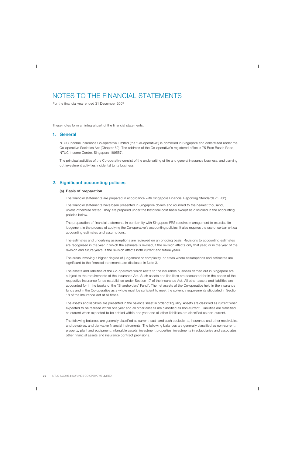For the financial year ended 31 December 2007

These notes form an integral part of the financial statements.

### **1. General**

NTUC Income Insurance Co-operative Limited (the "Co-operative") is domiciled in Singapore and constituted under the Co-operative Societies Act (Chapter 62). The address of the Co-operative's registered office is 75 Bras Basah Road, NTUC Income Centre, Singapore 189557.

The principal activities of the Co-operative consist of the underwriting of life and general insurance business, and carrying out investment activities incidental to its business.

### **2. Significant accounting policies**

#### **(a) Basis of preparation**

The financial statements are prepared in accordance with Singapore Financial Reporting Standards ("FRS").

The financial statements have been presented in Singapore dollars and rounded to the nearest thousand, unless otherwise stated. They are prepared under the historical cost basis except as disclosed in the accounting policies below.

The preparation of financial statements in conformity with Singapore FRS requires management to exercise its judgement in the process of applying the Co-operative's accounting policies. It also requires the use of certain critical accounting estimates and assumptions.

The estimates and underlying assumptions are reviewed on an ongoing basis. Revisions to accounting estimates are recognised in the year in which the estimate is revised, if the revision affects only that year, or in the year of the revision and future years, if the revision affects both current and future years.

The areas involving a higher degree of judgement or complexity, or areas where assumptions and estimates are significant to the financial statements are disclosed in Note 3.

The assets and liabilities of the Co-operative which relate to the insurance business carried out in Singapore are subject to the requirements of the Insurance Act. Such assets and liabilities are accounted for in the books of the respective insurance funds established under Section 17 of the Insurance Act. All other assets and liabilities are accounted for in the books of the "Shareholders' Fund". The net assets of the Co-operative held in the insurance funds and in the Co-operative as a whole must be sufficient to meet the solvency requirements stipulated in Section 18 of the Insurance Act at all times.

The assets and liabilities are presented in the balance sheet in order of liquidity. Assets are classified as current when expected to be realised within one year and all other asse ts are classified as non-current. Liabilities are classified as current when expected to be settled within one year and all other liabilities are classified as non-current.

The following balances are generally classified as current: cash and cash equivalents, insurance and other receivables and payables, and derivative financial instruments. The following balances are generally classified as non-current: property, plant and equipment, intangible assets, investment properties, investments in subsidiaries and associates, other financial assets and insurance contract provisions.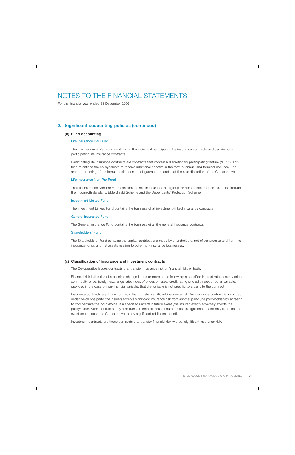For the financial year ended 31 December 2007

## **2. Significant accounting policies (continued)**

#### **(b) Fund accounting**

#### Life Insurance Par Fund

The Life Insurance Par Fund contains all the individual participating life insurance contracts and certain nonparticipating life insurance contracts.

Participating life insurance contracts are contracts that contain a discretionary participating feature ("DPF"). This feature entitles the policyholders to receive additional benefits in the form of annual and terminal bonuses. The amount or timing of the bonus declaration is not guaranteed, and is at the sole discretion of the Co-operative.

#### Life Insurance Non-Par Fund

The Life Insurance Non-Par Fund contains the health insurance and group term insurance businesses. It also includes the IncomeShield plans, ElderShield Scheme and the Dependants' Protection Scheme.

#### Investment Linked Fund

The Investment Linked Fund contains the business of all investment-linked insurance contracts.

#### General Insurance Fund

The General Insurance Fund contains the business of all the general insurance contracts.

#### Shareholders' Fund

The Shareholders' Fund contains the capital contributions made by shareholders, net of transfers to and from the insurance funds and net assets relating to other non-insurance businesses.

#### **(c) Classification of insurance and investment contracts**

The Co-operative issues contracts that transfer insurance risk or financial risk, or both.

Financial risk is the risk of a possible change in one or more of the following: a specified interest rate, security price, commodity price, foreign exchange rate, index of prices or rates, credit rating or credit index or other variable, provided in the case of non-financial variable, that the variable is not specific to a party to the contract.

Insurance contracts are those contracts that transfer significant insurance risk. An insurance contract is a contract under which one party (the insurer) accepts significant insurance risk from another party (the policyholder) by agreeing to compensate the policyholder if a specified uncertain future event (the insured event) adversely affects the policyholder. Such contracts may also transfer financial risks. Insurance risk is significant if, and only if, an insured event could cause the Co-operative to pay significant additional benefits.

Investment contracts are those contracts that transfer financial risk without significant insurance risk.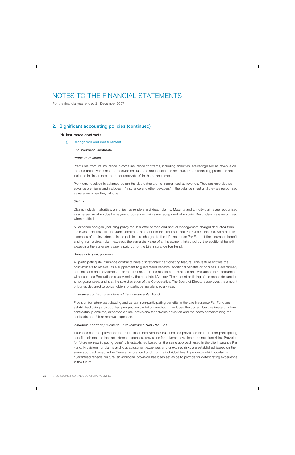For the financial year ended 31 December 2007

## **2. Significant accounting policies (continued)**

#### **(d) Insurance contracts**

#### (i) Recognition and measurement

#### Life Insurance Contracts

#### *Premium revenue*

Premiums from life insurance in-force insurance contracts, including annuities, are recognised as revenue on the due date. Premiums not received on due date are included as revenue. The outstanding premiums are included in "Insurance and other receivables" in the balance sheet.

Premiums received in advance before the due dates are not recognised as revenue. They are recorded as advance premiums and included in "Insurance and other payables" in the balance sheet until they are recognised as revenue when they fall due.

#### *Claims*

Claims include maturities, annuities, surrenders and death claims. Maturity and annuity claims are recognised as an expense when due for payment. Surrender claims are recognised when paid. Death claims are recognised when notified.

All expense charges (including policy fee, bid-offer spread and annual management charge) deducted from the investment linked life insurance contracts are paid into the Life Insurance Par Fund as income. Administrative expenses of the investment linked policies are charged to the Life Insurance Par Fund. If the insurance benefit arising from a death claim exceeds the surrender value of an investment linked policy, the additional benefit exceeding the surrender value is paid out of the Life Insurance Par Fund.

#### *Bonuses to policyholders*

All participating life insurance contracts have discretionary participating feature. This feature entitles the policyholders to receive, as a supplement to guaranteed benefits, additional benefits or bonuses. Reversionary bonuses and cash dividends declared are based on the results of annual actuarial valuations in accordance with Insurance Regulations as advised by the appointed Actuary. The amount or timing of the bonus declaration is not guaranteed, and is at the sole discretion of the Co-operative. The Board of Directors approves the amount of bonus declared to policyholders of participating plans every year.

#### *Insurance contract provisions - Life Insurance Par Fund*

Provision for future participating and certain non-participating benefits in the Life Insurance Par Fund are established using a discounted prospective cash-flow method. It includes the current best estimate of future contractual premiums, expected claims, provisions for adverse deviation and the costs of maintaining the contracts and future renewal expenses.

#### *Insurance contract provisions - Life Insurance Non-Par Fund*

Insurance contract provisions in the Life Insurance Non-Par Fund include provisions for future non-participating benefits, claims and loss adjustment expenses, provisions for adverse deviation and unexpired risks. Provision for future non-participating benefits is established based on the same approach used in the Life Insurance Par Fund. Provisions for claims and loss adjustment expenses and unexpired risks are established based on the same approach used in the General Insurance Fund. For the individual health products which contain a guaranteed renewal feature, an additional provision has been set aside to provide for deteriorating experience in the future.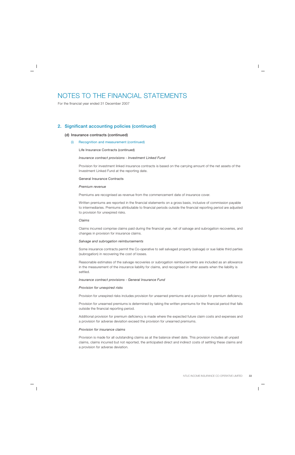For the financial year ended 31 December 2007

### **2. Significant accounting policies (continued)**

#### **(d) Insurance contracts (continued)**

(i) Recognition and measurement (continued)

#### Life Insurance Contracts (continued)

#### *Insurance contract provisions - Investment Linked Fund*

Provision for investment linked insurance contracts is based on the carrying amount of the net assets of the Investment Linked Fund at the reporting date.

#### General Insurance Contracts

#### *Premium revenue*

Premiums are recognised as revenue from the commencement date of insurance cover.

Written premiums are reported in the financial statements on a gross basis, inclusive of commission payable to intermediaries. Premiums attributable to financial periods outside the financial reporting period are adjusted to provision for unexpired risks.

#### *Claims*

Claims incurred comprise claims paid during the financial year, net of salvage and subrogation recoveries, and changes in provision for insurance claims.

#### *Salvage and subrogation reimbursements*

Some insurance contracts permit the Co-operative to sell salvaged property (salvage) or sue liable third parties (subrogation) in recovering the cost of losses.

Reasonable estimates of the salvage recoveries or subrogation reimbursements are included as an allowance in the measurement of the insurance liability for claims, and recognised in other assets when the liability is settled.

#### *Insurance contract provisions - General Insurance Fund*

#### *Provision for unexpired risks*

Provision for unexpired risks includes provision for unearned premiums and a provision for premium deficiency.

Provision for unearned premiums is determined by taking the written premiums for the financial period that falls outside the financial reporting period.

Additional provision for premium deficiency is made where the expected future claim costs and expenses and a provision for adverse deviation exceed the provision for unearned premiums.

#### *Provision for insurance claims*

Provision is made for all outstanding claims as at the balance sheet date. This provision includes all unpaid claims, claims incurred but not reported, the anticipated direct and indirect costs of settling these claims and a provision for adverse deviation.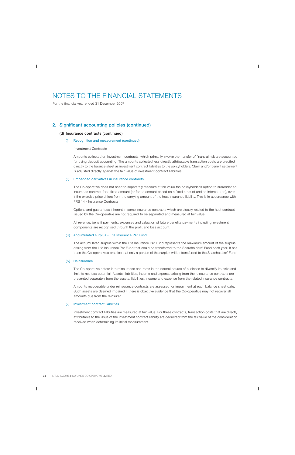For the financial year ended 31 December 2007

### **2. Significant accounting policies (continued)**

#### **(d) Insurance contracts (continued)**

(i) Recognition and measurement (continued)

#### Investment Contracts

Amounts collected on investment contracts, which primarily involve the transfer of financial risk are accounted for using deposit accounting. The amounts collected less directly attributable transaction costs are credited directly to the balance sheet as investment contract liabilities to the policyholders. Claim and/or benefit settlement is adjusted directly against the fair value of investment contract liabilities.

#### (ii) Embedded derivatives in insurance contracts

The Co-operative does not need to separately measure at fair value the policyholder's option to surrender an insurance contract for a fixed amount (or for an amount based on a fixed amount and an interest rate), even if the exercise price differs from the carrying amount of the host insurance liability. This is in accordance with FRS 14 - Insurance Contracts.

Options and guarantees inherent in some insurance contracts which are closely related to the host contract issued by the Co-operative are not required to be separated and measured at fair value.

All revenue, benefit payments, expenses and valuation of future benefits payments including investment components are recognised through the profit and loss account.

#### (iii) Accumulated surplus - Life Insurance Par Fund

The accumulated surplus within the Life Insurance Par Fund represents the maximum amount of the surplus arising from the Life Insurance Par Fund that could be transferred to the Shareholders' Fund each year. It has been the Co-operative's practice that only a portion of the surplus will be transferred to the Shareholders' Fund.

#### (iv) Reinsurance

The Co-operative enters into reinsurance contracts in the normal course of business to diversify its risks and limit its net loss potential. Assets, liabilities, income and expense arising from the reinsurance contracts are presented separately from the assets, liabilities, income and expense from the related insurance contracts.

Amounts recoverable under reinsurance contracts are assessed for impairment at each balance sheet date. Such assets are deemed impaired if there is objective evidence that the Co-operative may not recover all amounts due from the reinsurer.

#### (v) Investment contract liabilities

Investment contract liabilities are measured at fair value. For these contracts, transaction costs that are directly attributable to the issue of the investment contract liability are deducted from the fair value of the consideration received when determining its initial measurement.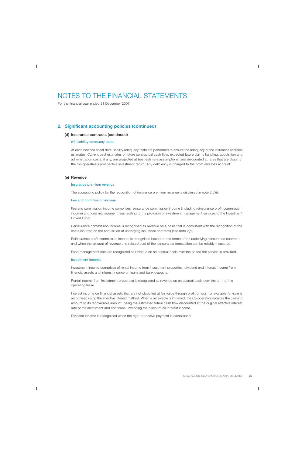For the financial year ended 31 December 2007

# **2. Significant accounting policies (continued)**

## **(d) Insurance contracts (continued)**

## (vi) Liability adequacy tests

At each balance sheet date, liability adequacy tests are performed to ensure the adequacy of the insurance liabilities estimates. Current best estimates of future contractual cash flow, expected future claims handling, acquisition and administration costs, if any, are projected at best estimate assumptions, and discounted at rates that are close to the Co-operative's prospective investment return. Any deficiency is charged to the profit and loss account.

### **(e) Revenue**

#### Insurance premium revenue

The accounting policy for the recognition of insurance premium revenue is disclosed in note 2(d)(i).

#### Fee and commission income

Fee and commission income comprises reinsurance commission income (including reinsurance profit commission income) and fund management fees relating to the provision of investment management services to the Investment Linked Fund.

Reinsurance commission income is recognised as revenue on a basis that is consistent with the recognition of the costs incurred on the acquisition of underlying insurance contracts (see note 2(d)).

Reinsurance profit commission income is recognised based on the terms of the underlying reinsurance contract, and when the amount of revenue and related cost of the reinsurance transaction can be reliably measured.

Fund management fees are recognised as revenue on an accrual basis over the period the service is provided.

#### Investment income

Investment income comprises of rental income from investment properties, dividend and interest income from financial assets and interest income on loans and bank deposits.

Rental income from investment properties is recognised as revenue on an accrual basis over the term of the operating lease.

Interest income on financial assets that are not classified at fair value through profit or loss nor available-for-sale is recognised using the effective interest method. When a receivable is impaired, the Co-operative reduces the carrying amount to its recoverable amount, being the estimated future cash flow discounted at the original effective interest rate of the instrument and continues unwinding the discount as interest income.

Dividend income is recognised when the right to receive payment is established.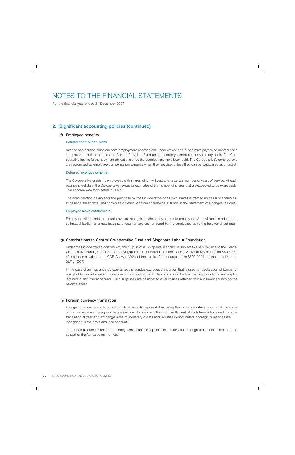For the financial year ended 31 December 2007

# **2. Significant accounting policies (continued)**

## **(f) Employee benefits**

## Defined contribution plans

Defined contribution plans are post-employment benefit plans under which the Co-operative pays fixed contributions into separate entities such as the Central Provident Fund on a mandatory, contractual or voluntary basis. The Cooperative has no further payment obligations once the contributions have been paid. The Co-operative's contributions are recognised as employee compensation expense when they are due, unless they can be capitalised as an asset.

### Deferred incentive scheme

The Co-operative grants its employees with shares which will vest after a certain number of years of service. At each balance sheet date, the Co-operative revises its estimates of the number of shares that are expected to be exercisable. This scheme was terminated in 2007.

The consideration payable for the purchase by the Co-operative of its own shares is treated as treasury shares as at balance sheet date, and shown as a deduction from shareholders' funds in the Statement of Changes in Equity.

### Employee leave entitlements

Employee entitlements to annual leave are recognised when they accrue to employees. A provision is made for the estimated liability for annual leave as a result of services rendered by the employees up to the balance sheet date.

# **(g) Contributions to Central Co-operative Fund and Singapore Labour Foundation**

Under the Co-operative Societies Act, the surplus of a Co-operative society is subject to a levy payable to the Central Co-operative Fund (the "CCF") or the Singapore Labour Foundation (the "SLF"). A levy of 5% of the first \$500,000 of surplus is payable to the CCF. A levy of 20% of the surplus for amounts above \$500,000 is payable to either the SLF or CCF.

In the case of an insurance Co-operative, the surplus excludes the portion that is used for declaration of bonus to policyholders or retained in the insurance fund and, accordingly, no provision for levy has been made for any surplus retained in any insurance fund. Such surpluses are designated as surpluses retained within insurance funds on the balance sheet.

# **(h) Foreign currency translation**

Foreign currency transactions are translated into Singapore dollars using the exchange rates prevailing at the dates of the transactions. Foreign exchange gains and losses resulting from settlement of such transactions and from the translation at year-end exchange rates of monetary assets and liabilities denominated in foreign currencies are recognised in the profit and loss account.

Translation differences on non-monetary items, such as equities held at fair value through profit or loss, are reported as part of the fair value gain or loss.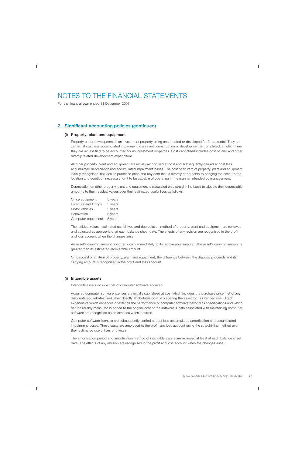For the financial year ended 31 December 2007

# **2. Significant accounting policies (continued)**

## **(i) Property, plant and equipment**

Property under development is an investment property being constructed or developed for future rental. They are carried at cost less accumulated impairment losses until construction or development is completed, at which time they are reclassified to be accounted for as investment properties. Cost capitalised includes cost of land and other directly related development expenditure.

All other property, plant and equipment are initially recognised at cost and subsequently carried at cost less accumulated depreciation and accumulated impairment losses. The cost of an item of property, plant and equipment initially recognised includes its purchase price and any cost that is directly attributable to bringing the asset to the location and condition necessary for it to be capable of operating in the manner intended by management.

Depreciation on other property, plant and equipment is calculated on a straight-line basis to allocate their depreciable amounts to their residual values over their estimated useful lives as follows:

Office equipment 5 years Furniture and fittings 5 years Motor vehicles 5 years Renovation 5 years Computer equipment 5 years

The residual values, estimated useful lives and depreciation method of property, plant and equipment are reviewed, and adjusted as appropriate, at each balance sheet date. The effects of any revision are recognised in the profit and loss account when the changes arise.

An asset's carrying amount is written down immediately to its recoverable amount if the asset's carrying amount is greater than its estimated recoverable amount.

On disposal of an item of property, plant and equipment, the difference between the disposal proceeds and its carrying amount is recognised in the profit and loss account.

# **(j) Intangible assets**

Intangible assets include cost of computer software acquired.

Acquired computer software licenses are initially capitalised at cost which includes the purchase price (net of any discounts and rebates) and other directly attributable cost of preparing the asset for its intended use. Direct expenditure which enhances or extends the performance of computer software beyond its specifications and which can be reliably measured is added to the original cost of the software. Costs associated with maintaining computer software are recognised as an expense when incurred.

Computer software licenses are subsequently carried at cost less accumulated amortisation and accumulated impairment losses. These costs are amortised to the profit and loss account using the straight-line method over their estimated useful lives of 5 years.

The amortisation period and amortisation method of intangible assets are reviewed at least at each balance sheet date. The effects of any revision are recognised in the profit and loss account when the changes arise.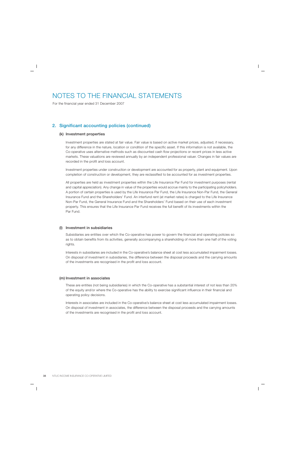For the financial year ended 31 December 2007

# **2. Significant accounting policies (continued)**

## **(k) Investment properties**

Investment properties are stated at fair value. Fair value is based on active market prices, adjusted, if necessary, for any difference in the nature, location or condition of the specific asset. If this information is not available, the Co-operative uses alternative methods such as discounted cash flow projections or recent prices in less active markets. These valuations are reviewed annually by an independent professional valuer. Changes in fair values are recorded in the profit and loss account.

Investment properties under construction or development are accounted for as property, plant and equipment. Upon completion of construction or development, they are reclassified to be accounted for as investment properties.

All properties are held as investment properties within the Life Insurance Par Fund for investment purposes (rental and capital appreciation). Any change in value of the properties would accrue mainly to the participating policyholders. A portion of certain properties is used by the Life Insurance Par Fund, the Life Insurance Non-Par Fund, the General Insurance Fund and the Shareholders' Fund. An interfund rent (at market rates) is charged to the Life Insurance Non-Par Fund, the General Insurance Fund and the Shareholders' Fund based on their use of each investment property. This ensures that the Life Insurance Par Fund receives the full benefit of its investments within the Par Fund.

## **(l) Investment in subsidiaries**

Subsidiaries are entities over which the Co-operative has power to govern the financial and operating policies so as to obtain benefits from its activities, generally accompanying a shareholding of more than one half of the voting rights.

Interests in subsidiaries are included in the Co-operative's balance sheet at cost less accumulated impairment losses. On disposal of investment in subsidiaries, the difference between the disposal proceeds and the carrying amounts of the investments are recognised in the profit and loss account.

### **(m) Investment in associates**

These are entities (not being subsidiaries) in which the Co-operative has a substantial interest of not less than 20% of the equity and/or where the Co-operative has the ability to exercise significant influence in their financial and operating policy decisions.

Interests in associates are included in the Co-operative's balance sheet at cost less accumulated impairment losses. On disposal of investment in associates, the difference between the disposal proceeds and the carrying amounts of the investments are recognised in the profit and loss account.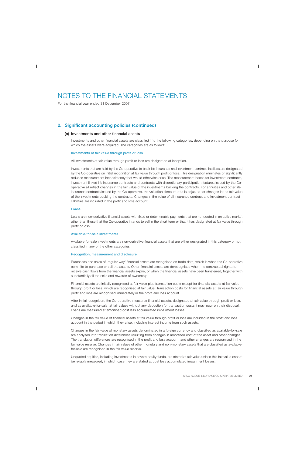For the financial year ended 31 December 2007

# **2. Significant accounting policies (continued)**

### **(n) Investments and other financial assets**

Investments and other financial assets are classified into the following categories, depending on the purpose for which the assets were acquired. The categories are as follows:

#### Investments at fair value through profit or loss

All investments at fair value through profit or loss are designated at inception.

Investments that are held by the Co-operative to back life insurance and investment contract liabilities are designated by the Co-operative on initial recognition at fair value through profit or loss. This designation eliminates or significantly reduces measurement inconsistency that would otherwise arise. The measurement bases for investment contracts, investment linked life insurance contracts and contracts with discretionary participation features issued by the Cooperative all reflect changes in the fair value of the investments backing the contracts. For annuities and other life insurance contracts issued by the Co-operative, the valuation discount rate is adjusted for changes in the fair value of the investments backing the contracts. Changes in the value of all insurance contract and investment contract liabilities are included in the profit and loss account.

#### Loans

Loans are non-derivative financial assets with fixed or determinable payments that are not quoted in an active market other than those that the Co-operative intends to sell in the short term or that it has designated at fair value through profit or loss.

#### Available-for-sale investments

Available-for-sale investments are non-derivative financial assets that are either designated in this category or not classified in any of the other categories.

### Recognition, measurement and disclosure

Purchases and sales of 'regular way' financial assets are recognised on trade date, which is when the Co-operative commits to purchase or sell the assets. Other financial assets are derecognised when the contractual rights to receive cash flows from the financial assets expire, or when the financial assets have been transferred, together with substantially all the risks and rewards of ownership.

Financial assets are initially recognised at fair value plus transaction costs except for financial assets at fair value through profit or loss, which are recognised at fair value. Transaction costs for financial assets at fair value through profit and loss are recognised immediately in the profit and loss account.

After initial recognition, the Co-operative measures financial assets, designated at fair value through profit or loss, and as available-for-sale, at fair values without any deduction for transaction costs it may incur on their disposal. Loans are measured at amortised cost less accumulated impairment losses.

Changes in the fair value of financial assets at fair value through profit or loss are included in the profit and loss account in the period in which they arise, including interest income from such assets.

Changes in the fair value of monetary assets denominated in a foreign currency and classified as available-for-sale are analysed into translation differences resulting from changes in amortised cost of the asset and other changes. The translation differences are recognised in the profit and loss account, and other changes are recognised in the fair value reserve. Changes in fair values of other monetary and non-monetary assets that are classified as availablefor-sale are recognised in the fair value reserve.

Unquoted equities, including investments in private equity funds, are stated at fair value unless this fair value cannot be reliably measured, in which case they are stated at cost less accumulated impairment losses.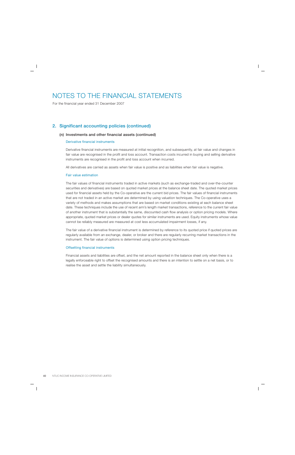For the financial year ended 31 December 2007

# **2. Significant accounting policies (continued)**

## **(n) Investments and other financial assets (continued)**

#### Derivative financial instruments

Derivative financial instruments are measured at initial recognition, and subsequently, at fair value and changes in fair value are recognised in the profit and loss account. Transaction costs incurred in buying and selling derivative instruments are recognised in the profit and loss account when incurred.

All derivatives are carried as assets when fair value is positive and as liabilities when fair value is negative.

#### Fair value estimation

The fair values of financial instruments traded in active markets (such as exchange-traded and over-the-counter securities and derivatives) are based on quoted market prices at the balance sheet date. The quoted market prices used for financial assets held by the Co-operative are the current bid prices. The fair values of financial instruments that are not traded in an active market are determined by using valuation techniques. The Co-operative uses a variety of methods and makes assumptions that are based on market conditions existing at each balance sheet date. These techniques include the use of recent arm's length market transactions, reference to the current fair value of another instrument that is substantially the same, discounted cash flow analysis or option pricing models. Where appropriate, quoted market prices or dealer quotes for similar instruments are used. Equity instruments whose value cannot be reliably measured are measured at cost less accumulated impairment losses, if any.

The fair value of a derivative financial instrument is determined by reference to its quoted price if quoted prices are regularly available from an exchange, dealer, or broker and there are regularly recurring market transactions in the instrument. The fair value of options is determined using option pricing techniques.

### Offsetting financial instruments

Financial assets and liabilities are offset, and the net amount reported in the balance sheet only when there is a legally enforceable right to offset the recognised amounts and there is an intention to settle on a net basis, or to realise the asset and settle the liability simultaneously.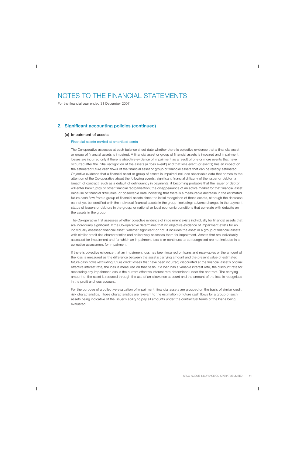For the financial year ended 31 December 2007

# **2. Significant accounting policies (continued)**

## **(o) Impairment of assets**

#### Financial assets carried at amortised costs

The Co-operative assesses at each balance sheet date whether there is objective evidence that a financial asset or group of financial assets is impaired. A financial asset or group of financial assets is impaired and impairment losses are incurred only if there is objective evidence of impairment as a result of one or more events that have occurred after the initial recognition of the assets (a 'loss event') and that loss event (or events) has an impact on the estimated future cash flows of the financial asset or group of financial assets that can be reliably estimated. Objective evidence that a financial asset or group of assets is impaired includes observable data that comes to the attention of the Co-operative about the following events: significant financial difficulty of the issuer or debtor; a breach of contract, such as a default of delinquency in payments; it becoming probable that the issuer or debtor will enter bankruptcy or other financial reorganisation; the disappearance of an active market for that financial asset because of financial difficulties; or observable data indicating that there is a measurable decrease in the estimated future cash flow from a group of financial assets since the initial recognition of those assets, although the decrease cannot yet be identified with the individual financial assets in the group, including: adverse changes in the payment status of issuers or debtors in the group; or national or local economic conditions that correlate with defaults on the assets in the group.

The Co-operative first assesses whether objective evidence of impairment exists individually for financial assets that are individually significant. If the Co-operative determines that no objective evidence of impairment exists for an individually assessed financial asset, whether significant or not, it includes the asset in a group of financial assets with similar credit risk characteristics and collectively assesses them for impairment. Assets that are individually assessed for impairment and for which an impairment loss is or continues to be recognised are not included in a collective assessment for impairment.

If there is objective evidence that an impairment loss has been incurred on loans and receivables or the amount of the loss is measured as the difference between the asset's carrying amount and the present value of estimated future cash flows (excluding future credit losses that have been incurred) discounted at the financial asset's original effective interest rate, the loss is measured on that basis. If a loan has a variable interest rate, the discount rate for measuring any impairment loss is the current effective interest rate determined under the contract. The carrying amount of the asset is reduced through the use of an allowance account and the amount of the loss is recognised in the profit and loss account.

For the purpose of a collective evaluation of impairment, financial assets are grouped on the basis of similar credit risk characteristics. Those characteristics are relevant to the estimation of future cash flows for a group of such assets being indicative of the issuer's ability to pay all amounts under the contractual terms of the loans being evaluated.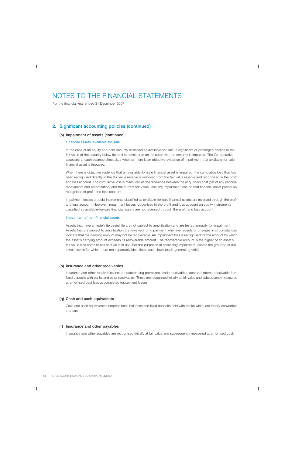For the financial year ended 31 December 2007

# **2. Significant accounting policies (continued)**

## **(o) Impairment of assets (continued)**

## Financial assets, available-for-sale

In the case of an equity and debt security classified as available-for-sale, a significant or prolonged decline in the fair value of the security below its cost is considered an indicator that the security is impaired. The Co-operative assesses at each balance sheet date whether there is an objective evidence of impairment that available-for-sale financial asset is impaired.

When there is objective evidence that an available-for-sale financial asset is impaired, the cumulative loss that has been recognised directly in the fair value reserve is removed from the fair value reserve and recognised in the profit and loss account. The cumulative loss is measured as the difference between the acquisition cost (net of any principal repayments and amortisation) and the current fair value, less any impairment loss on that financial asset previously recognised in profit and loss account.

Impairment losses on debt instruments classified as available-for-sale financial assets are reversed through the profit and loss account. However, impairment losses recognised in the profit and loss account on equity instruments classified as available-for-sale financial assets are not reversed through the profit and loss account.

#### Impairment of non-financial assets

Assets that have an indefinite useful life are not subject to amortisation and are tested annually for impairment. Assets that are subject to amortisation are reviewed for impairment whenever events or changes in circumstances indicate that the carrying amount may not be recoverable. An impairment loss is recognised for the amount by which the asset's carrying amount exceeds its recoverable amount. The recoverable amount is the higher of an asset's fair value less costs to sell and value in use. For the purposes of assessing impairment, assets are grouped at the lowest levels for which there are separately identifiable cash flows (cash-generating units).

### **(p) Insurance and other receivables**

Insurance and other receivables include outstanding premiums, trade receivables, accrued interest receivable from fixed deposits with banks and other receivables. These are recognised initially at fair value and subsequently measured at amortised cost less accumulated impairment losses.

### **(q) Cash and cash equivalents**

Cash and cash equivalents comprise bank balances and fixed deposits held with banks which are readily convertible into cash.

## **(r) Insurance and other payables**

Insurance and other payables are recognised initially at fair value and subsequently measured at amortised cost.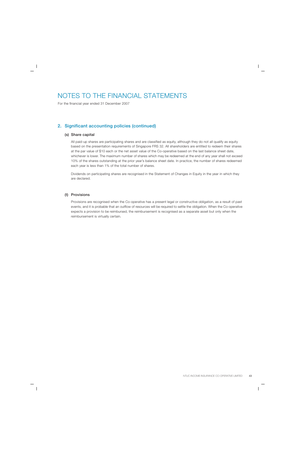For the financial year ended 31 December 2007

# **2. Significant accounting policies (continued)**

# **(s) Share capital**

All paid-up shares are participating shares and are classified as equity, although they do not all qualify as equity based on the presentation requirements of Singapore FRS 32. All shareholders are entitled to redeem their shares at the par value of \$10 each or the net asset value of the Co-operative based on the last balance sheet date, whichever is lower. The maximum number of shares which may be redeemed at the end of any year shall not exceed 10% of the shares outstanding at the prior year's balance sheet date. In practice, the number of shares redeemed each year is less than 1% of the total number of shares.

Dividends on participating shares are recognised in the Statement of Changes in Equity in the year in which they are declared.

# **(t) Provisions**

Provisions are recognised when the Co-operative has a present legal or constructive obligation, as a result of past events, and it is probable that an outflow of resources will be required to settle the obligation. When the Co-operative expects a provision to be reimbursed, the reimbursement is recognised as a separate asset but only when the reimbursement is virtually certain.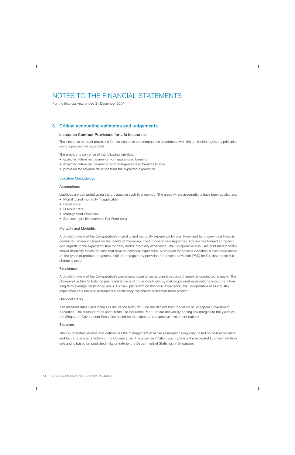For the financial year ended 31 December 2007

# **3. Critical accounting estimates and judgements**

## **Insurance Contract Provisions for Life Insurance**

The insurance contract provisions for Life insurance are computed in accordance with the applicable regulatory principles using a prospective approach.

The provisions comprise of the following liabilities:

- expected future net payments from guaranteed benefits
- expected future net payments from non-guaranteed benefits (if any)
- provision for adverse deviation from the expected experience

## Valuation Methodology

### Assumptions

Liabilities are computed using the prospective cash flow method. The areas where assumptions have been applied are:

- Mortality and morbidity (if applicable)
- Persistency
- Discount rate
- Management Expenses
- Bonuses (for Life Insurance Par Fund only)

## Mortality and Morbidity

A detailed review of the Co-operative's mortality and morbidity experience by plan types and by underwriting types is conducted annually. Based on the results of the review, the Co-operative's Appointed Actuary has formed an opinion with regards to the expected future mortality and/or morbidity experience. The Co-operative also uses published mortality and/or morbidity tables for plans that have no historical experience. A provision for adverse deviation is also made based on the types of product. In general, half of the regulatory provision for adverse deviation (PAD) for C1 (Insurance) risk charge is used.

### **Persistency**

A detailed review of the Co-operative's persistency experience by plan types and channels is conducted annually. The Co-operative tries to balance past experience and future conditions by making prudent assumptions about the future long term average persistency levels. For new plans with no historical experience, the Co-operative uses industry experience as a basis or assumes full persistency, whichever is deemed more prudent.

### Discount Rates

The discount rates used in the Life Insurance Non-Par Fund are derived from the yields of Singapore Government Securities. The discount rates used in the Life Insurance Par Fund are derived by adding risk margins to the yields of the Singapore Government Securities based on the expected prospective investment outlook.

### Expenses

The Co-operative reviews and determines the management expense assumptions regularly based on past experience and future business direction of the Co-operative. The expense inflation assumption is the expected long term inflation rate and is based on published inflation rate by the Department of Statistics of Singapore.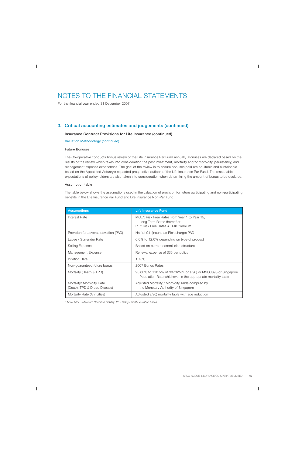For the financial year ended 31 December 2007

# **3. Critical accounting estimates and judgements (continued)**

# **Insurance Contract Provisions for Life Insurance (continued)**

Valuation Methodology (continued)

## Future Bonuses

The Co-operative conducts bonus review of the Life Insurance Par Fund annually. Bonuses are declared based on the results of the review which takes into consideration the past investment, mortality and/or morbidity, persistency, and management expense experiences. The goal of the review is to ensure bonuses paid are equitable and sustainable based on the Appointed Actuary's expected prospective outlook of the Life Insurance Par Fund. The reasonable expectations of policyholders are also taken into consideration when determining the amount of bonus to be declared.

#### Assumption table

The table below shows the assumptions used in the valuation of provision for future participating and non-participating benefits in the Life Insurance Par Fund and Life Insurance Non-Par Fund.

| <b>Assumptions</b>                                        | <b>Life Insurance Fund</b>                                                                                                    |
|-----------------------------------------------------------|-------------------------------------------------------------------------------------------------------------------------------|
| Interest Rate                                             | MCL*: Risk Free Rates from Year 1 to Year 15,<br>Long Term Rates thereafter<br>PL*: Risk Free Rates + Risk Premium            |
| Provision for adverse deviation (PAD)                     | Half of C1 (Insurance Risk charge) PAD                                                                                        |
| Lapse / Surrender Rate                                    | 0.0% to 12.0% depending on type of product                                                                                    |
| <b>Selling Expense</b>                                    | Based on current commission structure                                                                                         |
| Management Expense                                        | Renewal expense of \$35 per policy                                                                                            |
| Inflation Rate                                            | 1.75%                                                                                                                         |
| Non-guaranteed future bonus                               | 2007 Bonus Rates                                                                                                              |
| Mortality (Death & TPD)                                   | 90.00% to 116.5% of S9702M/F or a(90) or MSO8893 or Singapore<br>Population Rate whichever is the appropriate mortality table |
| Mortality/ Morbidity Rate<br>(Death, TPD & Dread Disease) | Adjusted Mortality / Morbidity Table compiled by<br>the Monetary Authority of Singapore                                       |
| Mortality Rate (Annuities)                                | Adjusted a(90) mortality table with age reduction                                                                             |

*\* Note: MCL - Minimum Condition Liability; PL - Policy Liability valuation bases*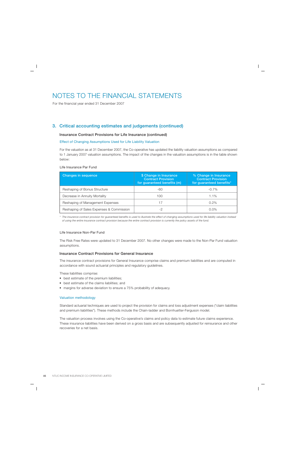For the financial year ended 31 December 2007

# **3. Critical accounting estimates and judgements (continued)**

## **Insurance Contract Provisions for Life Insurance (continued)**

### Effect of Changing Assumptions Used for Life Liability Valuation

For the valuation as at 31 December 2007, the Co-operative has updated the liability valuation assumptions as compared to 1 January 2007 valuation assumptions. The impact of the changes in the valuation assumptions is in the table shown below:

#### Life Insurance Par Fund

| Changes in sequence                      | \$ Change in Insurance<br><b>Contract Provision</b><br>for quaranteed benefits (m) | % Change in Insurance<br><b>Contract Provision</b><br>for guaranteed benefits* |
|------------------------------------------|------------------------------------------------------------------------------------|--------------------------------------------------------------------------------|
| Reshaping of Bonus Structure             | -60                                                                                | $-0.7\%$                                                                       |
| Decrease in Annuity Mortality            | 100                                                                                | $1.1\%$                                                                        |
| Reshaping of Management Expenses         | 17                                                                                 | $0.2\%$                                                                        |
| Reshaping of Sales Expenses & Commission | -2                                                                                 | $0.0\%$                                                                        |

*\* The insurance contract provision for guaranteed benefits is used to illustrate the effect of changing assumptions used for life liability valuation instead of using the entire insurance contract provision because the entire contract provision is currently the policy assets of the fund.*

### Life Insurance Non-Par Fund

The Risk Free Rates were updated to 31 December 2007. No other changes were made to the Non-Par Fund valuation assumptions.

### **Insurance Contract Provisions for General Insurance**

The insurance contract provisions for General Insurance comprise claims and premium liabilities and are computed in accordance with sound actuarial principles and regulatory guidelines.

These liabilities comprise:

- best estimate of the premium liabilities;
- best estimate of the claims liabilities; and
- margins for adverse deviation to ensure a 75% probability of adequacy.

#### Valuation methodology

Standard actuarial techniques are used to project the provision for claims and loss adjustment expenses ("claim liabilities and premium liabilities"). These methods include the Chain-ladder and Bornhuetter-Ferguson model.

The valuation process involves using the Co-operative's claims and policy data to estimate future claims experience. These insurance liabilities have been derived on a gross basis and are subsequently adjusted for reinsurance and other recoveries for a net basis.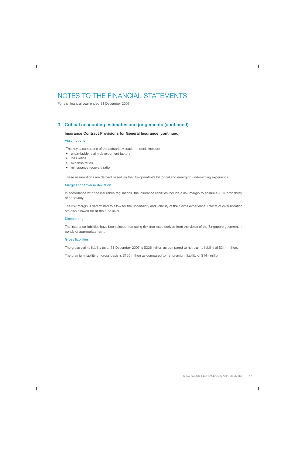For the financial year ended 31 December 2007

# **3. Critical accounting estimates and judgements (continued)**

# **Insurance Contract Provisions for General Insurance (continued)**

### **Assumptions**

The key assumptions of the actuarial valuation models include:

- chain-ladder claim development factors
- loss ratios
- expense ratios
- reinsurance recovery ratio

These assumptions are derived based on the Co-operative's historical and emerging underwriting experience.

### Margins for adverse deviation

In accordance with the insurance regulations, the insurance liabilities include a risk margin to ensure a 75% probability of adequacy.

The risk margin is determined to allow for the uncertainty and volatility of the claims experience. Effects of diversification are also allowed for at the fund level.

### **Discounting**

The insurance liabilities have been discounted using risk free rates derived from the yields of the Singapore government bonds of appropriate term.

#### Gross liabilities

The gross claims liability as at 31 December 2007 is \$326 million as compared to net claims liability of \$314 million.

The premium liability on gross basis is \$155 million as compared to net premium liability of \$141 million.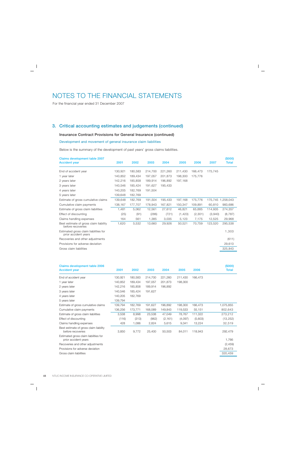For the financial year ended 31 December 2007

# **3. Critical accounting estimates and judgements (continued)**

# **Insurance Contract Provisions for General Insurance (continued)**

## Development and movement of general insurance claim liabilities

Below is the summary of the development of past years' gross claims liabilities.

| <b>Claims development table 2007</b><br><b>Accident year</b>  | 2001    | 2002    | 2003    | 2004    | 2005     | 2006    | 2007    | (\$000)<br><b>Total</b> |
|---------------------------------------------------------------|---------|---------|---------|---------|----------|---------|---------|-------------------------|
| End of accident year                                          | 130,921 | 180,583 | 214,700 | 221,260 | 211,430  | 166,473 | 175,745 |                         |
| 1 year later                                                  | 140,852 | 189,434 | 197,057 | 201,873 | 198,300  | 175,776 |         |                         |
| 2 years later                                                 | 142,216 | 185,858 | 189,914 | 196,892 | 197,168  |         |         |                         |
| 3 years later                                                 | 140,546 | 185,424 | 191,627 | 195,433 |          |         |         |                         |
| 4 years later                                                 | 140,205 | 182,769 | 191,504 |         |          |         |         |                         |
| 5 years later                                                 | 139,648 | 182,769 |         |         |          |         |         |                         |
| Estimate of gross cumulative claims                           | 139,648 | 182,769 | 191,504 | 195,433 | 197,168  | 175,776 |         | 175,745 1,258,043       |
| Cumulative claim payments                                     | 138,167 | 177,707 | 178,943 | 167,821 | 150,347  | 109,891 | 60,810  | 983,686                 |
| Estimate of gross claim liabilities                           | 1,481   | 5,062   | 12,561  | 27,612  | 46,821   | 65,885  | 114,935 | 274,357                 |
| Effect of discounting                                         | (25)    | (91)    | (286)   | (721)   | (1, 423) | (2,301) | (3,940) | (8, 787)                |
| Claims handling expenses                                      | 164     | 561     | 1,385   | 3,035   | 5,123    | 7,175   | 12,525  | 29,968                  |
| Best estimate of gross claim liability<br>before recoveries   | 1,620   | 5,532   | 13,660  | 29,926  | 50,521   | 70,759  | 123,520 | 295,538                 |
| Estimated gross claim liabilities for<br>prior accident years |         |         |         |         |          |         |         | 1,303                   |
| Recoveries and other adjustments                              |         |         |         |         |          |         |         | (611)                   |
| Provisions for adverse deviation                              |         |         |         |         |          |         |         | 29,613                  |
| Gross claim liabilities                                       |         |         |         |         |          |         |         | 325,843                 |
|                                                               |         |         |         |         |          |         |         |                         |

| <b>Claims development table 2006</b>                          |         |         |         |          |         |         | (\$000)   |
|---------------------------------------------------------------|---------|---------|---------|----------|---------|---------|-----------|
| <b>Accident year</b>                                          | 2001    | 2002    | 2003    | 2004     | 2005    | 2006    | Total     |
| End of accident year                                          | 130,921 | 180,583 | 214,700 | 221,260  | 211,430 | 166,473 |           |
| 1 year later                                                  | 140,852 | 189,434 | 197,057 | 201,873  | 198,300 |         |           |
| 2 years later                                                 | 142,216 | 185,858 | 189,914 | 196,892  |         |         |           |
| 3 years later                                                 | 140,546 | 185,424 | 191,627 |          |         |         |           |
| 4 years later                                                 | 140,205 | 182,769 |         |          |         |         |           |
| 5 years later                                                 | 139,794 |         |         |          |         |         |           |
| Estimate of gross cumulative claims                           | 139,794 | 182,769 | 191,627 | 196,892  | 198,300 | 166,473 | 1,075,855 |
| Cumulative claim payments                                     | 136,256 | 173,771 | 168,089 | 149,843  | 119,533 | 55,151  | 802,643   |
| Estimate of gross claim liabilities                           | 3,538   | 8,998   | 23,538  | 47,049   | 78,767  | 111,322 | 273,212   |
| Effect of discounting                                         | (116)   | (313)   | (962)   | (2, 161) | (4,097) | (5,603) | (13, 252) |
| Claims handling expenses                                      | 428     | 1,086   | 2,824   | 5,615    | 9,341   | 13,224  | 32,519    |
| Best estimate of gross claim liability<br>before recoveries   | 3,850   | 9,772   | 25,400  | 50,503   | 84,011  | 118,943 | 292,479   |
| Estimated gross claim liabilities for<br>prior accident years |         |         |         |          |         |         | 1,766     |
| Recoveries and other adjustments                              |         |         |         |          |         |         | (2,459)   |
| Provisions for adverse deviation                              |         |         |         |          |         |         | 28,673    |
| Gross claim liabilities                                       |         |         |         |          |         |         | 320,459   |
|                                                               |         |         |         |          |         |         |           |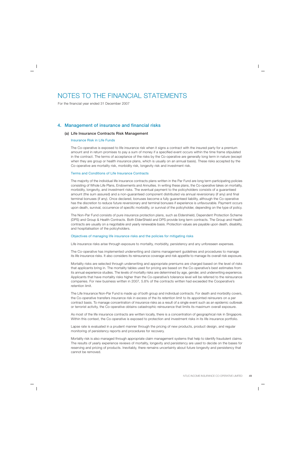For the financial year ended 31 December 2007

# **4. Management of insurance and financial risks**

## **(a) Life Insurance Contracts Risk Management**

#### Insurance Risk in Life Funds

The Co-operative is exposed to life insurance risk when it signs a contract with the insured party for a premium amount and in return promises to pay a sum of money if a specified event occurs within the time frame stipulated in the contract. The terms of acceptance of the risks by the Co-operative are generally long term in nature (except when they are group or health insurance plans, which is usually on an annual basis). These risks accepted by the Co-operative are mortality risk, morbidity risk, longevity risk and investment risk.

#### Terms and Conditions of Life Insurance Contracts

The majority of the individual life insurance contracts plans written in the Par Fund are long term participating policies consisting of Whole Life Plans, Endowments and Annuities. In writing these plans, the Co-operative takes on mortality, morbidity, longevity, and investment risks. The eventual payment to the policyholders consists of a guaranteed amount (the sum assured) and a non-guaranteed component distributed via annual reversionary (if any) and final terminal bonuses (if any). Once declared, bonuses become a fully guaranteed liability, although the Co-operative has the discretion to reduce future reversionary and terminal bonuses if experience is unfavourable. Payment occurs upon death, survival, occurrence of specific morbidity, or survival of the policyholder, depending on the type of policy.

The Non-Par Fund consists of pure insurance protection plans, such as Eldershield, Dependent Protection Scheme (DPS) and Group & Health Contracts. Both ElderShield and DPS provide long term contracts. The Group and Health contracts are usually on a negotiable and yearly renewable basis. Protection values are payable upon death, disability, and hospitalisation of the policyholders.

#### Objectives of managing life insurance risks and the policies for mitigating risks

Life insurance risks arise through exposure to mortality, morbidity, persistency and any unforeseen expenses.

The Co-operative has implemented underwriting and claims management guidelines and procedures to manage its life insurance risks. It also considers its reinsurance coverage and risk appetite to manage its overall risk exposure.

Mortality risks are selected through underwriting and appropriate premiums are charged based on the level of risks that applicants bring in. The mortality tables used for pricing are based on the Co-operative's best estimates from its annual experience studies. The levels of mortality risks are determined by age, gender, and underwriting experience. Applicants that have mortality risks higher than the Co-operative's tolerance level will be referred to the reinsurance companies. For new business written in 2007, 5.8% of the contracts written had exceeded the Cooperative's retention limit.

The Life Insurance Non-Par Fund is made up of both group and individual contracts. For death and morbidity covers, the Co-operative transfers insurance risk in excess of the its retention limit to its appointed reinsurers on a per contract basis. To manage concentration of insurance risks as a result of a single event such as an epidemic outbreak or terrorist activity, the Co-operative obtains catastrophic reinsurance that limits its maximum overall exposure.

As most of the life insurance contracts are written locally, there is a concentration of geographical risk in Singapore. Within this context, the Co-operative is exposed to protection and investment risks in its life insurance portfolio.

Lapse rate is evaluated in a prudent manner through the pricing of new products, product design, and regular monitoring of persistency reports and procedures for recovery.

Mortality risk is also managed through appropriate claim management systems that help to identify fraudulent claims. The results of yearly experience reviews of mortality, longevity and persistency are used to decide on the bases for reserving and pricing of products. Inevitably, there remains uncertainty about future longevity and persistency that cannot be removed.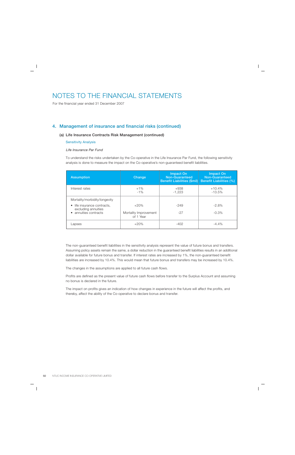For the financial year ended 31 December 2007

# **4. Management of insurance and financial risks (continued)**

# **(a) Life Insurance Contracts Risk Management (continued)**

## Sensitivity Analysis

## *Life Insurance Par Fund*

To understand the risks undertaken by the Co-operative in the Life Insurance Par Fund, the following sensitivity analysis is done to measure the impact on the Co-operative's non-guaranteed benefit liabilities.

| <b>Assumption</b>                                  | Change                             | <b>Impact On</b><br>Non-Guaranteed<br><b>Benefit Liabilities (\$mil)</b> | Impact On<br>Non-Guaranteed<br><b>Benefit Liabilities (%)</b> |
|----------------------------------------------------|------------------------------------|--------------------------------------------------------------------------|---------------------------------------------------------------|
| Interest rates                                     | $+1\%$<br>$-1%$                    | $+938$<br>$-1.223$                                                       | $+10.4%$<br>$-13.5%$                                          |
| Mortality/morbidity/longevity                      |                                    |                                                                          |                                                               |
| • life insurance contracts,<br>excluding annuities | $+20%$                             | -249                                                                     | $-2.8%$                                                       |
| annuities contracts<br>$\bullet$                   | Mortality Improvement<br>of 1 Year | $-27$                                                                    | $-0.3%$                                                       |
| Lapses                                             | $+20%$                             | $-402$                                                                   | $-4.4\%$                                                      |

The non-guaranteed benefit liabilities in the sensitivity analysis represent the value of future bonus and transfers. Assuming policy assets remain the same, a dollar reduction in the guaranteed benefit liabilities results in an additional dollar available for future bonus and transfer. If interest rates are increased by 1%, the non-guaranteed benefit liabilities are increased by 10.4%. This would mean that future bonus and transfers may be increased by 10.4%.

The changes in the assumptions are applied to all future cash flows.

Profits are defined as the present value of future cash flows before transfer to the Surplus Account and assuming no bonus is declared in the future.

The impact on profits gives an indication of how changes in experience in the future will affect the profits, and thereby, affect the ability of the Co-operative to declare bonus and transfer.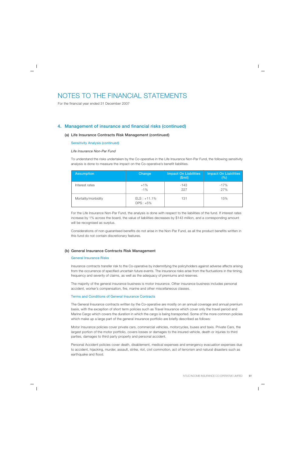For the financial year ended 31 December 2007

# **4. Management of insurance and financial risks (continued)**

# **(a) Life Insurance Contracts Risk Management (continued)**

## Sensitivity Analysis (continued)

## *Life Insurance Non-Par Fund*

To understand the risks undertaken by the Co-operative in the Life Insurance Non-Par Fund, the following sensitivity analysis is done to measure the impact on the Co-operative's benefit liabilities.

| <b>Assumption</b>   | Change                        | <b>Impact On Liabilities</b><br>(Smil) | <b>Impact On Liabilities</b><br>(%) |
|---------------------|-------------------------------|----------------------------------------|-------------------------------------|
| Interest rates      | $+1\%$<br>$-1%$               | $-143$<br>227                          | $-17%$<br>27%                       |
| Mortality/morbidity | $ELS: +11.1\%$<br>$DFS: +5\%$ | 131                                    | 15%                                 |

For the Life Insurance Non-Par Fund, the analysis is done with respect to the liabilities of the fund. If interest rates increase by 1% across the board, the value of liabilities decreases by \$143 million, and a corresponding amount will be recognised as surplus.

Considerations of non-guaranteed benefits do not arise in the Non-Par Fund, as all the product benefits written in this fund do not contain discretionary features.

# **(b) General Insurance Contracts Risk Management**

### General Insurance Risks

Insurance contracts transfer risk to the Co-operative by indemnifying the policyholders against adverse affects arising from the occurrence of specified uncertain future events. The insurance risks arise from the fluctuations in the timing, frequency and severity of claims, as well as the adequacy of premiums and reserves.

The majority of the general insurance business is motor insurance. Other insurance business includes personal accident, worker's compensation, fire, marine and other miscellaneous classes.

### Terms and Conditions of General Insurance Contracts

The General Insurance contracts written by the Co-operative are mostly on an annual coverage and annual premium basis, with the exception of short term policies such as Travel Insurance which cover only the travel period and Marine Cargo which covers the duration in which the cargo is being transported. Some of the more common policies which make up a large part of the general insurance portfolio are briefly described as follows:

Motor Insurance policies cover private cars, commercial vehicles, motorcycles, buses and taxis. Private Cars, the largest portion of the motor portfolio, covers losses or damages to the insured vehicle, death or injuries to third parties, damages to third party property and personal accident.

Personal Accident policies cover death, disablement, medical expenses and emergency evacuation expenses due to accident, hijacking, murder, assault, strike, riot, civil commotion, act of terrorism and natural disasters such as earthquake and flood.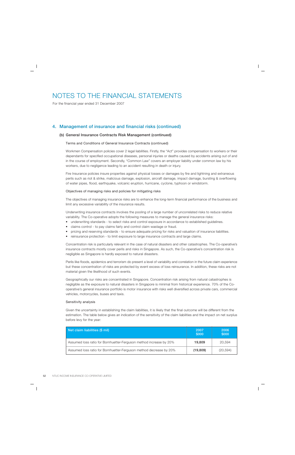For the financial year ended 31 December 2007

# **4. Management of insurance and financial risks (continued)**

## **(b) General Insurance Contracts Risk Management (continued)**

## Terms and Conditions of General Insurance Contracts (continued)

Workmen Compensation policies cover 2 legal liabilities. Firstly, the "Act" provides compensation to workers or their dependants for specified occupational diseases, personal injuries or deaths caused by accidents arising out of and in the course of employment. Secondly, "Common Law" covers an employer liability under common law by his workers, due to negligence leading to an accident resulting in death or injury.

Fire Insurance policies insure properties against physical losses or damages by fire and lightning and extraneous perils such as riot & strike, malicious damage, explosion, aircraft damage, impact damage, bursting & overflowing of water pipes, flood, earthquake, volcanic eruption, hurricane, cyclone, typhoon or windstorm.

## Objectives of managing risks and policies for mitigating risks

The objectives of managing insurance risks are to enhance the long-term financial performance of the business and limit any excessive variability of the insurance results.

Underwriting insurance contracts involves the pooling of a large number of uncorrelated risks to reduce relative variability. The Co-operative adopts the following measures to manage the general insurance risks:

- underwriting standards to select risks and control exposure in accordance to established guidelines.
- claims control to pay claims fairly and control claim wastage or fraud.
- pricing and reserving standards to ensure adequate pricing for risks and valuation of insurance liabilities.
- reinsurance protection to limit exposure to large insurance contracts and large claims.

Concentration risk is particularly relevant in the case of natural disasters and other catastrophes. The Co-operative's insurance contracts mostly cover perils and risks in Singapore. As such, the Co-operative's concentration risk is negligible as Singapore is hardly exposed to natural disasters.

Perils like floods, epidemics and terrorism do present a level of variability and correlation in the future claim experience but these concentration of risks are protected by event excess of loss reinsurance. In addition, these risks are not material given the likelihood of such events.

Geographically our risks are concentrated in Singapore. Concentration risk arising from natural catastrophes is negligible as the exposure to natural disasters in Singapore is minimal from historical experience. 70% of the Cooperative's general insurance portfolio is motor insurance with risks well diversified across private cars, commercial vehicles, motorcycles, buses and taxis.

### Sensitivity analysis

Given the uncertainty in establishing the claim liabilities, it is likely that the final outcome will be different from the estimation. The table below gives an indication of the sensitivity of the claim liabilities and the impact on net surplus before levy for the year:

| Net claim liabilities (\$ mil)                                     | 2007<br>\$000 | 2006<br>\$000 |
|--------------------------------------------------------------------|---------------|---------------|
| Assumed loss ratio for Bornhuetter-Ferguson method increase by 20% | 19,809        | 20.594        |
| Assumed loss ratio for Bornhuetter-Ferguson method decrease by 20% | (19, 809)     | (20, 594)     |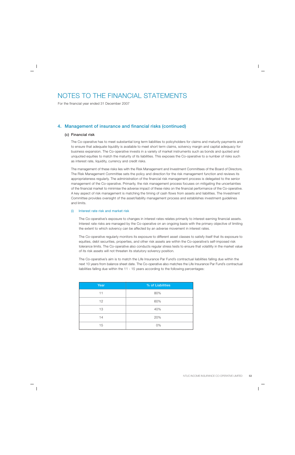For the financial year ended 31 December 2007

# **4. Management of insurance and financial risks (continued)**

## **(c) Financial risk**

The Co-operative has to meet substantial long term liabilities to policyholders for claims and maturity payments and to ensure that adequate liquidity is available to meet short term claims, solvency margin and capital adequacy for business expansion. The Co-operative invests in a variety of market instruments such as bonds and quoted and unquoted equities to match the maturity of its liabilities. This exposes the Co-operative to a number of risks such as interest rate, liquidity, currency and credit risks.

The management of these risks lies with the Risk Management and Investment Committees of the Board of Directors. The Risk Management Committee sets the policy and direction for the risk management function and reviews its appropriateness regularly. The administration of the financial risk management process is delegated to the senior management of the Co-operative. Primarily, the risk management process focuses on mitigating the uncertainties of the financial market to minimise the adverse impact of these risks on the financial performance of the Co-operative. A key aspect of risk management is matching the timing of cash flows from assets and liabilities. The Investment Committee provides oversight of the asset/liability management process and establishes investment guidelines and limits.

#### (i) Interest rate risk and market risk

The Co-operative's exposure to changes in interest rates relates primarily to interest-earning financial assets. Interest rate risks are managed by the Co-operative on an ongoing basis with the primary objective of limiting the extent to which solvency can be affected by an adverse movement in interest rates.

The Co-operative regularly monitors its exposure to different asset classes to satisfy itself that its exposure to equities, debt securities, properties, and other risk assets are within the Co-operative's self-imposed risk tolerance limits. The Co-operative also conducts regular stress tests to ensure that volatility in the market value of its risk assets will not threaten its statutory solvency position.

The Co-operative's aim is to match the Life Insurance Par Fund's contractual liabilities falling due within the next 10 years from balance sheet date. The Co-operative also matches the Life Insurance Par Fund's contractual liabilities falling due within the 11 - 15 years according to the following percentages:

| Year              | % of Liabilities |
|-------------------|------------------|
| 11                | 80%              |
| $12 \overline{ }$ | 60%              |
| 13                | 40%              |
| 14                | 20%              |
| 15                | 0%               |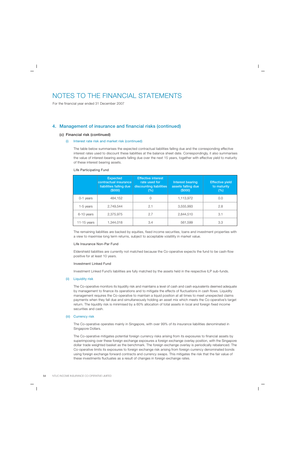For the financial year ended 31 December 2007

# **4. Management of insurance and financial risks (continued)**

# **(c) Financial risk (continued)**

## (i) Interest rate risk and market risk (continued)

The table below summarises the expected contractual liabilities falling due and the corresponding effective interest rates used to discount these liabilities at the balance sheet date. Correspondingly, it also summarises the value of interest-bearing assets falling due over the next 15 years, together with effective yield to maturity of these interest bearing assets.

### Life Participating Fund

|             | <b>Expected</b><br>contractual insurance<br>liabilities falling due<br>(S000) | <b>Effective interest</b><br>rate used for<br>discounting liabilities<br>(%) | Interest bearing<br>assets falling due<br>(S000) | <b>Effective yield</b><br>to maturity<br>(%) |
|-------------|-------------------------------------------------------------------------------|------------------------------------------------------------------------------|--------------------------------------------------|----------------------------------------------|
| $0-1$ years | 484.152                                                                       |                                                                              | 1,113,972                                        | 0.0                                          |
| 1-5 years   | 2,749,544                                                                     | 2.1                                                                          | 3,555,993                                        | 2.8                                          |
| 6-10 years  | 2.375.975                                                                     | 2.7                                                                          | 2,844,510                                        | 3.1                                          |
| 11-15 years | 1,344,018                                                                     | 3.4                                                                          | 561,599                                          | 3.3                                          |

The remaining liabilities are backed by equities, fixed income securities, loans and investment properties with a view to maximise long term returns, subject to acceptable volatility in market value.

### Life Insurance Non-Par Fund

Eldershield liabilities are currently not matched because the Co-operative expects the fund to be cash-flow positive for at least 10 years.

### Investment Linked Fund

Investment Linked Fund's liabilities are fully matched by the assets held in the respective ILP sub-funds.

### (ii) Liquidity risk

The Co-operative monitors its liquidity risk and maintains a level of cash and cash equivalents deemed adequate by management to finance its operations and to mitigate the effects of fluctuations in cash flows. Liquidity management requires the Co-operative to maintain a liquid position at all times to meet unexpected claims payments when they fall due and simultaneously holding an asset mix which meets the Co-operative's target return. The liquidity risk is minimised by a 60% allocation of total assets in local and foreign fixed income securities and cash.

### (iii) Currency risk

The Co-operative operates mainly in Singapore, with over 99% of its insurance liabilities denominated in Singapore Dollars.

The Co-operative mitigates potential foreign currency risks arising from its exposures to financial assets by superimposing over these foreign exchange exposures a foreign exchange overlay position, with the Singapore dollar trade weighted basket as the benchmark. The foreign exchange overlay is periodically rebalanced. The Co-operative limits its exposures to foreign exchange risk arising from foreign currency denominated bonds using foreign exchange forward contracts and currency swaps. This mitigates the risk that the fair value of these investments fluctuates as a result of changes in foreign exchange rates.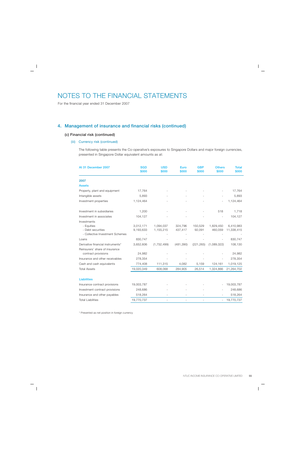For the financial year ended 31 December 2007

# **4. Management of insurance and financial risks (continued)**

# **(c) Financial risk (continued)**

# (iii) Currency risk (continued)

The following table presents the Co-operative's exposures to Singapore Dollars and major foreign currencies, presented in Singapore Dollar equivalent amounts as at:

| At 31 December 2007                                                                                                                                               | <b>SGD</b><br>\$000                            | <b>USD</b><br>\$000                   | <b>Euro</b><br>\$000             | <b>GBP</b><br>\$000             | <b>Others</b><br>\$000              | <b>Total</b><br>\$000                         |
|-------------------------------------------------------------------------------------------------------------------------------------------------------------------|------------------------------------------------|---------------------------------------|----------------------------------|---------------------------------|-------------------------------------|-----------------------------------------------|
| 2007                                                                                                                                                              |                                                |                                       |                                  |                                 |                                     |                                               |
| <b>Assets</b>                                                                                                                                                     |                                                |                                       |                                  |                                 |                                     |                                               |
| Property, plant and equipment                                                                                                                                     | 17,764                                         |                                       |                                  |                                 |                                     | 17,764                                        |
| Intangible assets                                                                                                                                                 | 5,893                                          |                                       |                                  |                                 |                                     | 5,893                                         |
| Investment properties                                                                                                                                             | 1,124,464                                      |                                       |                                  |                                 |                                     | 1,124,464                                     |
| Investment in subsidiaries                                                                                                                                        | 1,200                                          |                                       |                                  |                                 | 518                                 | 1,718                                         |
| Investment in associates                                                                                                                                          | 104,127                                        |                                       |                                  |                                 |                                     | 104,127                                       |
| Investments<br>- Equities<br>- Debt securities<br>- Collective Investment Schemes<br>Loans<br>Derivative financial instruments*<br>Reinsurers' share of insurance | 3,012,171<br>9,193,633<br>830,747<br>3,652,606 | 1,094,037<br>1,155,215<br>(1,752,499) | 324,796<br>437,417<br>(481, 390) | 150,529<br>92,091<br>(221, 265) | 1,829,450<br>460,059<br>(1,089,322) | 6,410,983<br>11,338,415<br>830,747<br>108,130 |
| contract provisions                                                                                                                                               | 24,982                                         |                                       |                                  |                                 |                                     | 24,982                                        |
| Insurance and other receivables                                                                                                                                   | 278,354                                        |                                       |                                  |                                 |                                     | 278,354                                       |
| Cash and cash equivalents                                                                                                                                         | 774,408                                        | 111,315                               | 4,082                            | 5,159                           | 124,161                             | 1,019,125                                     |
| <b>Total Assets</b>                                                                                                                                               | 19,020,349                                     | 608,068                               | 284,905                          | 26,514                          | 1,324,866                           | 21,264,702                                    |
| <b>Liabilities</b>                                                                                                                                                |                                                |                                       |                                  |                                 |                                     |                                               |
| Insurance contract provisions                                                                                                                                     | 19,003,787                                     |                                       |                                  |                                 |                                     | 19,003,787                                    |
| Investment contract provisions                                                                                                                                    | 248,686                                        |                                       |                                  |                                 |                                     | 248,686                                       |
| Insurance and other payables                                                                                                                                      | 518,264                                        |                                       |                                  |                                 |                                     | 518,264                                       |
| <b>Total Liabilities</b>                                                                                                                                          | 19,770,737                                     |                                       |                                  |                                 |                                     | 19,770,737                                    |

\* Presented as net position in foreign currency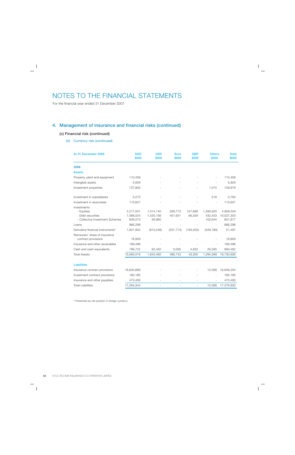For the financial year ended 31 December 2007

# **4. Management of insurance and financial risks (continued)**

# **(c) Financial risk (continued)**

# (iii) Currency risk (continued)

| At 31 December 2006                                                                                                                                                                                                                                                             | <b>SGD</b><br>\$000                                                                                     | <b>USD</b><br>\$000                                                   | <b>Euro</b><br>\$000                                 | <b>GBP</b><br>\$000                                | <b>Others</b><br>\$000                                               | <b>Total</b><br>\$000                                                                                 |
|---------------------------------------------------------------------------------------------------------------------------------------------------------------------------------------------------------------------------------------------------------------------------------|---------------------------------------------------------------------------------------------------------|-----------------------------------------------------------------------|------------------------------------------------------|----------------------------------------------------|----------------------------------------------------------------------|-------------------------------------------------------------------------------------------------------|
| 2006                                                                                                                                                                                                                                                                            |                                                                                                         |                                                                       |                                                      |                                                    |                                                                      |                                                                                                       |
| <b>Assets</b>                                                                                                                                                                                                                                                                   |                                                                                                         |                                                                       |                                                      |                                                    |                                                                      |                                                                                                       |
| Property, plant and equipment                                                                                                                                                                                                                                                   | 110,458                                                                                                 |                                                                       |                                                      |                                                    |                                                                      | 110,458                                                                                               |
| Intangible assets                                                                                                                                                                                                                                                               | 5,829                                                                                                   |                                                                       |                                                      |                                                    |                                                                      | 5,829                                                                                                 |
| Investment properties                                                                                                                                                                                                                                                           | 727,805                                                                                                 |                                                                       |                                                      |                                                    | 1,074                                                                | 728,879                                                                                               |
| Investment in subsidiaries                                                                                                                                                                                                                                                      | 3,275                                                                                                   |                                                                       |                                                      |                                                    | 518                                                                  | 3,793                                                                                                 |
| Investment in associates                                                                                                                                                                                                                                                        | 113,627                                                                                                 |                                                                       |                                                      |                                                    |                                                                      | 113,627                                                                                               |
| Investments<br>- Equities<br>- Debt securities<br>- Collective Investment Schemes<br>Loans<br>Derivative financial instruments*<br>Reinsurers' share of insurance<br>contract provisions<br>Insurance and other receivables<br>Cash and cash equivalents<br><b>Total Assets</b> | 2,217,001<br>7,566,524<br>639,273<br>866,298<br>1,827,852<br>18,859<br>169,496<br>796,722<br>15,063,019 | 1,014,140<br>1,520,156<br>59,960<br>(813, 246)<br>62,450<br>1,843,460 | 289,773<br>451,651<br>(257, 774)<br>3,093<br>486,743 | 157,689<br>66,539<br>(185, 555)<br>4,632<br>43,305 | 1,280,925<br>432,433<br>102,644<br>(549, 780)<br>26,585<br>1,294,399 | 4,959,529<br>10,037,303<br>801,877<br>866,298<br>21,497<br>18,859<br>169,496<br>893,482<br>18,730,926 |
| <b>Liabilities</b>                                                                                                                                                                                                                                                              |                                                                                                         |                                                                       |                                                      |                                                    |                                                                      |                                                                                                       |
| Insurance contract provisions                                                                                                                                                                                                                                                   | 16,633,666                                                                                              |                                                                       |                                                      |                                                    | 12,588                                                               | 16,646,254                                                                                            |
| Investment contract provisions                                                                                                                                                                                                                                                  | 160,185                                                                                                 |                                                                       |                                                      |                                                    |                                                                      | 160,185                                                                                               |
| Insurance and other payables                                                                                                                                                                                                                                                    | 470,493                                                                                                 |                                                                       |                                                      |                                                    |                                                                      | 470,493                                                                                               |
| <b>Total Liabilities</b>                                                                                                                                                                                                                                                        | 17,264,344                                                                                              |                                                                       |                                                      | $\overline{\phantom{a}}$                           | 12,588                                                               | 17,276,932                                                                                            |

\* Presented as net position in foreign currency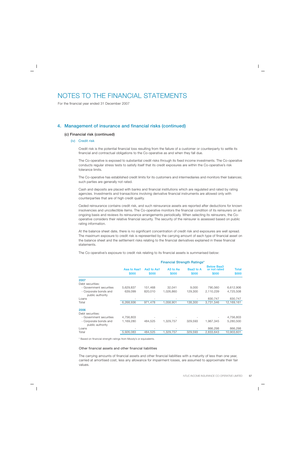For the financial year ended 31 December 2007

# **4. Management of insurance and financial risks (continued)**

## **(c) Financial risk (continued)**

#### (iv) Credit risk

Credit risk is the potential financial loss resulting from the failure of a customer or counterparty to settle its financial and contractual obligations to the Co-operative as and when they fall due.

The Co-operative is exposed to substantial credit risks through its fixed income investments. The Co-operative conducts regular stress tests to satisfy itself that its credit exposures are within the Co-operative's risk tolerance limits.

The Co-operative has established credit limits for its customers and intermediaries and monitors their balances; such parties are generally not rated.

Cash and deposits are placed with banks and financial institutions which are regulated and rated by rating agencies. Investments and transactions involving derivative financial instruments are allowed only with counterparties that are of high credit quality.

Ceded reinsurance contains credit risk, and such reinsurance assets are reported after deductions for known insolvencies and uncollectible items. The Co-operative monitors the financial condition of its reinsurers on an ongoing basis and reviews its reinsurance arrangements periodically. When selecting its reinsurers, the Cooperative considers their relative financial security. The security of the reinsurer is assessed based on public rating information.

At the balance sheet date, there is no significant concentration of credit risk and exposures are well spread. The maximum exposure to credit risk is represented by the carrying amount of each type of financial asset on the balance sheet and the settlement risks relating to the financial derivatives explained in these financial statements.

The Co-operative's exposure to credit risk relating to its financial assets is summarised below:

|                                           |                      |                     | <b>Financial Strength Ratings*</b>        |                    |                                            |                |
|-------------------------------------------|----------------------|---------------------|-------------------------------------------|--------------------|--------------------------------------------|----------------|
|                                           | Aaa to Aaa1<br>\$000 | Aa3 to Aa1<br>\$000 | A <sub>3</sub> to A <sub>a</sub><br>\$000 | Baa3 to A<br>\$000 | <b>Below Baa3</b><br>or not rated<br>\$000 | Total<br>\$000 |
| 2007                                      |                      |                     |                                           |                    |                                            |                |
| Debt securities:                          |                      |                     |                                           |                    |                                            |                |
| - Government securities                   | 5,629,837            | 151,468             | 32.041                                    | 9.000              | 790,560                                    | 6,612,906      |
| - Corporate bonds and<br>public authority | 639,099              | 820,010             | 1,026,860                                 | 129,300            | 2,110,239                                  | 4,725,508      |
| Loans                                     |                      |                     |                                           |                    | 830,747                                    | 830,747        |
| Total                                     | 6,268,936            | 971,478             | 1,058,901                                 | 138,300            | 3,731,546                                  | 12,169,161     |
| 2006                                      |                      |                     |                                           |                    |                                            |                |
| Debt securities:                          |                      |                     |                                           |                    |                                            |                |
| - Government securities                   | 4,756,803            |                     |                                           |                    |                                            | 4,756,803      |
| - Corporate bonds and<br>public authority | 1,169,280            | 484,525             | 1,329,757                                 | 329,593            | 1,967,345                                  | 5,280,500      |
| Loans                                     |                      |                     |                                           |                    | 866,298                                    | 866,298        |
| Total                                     | 5,926,083            | 484,525             | 1,329,757                                 | 329,593            | 2,833,643                                  | 10,903,601     |

\* Based on financial strength ratings from Moody's or equivalents.

#### Other financial assets and other financial liabilities

The carrying amounts of financial assets and other financial liabilities with a maturity of less than one year, carried at amortised cost, less any allowance for impairment losses, are assumed to approximate their fair values.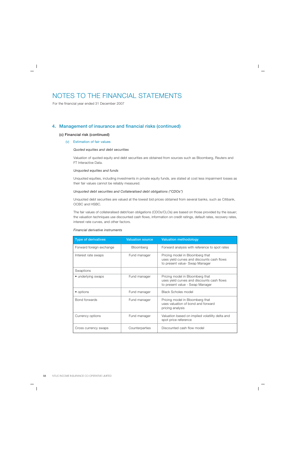For the financial year ended 31 December 2007

# **4. Management of insurance and financial risks (continued)**

## **(c) Financial risk (continued)**

## (v) Estimation of fair values

#### *Quoted equities and debt securities*

Valuation of quoted equity and debt securities are obtained from sources such as Bloomberg, Reuters and FT Interactive Data.

#### *Unquoted equities and funds*

Unquoted equities, including investments in private equity funds, are stated at cost less impairment losses as their fair values cannot be reliably measured.

### *Unquoted debt securities and Collateralised debt obligations ("CDOs")*

Unquoted debt securities are valued at the lowest bid prices obtained from several banks, such as Citibank, OCBC and HSBC.

The fair values of collateralised debt/loan obligations (CDOs/CLOs) are based on those provided by the issuer; the valuation techniques use discounted cash flows, information on credit ratings, default rates, recovery rates, interest rate curves, and other factors.

#### *Financial derivative instruments*

| <b>Type of derivatives</b> | <b>Valuation source</b> | <b>Valuation methodology</b>                                                                                     |
|----------------------------|-------------------------|------------------------------------------------------------------------------------------------------------------|
| Forward foreign exchange   | <b>Bloomberg</b>        | Forward analysis with reference to spot rates                                                                    |
| Interest rate swaps        | Fund manager            | Pricing model in Bloomberg that<br>uses yield curves and discounts cash flows<br>to present value- Swap Manager  |
| Swaptions                  |                         |                                                                                                                  |
| • underlying swaps         | Fund manager            | Pricing model in Bloomberg that<br>uses yield curves and discounts cash flows<br>to present value - Swap Manager |
| • options                  | Fund manager            | <b>Black Scholes model</b>                                                                                       |
| Bond forwards              | Fund manager            | Pricing model in Bloomberg that<br>uses valuation of bond and forward<br>pricing analysis                        |
| Currency options           | Fund manager            | Valuation based on implied volatility delta and<br>spot price reference                                          |
| Cross currency swaps       | Counterparties          | Discounted cash flow model                                                                                       |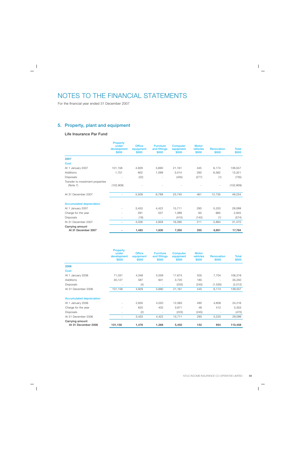For the financial year ended 31 December 2007

# **5. Property, plant and equipment**

# **Life Insurance Par Fund**

|                                               | <b>Property</b><br>under<br>development<br>\$000 | <b>Office</b><br>equipment<br>\$000 | <b>Furniture</b><br>and fittings<br>\$000 | <b>Computer</b><br>equipment<br>\$000 | <b>Motor</b><br>vehicles<br>\$000 | <b>Renovation</b><br>\$000 | <b>Total</b><br>\$000 |
|-----------------------------------------------|--------------------------------------------------|-------------------------------------|-------------------------------------------|---------------------------------------|-----------------------------------|----------------------------|-----------------------|
| 2007                                          |                                                  |                                     |                                           |                                       |                                   |                            |                       |
| <b>Cost</b>                                   |                                                  |                                     |                                           |                                       |                                   |                            |                       |
| At 1<br>January 2007                          | 101,158                                          | 4,929                               | 5,690                                     | 21,161                                | 445                               | 6,174                      | 139,557               |
| Additions                                     | 1,751                                            | 602                                 | 1,099                                     | 3,014                                 | 293                               | 6,562                      | 13,321                |
| <b>Disposals</b>                              |                                                  | (22)                                |                                           | (435)                                 | (277)                             | (1)                        | (735)                 |
| Transfer to investment properties<br>(Note 7) | (102,909)                                        |                                     |                                           |                                       |                                   |                            | (102,909)             |
| At 31 December 2007                           | $\overline{\phantom{a}}$                         | 5,509                               | 6,789                                     | 23,740                                | 461                               | 12,735                     | 49,234                |
| <b>Accumulated depreciation</b>               |                                                  |                                     |                                           |                                       |                                   |                            |                       |
| At 1 January 2007                             | -                                                | 3,453                               | 4,422                                     | 15,711                                | 293                               | 5,220                      | 29,099                |
| Charge for the year                           | ٠                                                | 591                                 | 537                                       | 1,089                                 | 63                                | 665                        | 2,945                 |
| <b>Disposals</b>                              | -                                                | (18)                                | $\overline{\phantom{a}}$                  | (410)                                 | (145)                             | (1)                        | (574)                 |
| At 31 December 2007                           | $\overline{\phantom{a}}$                         | 4,026                               | 4,959                                     | 16,390                                | 211                               | 5,884                      | 31,470                |
| Carrying amount<br>At 31 December 2007        | ۰                                                | 1,483                               | 1,830                                     | 7,350                                 | 250                               | 6,851                      | 17,764                |

|                                        | <b>Property</b><br>under<br>development<br>\$000 | <b>Office</b><br>equipment<br>\$000 | <b>Furniture</b><br>and fittings<br>\$000 | <b>Computer</b><br>equipment<br>\$000 | <b>Motor</b><br>vehicles<br>\$000 | <b>Renovation</b><br>\$000 | Total<br>\$000 |
|----------------------------------------|--------------------------------------------------|-------------------------------------|-------------------------------------------|---------------------------------------|-----------------------------------|----------------------------|----------------|
| 2006                                   |                                                  |                                     |                                           |                                       |                                   |                            |                |
| Cost                                   |                                                  |                                     |                                           |                                       |                                   |                            |                |
| At 1 January 2006                      | 71,031                                           | 4,346                               | 5,059                                     | 17,674                                | 505                               | 7,704                      | 106,319        |
| Additions                              | 30,127                                           | 587                                 | 631                                       | 3,720                                 | 185                               |                            | 35,250         |
| <b>Disposals</b>                       |                                                  | (4)                                 | $\overline{\phantom{a}}$                  | (233)                                 | (245)                             | (1,530)                    | (2,012)        |
| At 31 December 2006                    | 101,158                                          | 4,929                               | 5,690                                     | 21,161                                | 445                               | 6,174                      | 139,557        |
| <b>Accumulated depreciation</b>        |                                                  |                                     |                                           |                                       |                                   |                            |                |
| At 1 January 2006                      | $\overline{\phantom{a}}$                         | 2,835                               | 4,020                                     | 12,063                                | 490                               | 4,808                      | 24,216         |
| Charge for the year                    | ٠                                                | 620                                 | 402                                       | 3,871                                 | 48                                | 412                        | 5,353          |
| <b>Disposals</b>                       | -                                                | (2)                                 | $\overline{\phantom{m}}$                  | (223)                                 | (245)                             | $\overline{\phantom{a}}$   | (470)          |
| At 31 December 2006                    | $\overline{\phantom{a}}$                         | 3,453                               | 4,422                                     | 15,711                                | 293                               | 5,220                      | 29,099         |
| Carrying amount<br>At 31 December 2006 | 101,158                                          | 1,476                               | 1,268                                     | 5,450                                 | 152                               | 954                        | 110,458        |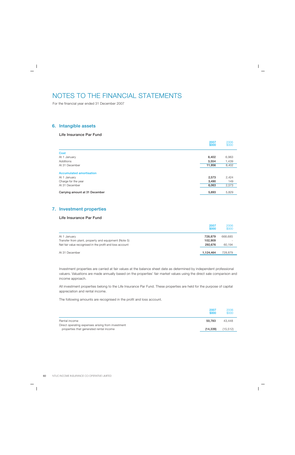For the financial year ended 31 December 2007

# **6. Intangible assets**

## **Life Insurance Par Fund**

|                                                                        | 2007<br>\$000  | 2006<br>\$000 |
|------------------------------------------------------------------------|----------------|---------------|
| Cost                                                                   |                |               |
| At 1 January                                                           | 8,402          | 6,963         |
| Additions                                                              | 3,554          | 1,439         |
| At 31 December                                                         | 11,956         | 8,402         |
| <b>Accumulated amortisation</b><br>At 1 January<br>Charge for the year | 2,573<br>3,490 | 2,424<br>149  |
| At 31 December                                                         | 6,063          | 2,573         |
| Carrying amount at 31 December                                         | 5,893          | 5,829         |

# **7. Investment properties**

# **Life Insurance Par Fund**

|                                                          | 2007<br>\$000 | 2006<br>\$000 |
|----------------------------------------------------------|---------------|---------------|
| At 1 January                                             | 728,879       | 668.685       |
| Transfer from plant, property and equipment (Note 5)     | 102.909       |               |
| Net fair value recognised in the profit and loss account | 292.676       | 60,194        |
|                                                          |               |               |
| At 31 December                                           | 1,124,464     | 728,879       |
|                                                          |               |               |

Investment properties are carried at fair values at the balance sheet date as determined by independent professional valuers. Valuations are made annually based on the properties' fair market values using the direct sale comparison and income approach.

All investment properties belong to the Life Insurance Par Fund. These properties are held for the purpose of capital appreciation and rental income.

The following amounts are recognised in the profit and loss account.

|                                                                    | 2007<br>\$000 | 2006<br>\$000 |
|--------------------------------------------------------------------|---------------|---------------|
| Rental income<br>Direct operating expenses arising from investment | 50.783        | 43.448        |
| properties that generated rental income                            | (14, 339)     | (15.512)      |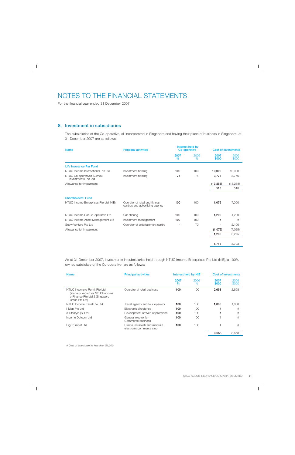For the financial year ended 31 December 2007

# **8. Investment in subsidiaries**

The subsidiaries of the Co-operative, all incorporated in Singapore and having their place of business in Singapore, at 31 December 2007 are as follows:

| <b>Name</b>                                                        | <b>Principal activities</b>                                      |                       | Interest held by<br><b>Co-operative</b> | <b>Cost of investments</b> |               |
|--------------------------------------------------------------------|------------------------------------------------------------------|-----------------------|-----------------------------------------|----------------------------|---------------|
|                                                                    |                                                                  | 2007<br>$\frac{9}{6}$ | 2006<br>$\%$                            | 2007<br>\$000              | 2006<br>\$000 |
| <b>Life Insurance Par Fund</b>                                     |                                                                  |                       |                                         |                            |               |
| NTUC Income International Pte Ltd                                  | Investment holding                                               | 100                   | 100                                     | 10,000                     | 10,000        |
| NTUC Co-operatives Suzhou<br>Investments Pte Ltd                   | Investment holding                                               | 74                    | 74                                      | 3,776                      | 3,776         |
| Allowance for impairment                                           |                                                                  |                       |                                         | (13, 258)                  | (13, 258)     |
|                                                                    |                                                                  |                       |                                         | 518                        | 518           |
| <b>Shareholders' Fund</b><br>NTUC Income Enterprises Pte Ltd (NIE) | Operator of retail and fitness<br>centres and advertising agency | 100                   | 100                                     | 1,079                      | 7,000         |
| NTUC Income Car Co-operative Ltd                                   | Car sharing                                                      | 100                   | 100                                     | 1,200                      | 1,200         |
| NTUC Income Asset Management Ltd                                   | Investment management                                            | 100                   | 100                                     | #                          | #             |
| Snow Venture Pte Ltd                                               | Operator of entertainment centre                                 |                       | 70                                      |                            | 2,100         |
| Allowance for impairment                                           |                                                                  |                       |                                         | (1,079)                    | (7,025)       |
|                                                                    |                                                                  |                       |                                         | 1,200                      | 3,275         |
|                                                                    |                                                                  |                       |                                         | 1,718                      | 3,793         |

As at 31 December 2007, investments in subsidiaries held through NTUC Income Enterprises Pte Ltd (NIE), a 100% owned subsidiary of the Co-operative, are as follows:

| <b>Name</b>                                                                                                      | <b>Principal activities</b>                                | Interest held by NIE |           |               | Cost of investments |
|------------------------------------------------------------------------------------------------------------------|------------------------------------------------------------|----------------------|-----------|---------------|---------------------|
|                                                                                                                  |                                                            | 2007<br>$\%$         | 2006<br>% | 2007<br>\$000 | 2006<br>\$000       |
| NTUC Income e-Remit Pte Ltd<br>(formerly known as NTUC Income<br>e-Finance Pte Ltd & Singapore<br>Dress Pte Ltd) | Operator of retail business                                | 100                  | 100       | 2,658         | 2,658               |
| NTUC Income Travel Pte Ltd                                                                                       | Travel agency and tour operator                            | 100                  | 100       | 1.000         | 1.000               |
| I-Map Pte Ltd                                                                                                    | Electronic directories                                     | 100                  | 100       | #             | #                   |
| e-Lifestyle (S) Ltd                                                                                              | Development of Web applications                            | 100                  | 100       | #             | #                   |
| Income Dotcom Ltd                                                                                                | General electronic-<br>Commerce business                   | 100                  | 100       | #             | #                   |
| Big Trumpet Ltd                                                                                                  | Create, establish and maintain<br>electronic commerce club | 100                  | 100       | #             | #                   |
|                                                                                                                  |                                                            |                      |           | 3.658         | 3.658               |

*# Cost of investment is less than \$1,000.*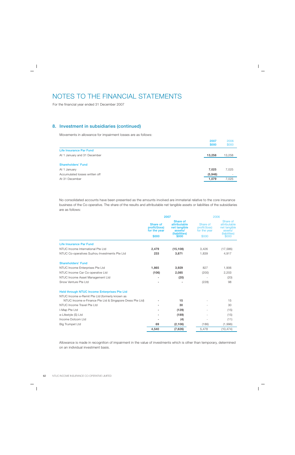For the financial year ended 31 December 2007

# **8. Investment in subsidiaries (continued)**

Movements in allowance for impairment losses are as follows:

|                                | 2007<br>\$000 | 2006<br>\$000            |
|--------------------------------|---------------|--------------------------|
| <b>Life Insurance Par Fund</b> |               |                          |
| At 1 January and 31 December   | 13,258        | 13,258                   |
|                                |               |                          |
| <b>Shareholders' Fund</b>      |               |                          |
| At 1 January                   | 7,025         | 7,025                    |
| Accumulated losses written off | (5,946)       | $\overline{\phantom{a}}$ |
| At 31 December                 | 1,079         | 7,025                    |
|                                |               |                          |

No consolidated accounts have been presented as the amounts involved are immaterial relative to the core insurance business of the Co-operative. The share of the results and attributable net tangible assets or liabilities of the subsidiaries are as follows:

|                                                          |                                                    | 2007                                                                                | 2006                                               |                                                                               |  |
|----------------------------------------------------------|----------------------------------------------------|-------------------------------------------------------------------------------------|----------------------------------------------------|-------------------------------------------------------------------------------|--|
|                                                          | Share of<br>profit/(loss)<br>for the year<br>\$000 | Share of<br>attributable<br>net tangible<br>assets/<br>(liabilities)<br><b>SOOO</b> | Share of<br>profit/(loss)<br>for the year<br>\$000 | Share of<br>attributable<br>net tangible<br>assets/<br>(liabilities)<br>\$000 |  |
| <b>Life Insurance Par Fund</b>                           |                                                    |                                                                                     |                                                    |                                                                               |  |
| NTUC Income International Pte Ltd                        | 2,479                                              | (15, 108)                                                                           | 3,426                                              | (17,586)                                                                      |  |
| NTUC Co-operatives Suzhou Investments Pte Ltd            | 233                                                | 3,871                                                                               | 1,839                                              | 4,917                                                                         |  |
| <b>Shareholders' Fund</b>                                |                                                    |                                                                                     |                                                    |                                                                               |  |
| NTUC Income Enterprises Pte Ltd                          | 1,865                                              | 3,929                                                                               | 827                                                | 1,906                                                                         |  |
| NTUC Income Car Co-operative Ltd                         | (106)                                              | 2,085                                                                               | (200)                                              | 2,203                                                                         |  |
| NTUC Income Asset Management Ltd                         |                                                    | (20)                                                                                |                                                    | (20)                                                                          |  |
| Snow Venture Pte Ltd                                     |                                                    |                                                                                     | (228)                                              | 98                                                                            |  |
| <b>Held through NTUC Income Enterprises Pte Ltd</b>      |                                                    |                                                                                     |                                                    |                                                                               |  |
| NTUC Income e-Remit Pte Ltd (formerly known as           |                                                    |                                                                                     |                                                    |                                                                               |  |
| NTUC Income e-Finance Pte Ltd & Singapore Dress Pte Ltd) |                                                    | 15                                                                                  |                                                    | 15                                                                            |  |
| NTUC Income Travel Pte Ltd                               |                                                    | 30                                                                                  |                                                    | 30                                                                            |  |
| I-Map Pte Ltd                                            |                                                    | (129)                                                                               |                                                    | (15)                                                                          |  |
| e-Lifestyle (S) Ltd                                      |                                                    | (189)                                                                               |                                                    | (15)                                                                          |  |
| Income Dotcom Ltd                                        |                                                    | (4)                                                                                 |                                                    | (11)                                                                          |  |
| <b>Big Trumpet Ltd</b>                                   | 69                                                 | (2, 106)                                                                            | (186)                                              | (1,996)                                                                       |  |
|                                                          | 4,540                                              | (7,626)                                                                             | 5,478                                              | (10, 474)                                                                     |  |

Allowance is made in recognition of impairment in the value of investments which is other than temporary, determined on an individual investment basis.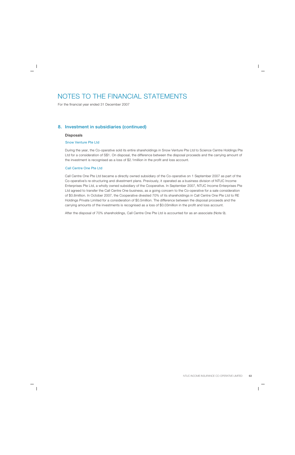For the financial year ended 31 December 2007

# **8. Investment in subsidiaries (continued)**

### **Disposals**

#### Snow Venture Pte Ltd

During the year, the Co-operative sold its entire shareholdings in Snow Venture Pte Ltd to Science Centre Holdings Pte Ltd for a consideration of S\$1. On disposal, the difference between the disposal proceeds and the carrying amount of the investment is recognised as a loss of \$2.1million in the profit and loss account.

### Call Centre One Pte Ltd

Call Centre One Pte Ltd became a directly owned subsidiary of the Co-operative on 1 September 2007 as part of the Co-operative's re-structuring and divestment plans. Previously, it operated as a business division of NTUC Income Enterprises Pte Ltd, a wholly owned subsidiary of the Cooperative. In September 2007, NTUC Income Enterprises Pte Ltd agreed to transfer the Call Centre One business, as a going concern to the Co-operative for a sale consideration of \$0.8million. In October 2007, the Cooperative divested 70% of its shareholdings in Call Centre One Pte Ltd to RE Holdings Private Limited for a consideration of \$0.5million. The difference between the disposal proceeds and the carrying amounts of the investments is recognised as a loss of \$0.03million in the profit and loss account.

After the disposal of 70% shareholdings, Call Centre One Pte Ltd is accounted for as an associate (Note 9).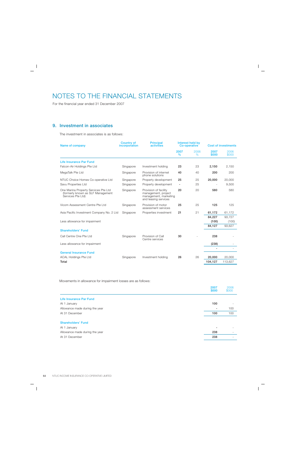For the financial year ended 31 December 2007

# **9. Investment in associates**

The investment in associates is as follows:

| Name of company                                                                                | <b>Country of</b><br>incorporation | <b>Principal</b><br><b>activities</b>                                                         |                          | Interest held by<br><b>Co-operative</b> |               | <b>Cost of investments</b> |
|------------------------------------------------------------------------------------------------|------------------------------------|-----------------------------------------------------------------------------------------------|--------------------------|-----------------------------------------|---------------|----------------------------|
|                                                                                                |                                    |                                                                                               | 2007<br>$\%$             | 2006<br>%                               | 2007<br>\$000 | 2006<br>\$000              |
| Life Insurance Par Fund                                                                        |                                    |                                                                                               |                          |                                         |               |                            |
| Falcon-Air Holdings Pte Ltd                                                                    | Singapore                          | Investment holding                                                                            | 23                       | 23                                      | 2,150         | 2.150                      |
| MegaTalk Pte Ltd                                                                               | Singapore                          | Provision of internet<br>phone solutions                                                      | 40                       | 40                                      | 200           | 200                        |
| NTUC Choice Homes Co-operative Ltd                                                             | Singapore                          | Property development                                                                          | 25                       | 25                                      | 20,000        | 20,000                     |
| Savu Properties Ltd                                                                            | Singapore                          | Property development                                                                          | $\overline{\phantom{a}}$ | 25                                      |               | 9,500                      |
| One Marina Property Services Pte Ltd<br>(formerly known as SLF Management<br>Services Pte Ltd) | Singapore                          | Provision of facility<br>management, project<br>management, marketing<br>and leasing services | 20                       | 20                                      | 580           | 580                        |
| Vicom Assessment Centre Pte Ltd                                                                | Singapore                          | Provision of motor<br>assessment services                                                     | 25                       | 25                                      | 125           | 125                        |
| Asia Pacific Investment Company No. 2 Ltd                                                      | Singapore                          | Properties investment                                                                         | 21                       | 21                                      | 61,172        | 61,172                     |
|                                                                                                |                                    |                                                                                               |                          |                                         | 84,227        | 93,727                     |
| Less allowance for impairment                                                                  |                                    |                                                                                               |                          |                                         | (100)         | (100)                      |
|                                                                                                |                                    |                                                                                               |                          |                                         | 84,127        | 93,627                     |
| <b>Shareholders' Fund</b>                                                                      |                                    |                                                                                               |                          |                                         |               |                            |
| Call Centre One Pte Ltd                                                                        | Singapore                          | Provision of Call<br>Centre services                                                          | 30                       |                                         | 238           |                            |
| Less allowance for impairment                                                                  |                                    |                                                                                               |                          |                                         | (238)         |                            |
|                                                                                                |                                    |                                                                                               |                          |                                         |               |                            |
| <b>General Insurance Fund</b>                                                                  |                                    |                                                                                               |                          |                                         |               |                            |
| ACAL Holdings Pte Ltd<br>Total                                                                 | Singapore                          | Investment holding                                                                            | 26                       | 26                                      | 20,000        | 20,000                     |
|                                                                                                |                                    |                                                                                               |                          |                                         | 104,127       | 113,627                    |

Movements in allowance for impairment losses are as follows:

|                                | 2007<br>\$000 | 2006<br>\$000 |
|--------------------------------|---------------|---------------|
| <b>Life Insurance Par Fund</b> |               |               |
| At 1 January                   | 100           |               |
| Allowance made during the year |               | 100           |
| At 31 December                 | 100           | 100           |
| <b>Shareholders' Fund</b>      |               |               |
| At 1 January                   |               |               |
| Allowance made during the year | 238           |               |
| At 31 December                 | 238           |               |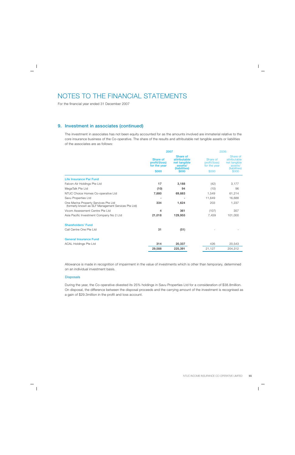For the financial year ended 31 December 2007

# **9. Investment in associates (continued)**

The investment in associates has not been equity accounted for as the amounts involved are immaterial relative to the core insurance business of the Co-operative. The share of the results and attributable net tangible assets or liabilities of the associates are as follows:

|                                                                                             | 2007                                               |                                                                                      |                                                    | 2006                                                                          |  |  |
|---------------------------------------------------------------------------------------------|----------------------------------------------------|--------------------------------------------------------------------------------------|----------------------------------------------------|-------------------------------------------------------------------------------|--|--|
|                                                                                             | Share of<br>profit/(loss)<br>for the year<br>\$000 | <b>Share of</b><br>attributable<br>net tangible<br>assets/<br>(liabilities)<br>\$000 | Share of<br>profit/(loss)<br>for the year<br>\$000 | Share of<br>attributable<br>net tangible<br>assets/<br>(liabilities)<br>\$000 |  |  |
| <b>Life Insurance Par Fund</b>                                                              |                                                    |                                                                                      |                                                    |                                                                               |  |  |
| Falcon-Air Holdings Pte Ltd                                                                 | 17                                                 | 3,188                                                                                | (42)                                               | 3,177                                                                         |  |  |
| MegaTalk Pte Ltd                                                                            | (10)                                               | 94                                                                                   | (10)                                               | 96                                                                            |  |  |
| NTUC Choice Homes Co-operative Ltd                                                          | 7,880                                              | 69,883                                                                               | 1,549                                              | 61,214                                                                        |  |  |
| Savu Properties Ltd                                                                         |                                                    |                                                                                      | 11,649                                             | 16,688                                                                        |  |  |
| One Marina Property Services Pte Ltd<br>(formerly known as SLF Management Services Pte Ltd) | 334                                                | 1,624                                                                                | 203                                                | 1,237                                                                         |  |  |
| Vicom Assessment Centre Pte Ltd                                                             | 4                                                  | 361                                                                                  | (107)                                              | 357                                                                           |  |  |
| Asia Pacific Investment Company No 2 Ltd                                                    | 21,018                                             | 129,955                                                                              | 7,459                                              | 101,000                                                                       |  |  |
| <b>Shareholders' Fund</b>                                                                   |                                                    |                                                                                      |                                                    |                                                                               |  |  |
| Call Centre One Pte Ltd                                                                     | 31                                                 | (51)                                                                                 |                                                    |                                                                               |  |  |
| <b>General Insurance Fund</b>                                                               |                                                    |                                                                                      |                                                    |                                                                               |  |  |
| <b>ACAL Holdings Pte Ltd</b>                                                                | 314                                                | 20,337                                                                               | 426                                                | 20,543                                                                        |  |  |
|                                                                                             | 29,588                                             | 225,391                                                                              | 21,127                                             | 204,312                                                                       |  |  |

Allowance is made in recognition of impairment in the value of investments which is other than temporary, determined on an individual investment basis.

### **Disposals**

During the year, the Co-operative divested its 25% holdings in Savu Properties Ltd for a consideration of \$38.8million. On disposal, the difference between the disposal proceeds and the carrying amount of the investment is recognised as a gain of \$29.3million in the profit and loss account.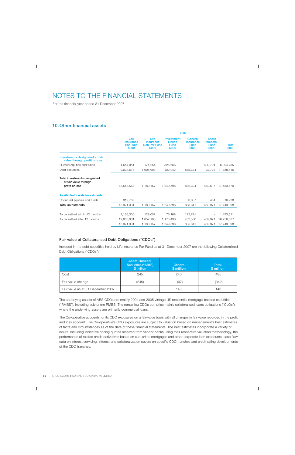For the financial year ended 31 December 2007

# **10.Other financial assets**

|                                                                         |                                                      | 2007                                                     |                                              |                                                     |                                                  |                |
|-------------------------------------------------------------------------|------------------------------------------------------|----------------------------------------------------------|----------------------------------------------|-----------------------------------------------------|--------------------------------------------------|----------------|
|                                                                         | Life<br><b>Insurance</b><br><b>Par Fund</b><br>\$000 | Life<br><b>Insurance</b><br><b>Non Par Fund</b><br>\$000 | Investment<br>Linked<br><b>Fund</b><br>\$000 | General<br><b>Insurance</b><br><b>Fund</b><br>\$000 | <b>Share</b><br>holders'<br><b>Fund</b><br>\$000 | Total<br>\$000 |
| Investments designated at fair<br>value through profit or loss          |                                                      |                                                          |                                              |                                                     |                                                  |                |
| Quoted equities and funds                                               | 4,654,051                                            | 174,254                                                  | 826,656                                      |                                                     | 439,794                                          | 6,094,755      |
| Debt securities                                                         | 9,004,513                                            | 1,005,903                                                | 422,942                                      | 882,334                                             | 22,723                                           | 11,338,415     |
| Total investments designated<br>at fair value through<br>profit or loss | 13,658,564                                           | 1,180,157                                                | 1,249,598                                    | 882,334                                             | 462,517                                          | 17,433,170     |
| <b>Available-for-sale investments</b>                                   |                                                      |                                                          |                                              |                                                     |                                                  |                |
| Unquoted equities and funds                                             | 312,767                                              |                                                          |                                              | 3,007                                               | 454                                              | 316,228        |
| <b>Total investments</b>                                                | 13,971,331                                           | 1,180,157                                                | 1,249,598                                    | 885,341                                             | 462,971                                          | 17,749,398     |
|                                                                         |                                                      |                                                          |                                              |                                                     |                                                  |                |
| To be settled within 12 months                                          | 1,166,300                                            | 128,052                                                  | 76,168                                       | 122,791                                             |                                                  | 1,493,311      |
| To be settled after 12 months                                           | 12,805,031                                           | 1,052,105                                                | 1,173,430                                    | 762,550                                             | 462,971                                          | 16,256,087     |
|                                                                         | 13,971,331                                           | 1,180,157                                                | 1,249,598                                    | 885,341                                             | 462,971                                          | 17,749,398     |

# **Fair value of Collateralised Debt Obligations ("CDOs")**

Included in the debt securities held by Life Insurance Par Fund as at 31 December 2007 are the following Collateralised Debt Obligations ("CDOs"):

|                                   | <b>Asset Backed</b><br>Securities ("ABS")<br>\$ million | <b>Others</b><br>\$ million | <b>Total</b><br>\$ million |
|-----------------------------------|---------------------------------------------------------|-----------------------------|----------------------------|
| Cost                              | 245                                                     | 240                         | 485                        |
| Fair value change                 | (245)                                                   | (97)                        | (342)                      |
| Fair value as at 31 December 2007 |                                                         | 143                         | 143                        |

The underlying assets of ABS CDOs are mainly 2004 and 2005 vintage US residential mortgage-backed securities ("RMBS"), including sub-prime RMBS. The remaining CDOs comprise mainly collateralised loans obligations ("CLOs") where the underlying assets are primarily commercial loans.

The Co-operative accounts for its CDO exposures on a fair-value basis with all changes in fair value recorded in the profit and loss account. The Co-operative's CDO exposures are subject to valuation based on management's best estimates of facts and circumstances as of the date of these financial statements. The best estimates incorporate a variety of inputs, including indicative pricing quotes received from vendor banks using their respective valuation methodology, the performance of related credit derivatives based on sub-prime mortgages and other corporate loan exposures, cash flow data on interest servicing, interest and collateralization covers on specific CDO tranches and credit rating developments of the CDO tranches.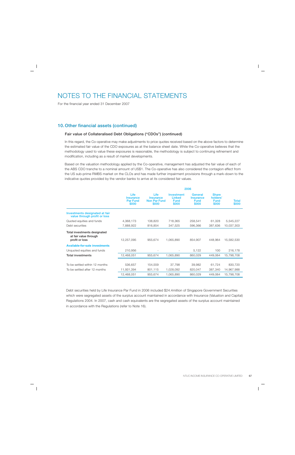For the financial year ended 31 December 2007

# **10.Other financial assets (continued)**

# **Fair value of Collateralised Debt Obligations ("CDOs") (continued)**

In this regard, the Co-operative may make adjustments to price quotes received based on the above factors to determine the estimated fair value of the CDO exposures as at the balance sheet date. While the Co-operative believes that the methodology used to value these exposures is reasonable, the methodology is subject to continuing refinement and modification, including as a result of market developments.

Based on the valuation methodology applied by the Co-operative, management has adjusted the fair value of each of the ABS CDO tranche to a nominal amount of US\$1. The Co-operative has also considered the contagion effect from the US sub-prime RMBS market on the CLOs and has made further impairment provisions through a mark-down to the indicative quotes provided by the vendor banks to arrive at its considered fair values.

|                                                                         |                                               |                                                   |                                                     | 2006                                         |                                                  |                |
|-------------------------------------------------------------------------|-----------------------------------------------|---------------------------------------------------|-----------------------------------------------------|----------------------------------------------|--------------------------------------------------|----------------|
|                                                                         | Life<br>Insurance<br><b>Par Fund</b><br>\$000 | Life<br>Insurance<br><b>Non Par Fund</b><br>\$000 | Investment<br><b>Linked</b><br><b>Fund</b><br>\$000 | General<br>Insurance<br><b>Fund</b><br>\$000 | <b>Share</b><br>holders'<br><b>Fund</b><br>\$000 | Total<br>\$000 |
| Investments designated at fair<br>value through profit or loss          |                                               |                                                   |                                                     |                                              |                                                  |                |
| Quoted equities and funds                                               | 4,368,173                                     | 138,820                                           | 718,365                                             | 258,541                                      | 61,328                                           | 5,545,227      |
| Debt securities                                                         | 7,888,922                                     | 816,854                                           | 347,525                                             | 596,366                                      | 387,636                                          | 10,037,303     |
| Total investments designated<br>at fair value through<br>profit or loss | 12,257,095                                    | 955,674                                           | 1,065,890                                           | 854,907                                      | 448.964                                          | 15,582,530     |
| <b>Available-for-sale investments</b>                                   |                                               |                                                   |                                                     |                                              |                                                  |                |
| Unquoted equities and funds                                             | 210,956                                       |                                                   |                                                     | 5,122                                        | 100                                              | 216,178        |
| <b>Total investments</b>                                                | 12,468,051                                    | 955,674                                           | 1,065,890                                           | 860,029                                      | 449,064                                          | 15,798,708     |
|                                                                         |                                               |                                                   |                                                     |                                              |                                                  |                |
| To be settled within 12 months                                          | 536,657                                       | 154,559                                           | 37,798                                              | 39,982                                       | 61,724                                           | 830,720        |
| To be settled after 12 months                                           | 11,931,394                                    | 801,115                                           | 1,028,092                                           | 820,047                                      | 387,340                                          | 14,967,988     |
|                                                                         | 12,468,051                                    | 955,674                                           | 1,065,890                                           | 860,029                                      | 449,064                                          | 15,798,708     |

Debt securities held by Life Insurance Par Fund in 2006 included \$24.4million of Singapore Government Securities which were segregated assets of the surplus account maintained in accordance with Insurance (Valuation and Capital) Regulations 2004. In 2007, cash and cash equivalents are the segregated assets of the surplus account maintained in accordance with the Regulations (refer to Note 16).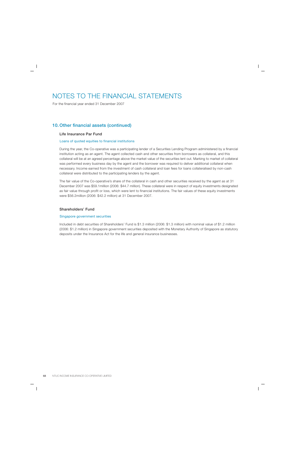For the financial year ended 31 December 2007

# **10.Other financial assets (continued)**

## **Life Insurance Par Fund**

## Loans of quoted equities to financial institutions

During the year, the Co-operative was a participating lender of a Securities Lending Program administered by a financial institution acting as an agent. The agent collected cash and other securities from borrowers as collateral, and this collateral will be at an agreed percentage above the market value of the securities lent out. Marking to market of collateral was performed every business day by the agent and the borrower was required to deliver additional collateral when necessary. Income earned from the investment of cash collateral and loan fees for loans collateralised by non-cash collateral were distributed to the participating lenders by the agent.

The fair value of the Co-operative's share of the collateral in cash and other securities received by the agent as at 31 December 2007 was \$59.1million (2006: \$44.7 million). These collateral were in respect of equity investments designated as fair value through profit or loss, which were lent to financial institutions. The fair values of these equity investments were \$56.2million (2006: \$42.2 million) at 31 December 2007.

# **Shareholders' Fund**

## Singapore government securities

Included in debt securities of Shareholders' Fund is \$1.3 million (2006: \$1.3 million) with nominal value of \$1.2 million (2006: \$1.2 million) in Singapore government securities deposited with the Monetary Authority of Singapore as statutory deposits under the Insurance Act for the life and general insurance businesses.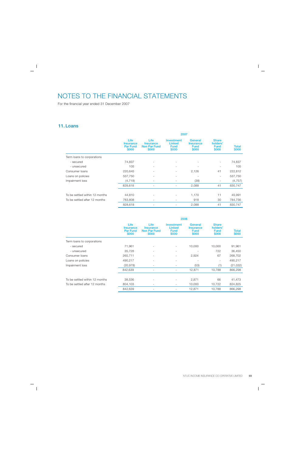For the financial year ended 31 December 2007

# **11.Loans**

|                                | 2007                                                 |                                                          |                                                            |                                                     |                                                  |                       |  |
|--------------------------------|------------------------------------------------------|----------------------------------------------------------|------------------------------------------------------------|-----------------------------------------------------|--------------------------------------------------|-----------------------|--|
|                                | Life<br><b>Insurance</b><br><b>Par Fund</b><br>\$000 | Life<br><b>Insurance</b><br><b>Non Par Fund</b><br>\$000 | <b>Investment</b><br><b>Linked</b><br><b>Fund</b><br>\$000 | General<br><b>Insurance</b><br><b>Fund</b><br>\$000 | <b>Share</b><br>holders'<br><b>Fund</b><br>\$000 | <b>Total</b><br>\$000 |  |
| Term loans to corporations     |                                                      |                                                          |                                                            |                                                     |                                                  |                       |  |
| - secured                      | 74,837                                               | $\overline{\phantom{a}}$                                 | ٠                                                          |                                                     | ٠                                                | 74,837                |  |
| - unsecured                    | 105                                                  | $\overline{\phantom{a}}$                                 | ۰                                                          | ۰                                                   | ٠                                                | 105                   |  |
| Consumer loans                 | 220,645                                              | $\overline{\phantom{a}}$                                 | ۰                                                          | 2,126                                               | 41                                               | 222,812               |  |
| Loans on policies              | 537,750                                              |                                                          | ۰                                                          | $\overline{\phantom{a}}$                            |                                                  | 537,750               |  |
| Impairment loss                | (4, 719)                                             | $\overline{\phantom{a}}$                                 | $\overline{\phantom{0}}$                                   | (38)                                                |                                                  | (4, 757)              |  |
|                                | 828,618                                              |                                                          |                                                            | 2,088                                               | 41                                               | 830,747               |  |
| To be settled within 12 months | 44,810                                               |                                                          |                                                            | 1,170                                               | 11                                               | 45,991                |  |
| To be settled after 12 months  | 783,808                                              | $\overline{\phantom{a}}$                                 |                                                            | 918                                                 | 30                                               | 784,756               |  |
|                                | 828,618                                              | $\overline{\phantom{a}}$                                 |                                                            | 2,088                                               | 41                                               | 830,747               |  |

|                                |                                                      | 2006                                              |                                                     |                                                     |                                                  |                       |  |
|--------------------------------|------------------------------------------------------|---------------------------------------------------|-----------------------------------------------------|-----------------------------------------------------|--------------------------------------------------|-----------------------|--|
|                                | Life<br><b>Insurance</b><br><b>Par Fund</b><br>\$000 | Life<br>Insurance<br><b>Non Par Fund</b><br>\$000 | Investment<br><b>Linked</b><br><b>Fund</b><br>\$000 | General<br><b>Insurance</b><br><b>Fund</b><br>\$000 | <b>Share</b><br>holders'<br><b>Fund</b><br>\$000 | <b>Total</b><br>\$000 |  |
| Term loans to corporations     |                                                      |                                                   |                                                     |                                                     |                                                  |                       |  |
| - secured                      | 71,961                                               | ٠                                                 |                                                     | 10,000                                              | 10,000                                           | 91,961                |  |
| - unsecured                    | 35,728                                               |                                                   |                                                     |                                                     | 722                                              | 36,450                |  |
| Consumer Ioans                 | 265,711                                              | $\overline{\phantom{a}}$                          | $\overline{\phantom{a}}$                            | 2,924                                               | 67                                               | 268,702               |  |
| Loans on policies              | 490,217                                              | ٠                                                 |                                                     |                                                     |                                                  | 490,217               |  |
| Impairment loss                | (20, 978)                                            | $\overline{\phantom{a}}$                          | $\overline{\phantom{a}}$                            | (53)                                                | (1)                                              | (21, 032)             |  |
|                                | 842,639                                              | $\overline{\phantom{a}}$                          | $\overline{\phantom{a}}$                            | 12,871                                              | 10,788                                           | 866,298               |  |
| To be settled within 12 months | 38,536                                               | $\sim$                                            | $\overline{\phantom{a}}$                            | 2,871                                               | 66                                               | 41,473                |  |
| To be settled after 12 months  | 804,103                                              | $\overline{\phantom{a}}$                          | $\overline{\phantom{a}}$                            | 10,000                                              | 10,722                                           | 824,825               |  |
|                                | 842,639                                              | ٠                                                 |                                                     | 12,871                                              | 10,788                                           | 866,298               |  |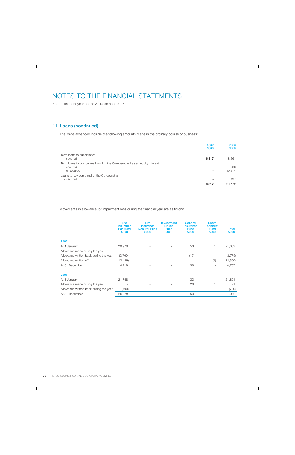For the financial year ended 31 December 2007

# **11.Loans (continued)**

The loans advanced include the following amounts made in the ordinary course of business:

|                                                                                                      | 2007<br>\$000                 | 2006<br>\$000 |
|------------------------------------------------------------------------------------------------------|-------------------------------|---------------|
| Term loans to subsidiaries<br>- secured                                                              | 6,817                         | 8,761         |
| Term loans to companies in which the Co-operative has an equity interest<br>- secured<br>- unsecured | $\overline{\phantom{a}}$<br>٠ | 200<br>19.774 |
| Loans to key personnel of the Co-operative<br>- secured                                              | ۰                             | 437           |
|                                                                                                      | 6,817                         | 29.172        |

Movements in allowance for impairment loss during the financial year are as follows:

|                                        | Life<br>Insurance<br><b>Par Fund</b><br>\$000 | Life<br><b>Insurance</b><br><b>Non Par Fund</b><br>\$000 | <b>Investment</b><br><b>Linked</b><br><b>Fund</b><br>\$000 | General<br><b>Insurance</b><br><b>Fund</b><br>\$000 | <b>Share</b><br>holders'<br><b>Fund</b><br>\$000 | <b>Total</b><br>\$000 |
|----------------------------------------|-----------------------------------------------|----------------------------------------------------------|------------------------------------------------------------|-----------------------------------------------------|--------------------------------------------------|-----------------------|
| 2007                                   |                                               |                                                          |                                                            |                                                     |                                                  |                       |
| At 1 January                           | 20,978                                        |                                                          |                                                            | 53                                                  |                                                  | 21,032                |
| Allowance made during the year         |                                               |                                                          |                                                            |                                                     | ٠                                                |                       |
| Allowance written back during the year | (2,760)                                       |                                                          |                                                            | (15)                                                | $\overline{\phantom{a}}$                         | (2,775)               |
| Allowance written off                  | (13,499)                                      |                                                          |                                                            |                                                     | (1)                                              | (13,500)              |
| At 31 December                         | 4,719                                         |                                                          |                                                            | 38                                                  |                                                  | 4,757                 |
| 2006                                   |                                               |                                                          |                                                            |                                                     |                                                  |                       |
| At 1 January                           | 21,768                                        |                                                          |                                                            | 33                                                  |                                                  | 21,801                |
| Allowance made during the year         | ٠                                             |                                                          |                                                            | 20                                                  |                                                  | 21                    |
| Allowance written back during the year | (790)                                         |                                                          |                                                            |                                                     |                                                  | (790)                 |
| At 31 December                         | 20,978                                        |                                                          |                                                            | 53                                                  |                                                  | 21,032                |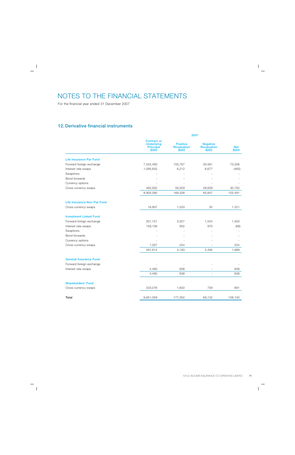For the financial year ended 31 December 2007

### **12.Derivative financial instruments**

|                                                 |                                                                      | 2007                                           |                                                |                     |  |  |  |
|-------------------------------------------------|----------------------------------------------------------------------|------------------------------------------------|------------------------------------------------|---------------------|--|--|--|
|                                                 | <b>Contract or</b><br><b>Underlying</b><br><b>Principal</b><br>\$000 | <b>Positive</b><br><b>Revaluation</b><br>\$000 | <b>Negative</b><br><b>Revaluation</b><br>\$000 | <b>Net</b><br>\$000 |  |  |  |
| <b>Life Insurance Par Fund</b>                  |                                                                      |                                                |                                                |                     |  |  |  |
| Forward foreign exchange                        | 7,343,493                                                            | 103,767                                        | 30,561                                         | 73,206              |  |  |  |
| Interest rate swaps                             | 1,095,655                                                            | 6,212                                          | 6,677                                          | (465)               |  |  |  |
| Swaptions                                       |                                                                      |                                                |                                                |                     |  |  |  |
| Bond forwards                                   |                                                                      |                                                |                                                |                     |  |  |  |
| Currency options                                |                                                                      |                                                |                                                |                     |  |  |  |
| Cross currency swaps                            | 465,932                                                              | 59,359                                         | 28,609                                         | 30,750              |  |  |  |
|                                                 | 8,905,080                                                            | 169,338                                        | 65,847                                         | 103,491             |  |  |  |
| <b>Life Insurance Non-Par Fund</b>              |                                                                      |                                                |                                                |                     |  |  |  |
| Cross currency swaps                            | 16,807                                                               | 1,253                                          | 32                                             | 1,221               |  |  |  |
| <b>Investment Linked Fund</b>                   |                                                                      |                                                |                                                |                     |  |  |  |
| Forward foreign exchange                        | 331,151                                                              | 3,027                                          | 1,524                                          | 1,503               |  |  |  |
| Interest rate swaps                             | 159,106                                                              | 902                                            | 970                                            | (68)                |  |  |  |
| Swaptions                                       |                                                                      |                                                |                                                |                     |  |  |  |
| Bond forwards                                   |                                                                      |                                                |                                                |                     |  |  |  |
| Currency options                                |                                                                      |                                                |                                                |                     |  |  |  |
| Cross currency swaps                            | 1,357                                                                | 254                                            |                                                | 254                 |  |  |  |
|                                                 | 491,614                                                              | 4,183                                          | 2,494                                          | 1,689               |  |  |  |
| <b>General Insurance Fund</b>                   |                                                                      |                                                |                                                |                     |  |  |  |
|                                                 |                                                                      |                                                |                                                |                     |  |  |  |
| Forward foreign exchange<br>Interest rate swaps | 4,480                                                                | 838                                            |                                                | 838                 |  |  |  |
|                                                 | 4,480                                                                | 838                                            |                                                | 838                 |  |  |  |
|                                                 |                                                                      |                                                |                                                |                     |  |  |  |
| <b>Shareholders' Fund</b>                       |                                                                      |                                                |                                                |                     |  |  |  |
| Cross currency swaps                            | 233,078                                                              | 1,650                                          | 759                                            | 891                 |  |  |  |
| Total                                           | 9,651,059                                                            | 177,262                                        | 69,132                                         | 108,130             |  |  |  |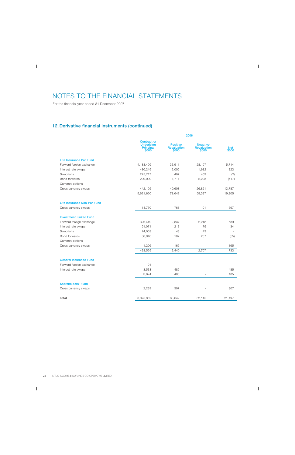For the financial year ended 31 December 2007

### **12.Derivative financial instruments (continued)**

| 2006                                                                 |                                                |                                                |                     |  |  |
|----------------------------------------------------------------------|------------------------------------------------|------------------------------------------------|---------------------|--|--|
| <b>Contract or</b><br><b>Underlying</b><br><b>Principal</b><br>\$000 | <b>Positive</b><br><b>Revaluation</b><br>\$000 | <b>Negative</b><br><b>Revaluation</b><br>\$000 | <b>Net</b><br>\$000 |  |  |
|                                                                      |                                                |                                                |                     |  |  |
| 4,183,499                                                            | 33,911                                         | 28,197                                         | 5,714               |  |  |
| 480,249                                                              | 2,005                                          | 1,682                                          | 323                 |  |  |
| 225,717                                                              | 407                                            | 409                                            | (2)                 |  |  |
| 290,000                                                              | 1,711                                          | 2,228                                          | (517)               |  |  |
|                                                                      |                                                |                                                |                     |  |  |
| 442,195                                                              | 40,608                                         | 26,821                                         | 13,787              |  |  |
| 5,621,660                                                            | 78,642                                         | 59,337                                         | 19,305              |  |  |
|                                                                      |                                                |                                                |                     |  |  |
| 14,770                                                               | 768                                            | 101                                            | 667                 |  |  |
|                                                                      |                                                |                                                |                     |  |  |
| 326,449                                                              | 2,837                                          | 2,248                                          | 589                 |  |  |
| 51,071                                                               | 213                                            | 179                                            | 34                  |  |  |
| 24,003                                                               | 43                                             | 43                                             |                     |  |  |
| 30,840                                                               | 182                                            | 237                                            | (55)                |  |  |
|                                                                      | $\overline{\phantom{a}}$                       |                                                |                     |  |  |
| 1,206                                                                | 165                                            |                                                | 165                 |  |  |
| 433,569                                                              | 3,440                                          | 2,707                                          | 733                 |  |  |
|                                                                      |                                                |                                                |                     |  |  |
| 91                                                                   |                                                |                                                |                     |  |  |
|                                                                      |                                                |                                                | 485                 |  |  |
| 3,624                                                                | 485                                            | L.                                             | 485                 |  |  |
|                                                                      |                                                |                                                |                     |  |  |
| 2,239                                                                | 307                                            |                                                | 307                 |  |  |
| 6,075,862                                                            | 83,642                                         | 62,145                                         | 21,497              |  |  |
|                                                                      | 3,533                                          | 485                                            |                     |  |  |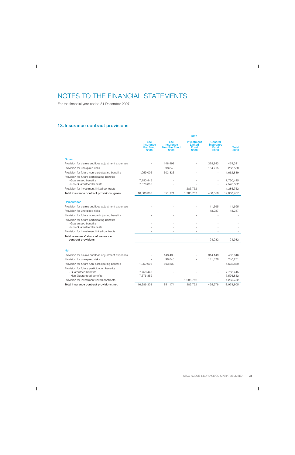For the financial year ended 31 December 2007

### **13.Insurance contract provisions**

|                                                                                                                                                | 2007                                                 |                                                          |                                                     |                                                     |                                     |  |  |
|------------------------------------------------------------------------------------------------------------------------------------------------|------------------------------------------------------|----------------------------------------------------------|-----------------------------------------------------|-----------------------------------------------------|-------------------------------------|--|--|
|                                                                                                                                                | Life<br><b>Insurance</b><br><b>Par Fund</b><br>\$000 | Life<br><b>Insurance</b><br><b>Non Par Fund</b><br>\$000 | Investment<br><b>Linked</b><br><b>Fund</b><br>\$000 | General<br><b>Insurance</b><br><b>Fund</b><br>\$000 | <b>Total</b><br>\$000               |  |  |
| <b>Gross</b>                                                                                                                                   |                                                      |                                                          |                                                     |                                                     |                                     |  |  |
| Provision for claims and loss adjustment expenses                                                                                              |                                                      | 148,498                                                  |                                                     | 325,843                                             | 474,341                             |  |  |
| Provision for unexpired risks                                                                                                                  |                                                      | 98,843                                                   |                                                     | 154,715                                             | 253,558                             |  |  |
| Provision for future non-participating benefits                                                                                                | 1,059,006                                            | 603,833                                                  |                                                     |                                                     | 1,662,839                           |  |  |
| Provision for future participating benefits<br>- Guaranteed benefits<br>- Non-Guaranteed benefits<br>Provision for investment linked contracts | 7,750,445<br>7,576,852                               |                                                          | 1,285,752                                           |                                                     | 7,750,445<br>7,576,852<br>1,285,752 |  |  |
| Total insurance contract provisions, gross                                                                                                     | 16,386,303                                           | 851,174                                                  | 1,285,752                                           | 480,558                                             | 19,003,787                          |  |  |
|                                                                                                                                                |                                                      |                                                          |                                                     |                                                     |                                     |  |  |
| <b>Reinsurance</b>                                                                                                                             |                                                      |                                                          |                                                     |                                                     |                                     |  |  |
| Provision for claims and loss adjustment expenses                                                                                              |                                                      |                                                          |                                                     | 11,695                                              | 11,695                              |  |  |
| Provision for unexpired risks                                                                                                                  |                                                      |                                                          |                                                     | 13,287                                              | 13,287                              |  |  |
| Provision for future non-participating benefits                                                                                                |                                                      |                                                          |                                                     |                                                     |                                     |  |  |
| Provision for future participating benefits<br>- Guaranteed benefits<br>- Non-Guaranteed benefits                                              |                                                      |                                                          |                                                     |                                                     |                                     |  |  |
| Provision for investment linked contracts                                                                                                      |                                                      |                                                          |                                                     |                                                     |                                     |  |  |
| Total reinsurers' share of insurance<br>contract provisions                                                                                    |                                                      |                                                          |                                                     | 24,982                                              | 24,982                              |  |  |
|                                                                                                                                                |                                                      |                                                          |                                                     |                                                     |                                     |  |  |
| <b>Net</b>                                                                                                                                     |                                                      |                                                          |                                                     |                                                     |                                     |  |  |
| Provision for claims and loss adjustment expenses                                                                                              |                                                      | 148,498                                                  |                                                     | 314,148                                             | 462,646                             |  |  |
| Provision for unexpired risks                                                                                                                  |                                                      | 98,843                                                   |                                                     | 141,428                                             | 240,271                             |  |  |
| Provision for future non-participating benefits                                                                                                | 1,059,006                                            | 603,833                                                  |                                                     |                                                     | 1,662,839                           |  |  |
| Provision for future participating benefits<br>- Guaranteed benefits<br>- Non-Guaranteed benefits                                              | 7,750,445<br>7,576,852                               |                                                          |                                                     |                                                     | 7,750,445<br>7,576,852              |  |  |
| Provision for investment linked contracts                                                                                                      |                                                      |                                                          | 1,285,752                                           |                                                     | 1,285,752                           |  |  |
| Total insurance contract provisions, net                                                                                                       | 16,386,303                                           | 851,174                                                  | 1,285,752                                           | 455,576                                             | 18,978,805                          |  |  |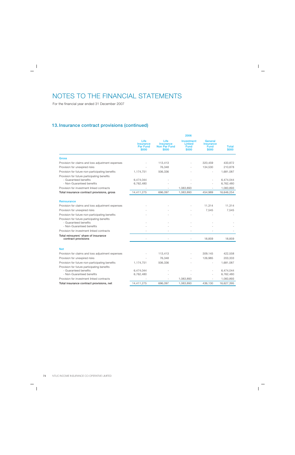For the financial year ended 31 December 2007

### **13.Insurance contract provisions (continued)**

|                                                                                                                                                | 2006                                                 |                                                                |                                              |                                                     |                                     |  |  |
|------------------------------------------------------------------------------------------------------------------------------------------------|------------------------------------------------------|----------------------------------------------------------------|----------------------------------------------|-----------------------------------------------------|-------------------------------------|--|--|
|                                                                                                                                                | Life<br><b>Insurance</b><br><b>Par Fund</b><br>\$000 | Life<br><b>Insurance</b><br><b>Non Par Fund</b><br><b>SOOO</b> | Investment<br>Linked<br><b>Fund</b><br>\$000 | <b>General</b><br><b>Insurance</b><br>Fund<br>\$000 | Total<br>\$000                      |  |  |
| <b>Gross</b>                                                                                                                                   |                                                      |                                                                |                                              |                                                     |                                     |  |  |
| Provision for claims and loss adjustment expenses                                                                                              |                                                      | 113,413                                                        |                                              | 320,459                                             | 433,872                             |  |  |
| Provision for unexpired risks                                                                                                                  |                                                      | 76,348                                                         |                                              | 134,530                                             | 210,878                             |  |  |
| Provision for future non-participating benefits                                                                                                | 1,174,751                                            | 506,336                                                        |                                              |                                                     | 1,681,087                           |  |  |
| Provision for future participating benefits<br>- Guaranteed benefits<br>- Non-Guaranteed benefits<br>Provision for investment linked contracts | 6,474,044<br>6,762,480                               |                                                                | 1,083,893                                    |                                                     | 6,474,044<br>6,762,480<br>1,083,893 |  |  |
| Total insurance contract provisions, gross                                                                                                     | 14,411,275                                           | 696,097                                                        | 1,083,893                                    | 454,989                                             | 16,646,254                          |  |  |
|                                                                                                                                                |                                                      |                                                                |                                              |                                                     |                                     |  |  |
| <b>Reinsurance</b>                                                                                                                             |                                                      |                                                                |                                              |                                                     |                                     |  |  |
| Provision for claims and loss adjustment expenses                                                                                              |                                                      |                                                                |                                              | 11,314                                              | 11,314                              |  |  |
| Provision for unexpired risks                                                                                                                  |                                                      |                                                                |                                              | 7,545                                               | 7,545                               |  |  |
| Provision for future non-participating benefits                                                                                                |                                                      |                                                                |                                              |                                                     |                                     |  |  |
| Provision for future participating benefits<br>- Guaranteed benefits<br>- Non-Guaranteed benefits                                              |                                                      |                                                                |                                              |                                                     |                                     |  |  |
| Provision for investment linked contracts                                                                                                      |                                                      |                                                                |                                              |                                                     |                                     |  |  |
| Total reinsurers' share of insurance<br>contract provisions                                                                                    |                                                      | i.                                                             |                                              | 18,859                                              | 18,859                              |  |  |
| <b>Net</b>                                                                                                                                     |                                                      |                                                                |                                              |                                                     |                                     |  |  |
| Provision for claims and loss adjustment expenses                                                                                              |                                                      | 113,413                                                        |                                              | 309,145                                             | 422,558                             |  |  |
| Provision for unexpired risks                                                                                                                  |                                                      | 76,348                                                         |                                              | 126,985                                             | 203,333                             |  |  |
| Provision for future non-participating benefits                                                                                                | 1,174,751                                            | 506,336                                                        |                                              |                                                     | 1,681,087                           |  |  |
| Provision for future participating benefits<br>- Guaranteed benefits<br>- Non-Guaranteed benefits                                              | 6,474,044<br>6,762,480                               |                                                                |                                              |                                                     | 6,474,044<br>6,762,480              |  |  |
| Provision for investment linked contracts                                                                                                      |                                                      |                                                                | 1,083,893                                    |                                                     | 1,083,893                           |  |  |
| Total insurance contract provisions, net                                                                                                       | 14,411,275                                           | 696,097                                                        | 1,083,893                                    | 436,130                                             | 16,627,395                          |  |  |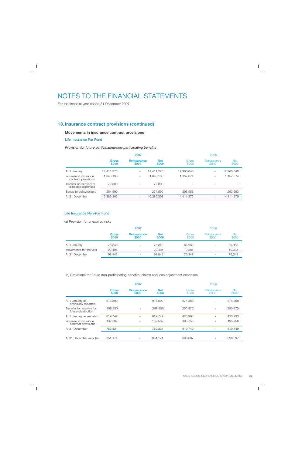For the financial year ended 31 December 2007

### **13.Insurance contract provisions (continued)**

#### **Movements in insurance contract provisions**

#### Life Insurance Par Fund

*Provision for future participating/non-participating benefits*

|                                               |                       | 2007                        |                     |                | 2006                     |                     |  |  |
|-----------------------------------------------|-----------------------|-----------------------------|---------------------|----------------|--------------------------|---------------------|--|--|
|                                               | <b>Gross</b><br>\$000 | <b>Reinsurance</b><br>\$000 | <b>Net</b><br>\$000 | Gross<br>\$000 | Reinsurance<br>\$000     | <b>Net</b><br>\$000 |  |  |
| At 1 January                                  | 14,411,275            | $\overline{\phantom{a}}$    | 14,411,275          | 12,960,048     | $\overline{\phantom{a}}$ | 12,960,048          |  |  |
| Increase in insurance<br>contract provisions  | 1,648,138             | $\overline{\phantom{a}}$    | 1,648,138           | 1,157,674      | $\overline{\phantom{a}}$ | 1,157,674           |  |  |
| Transfer of recovery of<br>allocated expenses | 72.300                | $\overline{\phantom{a}}$    | 72.300              |                | ۰.                       |                     |  |  |
| Bonus to policyholders                        | 254,590               | $\overline{\phantom{a}}$    | 254,590             | 293,553        |                          | 293,553             |  |  |
| At 31 December                                | 16,386,303            | $\overline{\phantom{a}}$    | 16,386,303          | 14,411,275     | $\sim$                   | 14,411,275          |  |  |

#### Life Insurance Non-Par Fund

(a) Provision for unexpired risks

|                        | 2007           |                                   |                     |                       | 2006                 |                     |  |  |
|------------------------|----------------|-----------------------------------|---------------------|-----------------------|----------------------|---------------------|--|--|
|                        | Gross<br>\$000 | <b>Reinsurance</b><br><b>SOOO</b> | <b>Net</b><br>\$000 | <b>Gross</b><br>\$000 | Reinsurance<br>\$000 | <b>Net</b><br>\$000 |  |  |
| At 1 January           | 76,348         | $\overline{\phantom{a}}$          | 76.348              | 65,963                |                      | 65,963              |  |  |
| Movements for the year | 22.495         | ۰                                 | 22.495              | 10.385                | ۰                    | 10,385              |  |  |
| At 31 December         | 98,843         | $\overline{\phantom{a}}$          | 98.843              | 76.348                |                      | 76,348              |  |  |

#### (b) Provisions for future non-participating benefits, claims and loss adjustment expenses

|                                                 | 2007           |                             |                     |                       | 2006                         |                     |
|-------------------------------------------------|----------------|-----------------------------|---------------------|-----------------------|------------------------------|---------------------|
|                                                 | Gross<br>\$000 | <b>Reinsurance</b><br>\$000 | <b>Net</b><br>\$000 | <b>Gross</b><br>\$000 | Reinsurance<br>\$000         | <b>Net</b><br>\$000 |
| At 1<br>January as<br>previously reported       | 918.599        |                             | 918.599             | 674.868               | ۰                            | 674.868             |
| Transfer to reserves for<br>future distribution | (298, 850)     | ٠                           | (298, 850)          | (250, 875)            | $\qquad \qquad \blacksquare$ | (250, 875)          |
| At 1 January as restated                        | 619.749        |                             | 619.749             | 423.993               | ۰                            | 423.993             |
| Increase in insurance<br>contract provisions    | 132.582        |                             | 132.582             | 195.756               | $\qquad \qquad \blacksquare$ | 195.756             |
| At 31 December                                  | 752,331        |                             | 752,331             | 619.749               | ۰                            | 619.749             |
|                                                 |                |                             |                     |                       |                              |                     |
| At 31 December (a) $+$ (b)                      | 851,174        |                             | 851.174             | 696,097               |                              | 696,097             |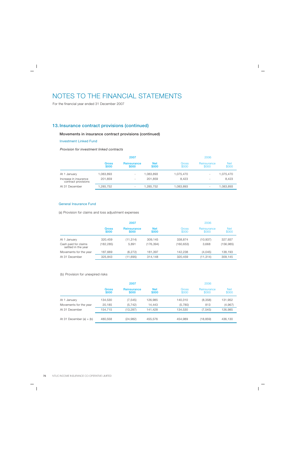For the financial year ended 31 December 2007

### **13.Insurance contract provisions (continued)**

#### **Movements in insurance contract provisions (continued)**

#### Investment Linked Fund

#### *Provision for investment linked contracts*

|                                              | 2007                  |                                   |                     | 2006           |                          |                     |  |
|----------------------------------------------|-----------------------|-----------------------------------|---------------------|----------------|--------------------------|---------------------|--|
|                                              | <b>Gross</b><br>\$000 | <b>Reinsurance</b><br><b>SOOO</b> | <b>Net</b><br>\$000 | Gross<br>\$000 | Reinsurance<br>\$000     | <b>Net</b><br>\$000 |  |
| At 1 January                                 | 893,893.              | $\sim$                            | 1,083,893           | 1,075,470      | $\overline{\phantom{a}}$ | 1,075,470           |  |
| Increase in insurance<br>contract provisions | 201.859               | -                                 | 201.859             | 8.423          | $\overline{\phantom{a}}$ | 8,423               |  |
| At 31 December                               | .285.752              | -                                 | 1.285.752           | 1,083,893      | $\sim$                   | ,083,893            |  |

#### General Insurance Fund

(a) Provision for claims and loss adjustment expenses

|                                             | 2007           |                                   |                     | 2006           |                      |                     |  |
|---------------------------------------------|----------------|-----------------------------------|---------------------|----------------|----------------------|---------------------|--|
|                                             | Gross<br>\$000 | <b>Reinsurance</b><br><b>SOOO</b> | <b>Net</b><br>\$000 | Gross<br>\$000 | Reinsurance<br>\$000 | <b>Net</b><br>\$000 |  |
| At 1 January                                | 320.459        | (11, 314)                         | 309.145             | 338,874        | (10, 937)            | 327,937             |  |
| Cash paid for claims<br>settled in the year | (182, 285)     | 5.891                             | (176,394)           | (160, 653)     | 3,668                | (156,985)           |  |
| Movements for the year                      | 187.669        | (6, 272)                          | 181,397             | 142.238        | (4,045)              | 138,193             |  |
| At 31 December                              | 325.843        | (11, 695)                         | 314.148             | 320.459        | (11, 314)            | 309,145             |  |

#### (b) Provision for unexpired risks

|                            | 2007                  |                                   |                     |                | 2006                 |                     |
|----------------------------|-----------------------|-----------------------------------|---------------------|----------------|----------------------|---------------------|
|                            | <b>Gross</b><br>\$000 | <b>Reinsurance</b><br><b>SOOO</b> | <b>Net</b><br>\$000 | Gross<br>\$000 | Reinsurance<br>\$000 | <b>Net</b><br>\$000 |
| At 1 January               | 134,530               | (7, 545)                          | 126.985             | 140,310        | (8,358)              | 131,952             |
| Movements for the year     | 20,185                | (5, 742)                          | 14,443              | (5,780)        | 813                  | (4,967)             |
| At 31 December             | 154.715               | (13, 287)                         | 141.428             | 134.530        | (7, 545)             | 126,985             |
| At 31 December (a) $+$ (b) | 480,558               | (24, 982)                         | 455,576             | 454,989        | (18, 859)            | 436,130             |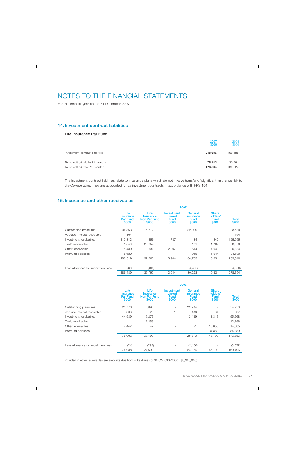For the financial year ended 31 December 2007

### **14.Investment contract liabilities**

#### **Life Insurance Par Fund**

|                                 | 2007<br>\$000 | 2006<br>\$000 |
|---------------------------------|---------------|---------------|
| Investment contract liabilities | 248,686       | 160,185       |
| To be settled within 12 months  | 75.182        | 20,261        |
| To be settled after 12 months   | 173,504       | 139.924       |

The investment contract liabilities relate to insurance plans which do not involve transfer of significant insurance risk to the Co-operative. They are accounted for as investment contracts in accordance with FRS 104.

### **15.Insurance and other receivables**

|                                    | 2007                                          |                                                          |                                              |                                                     |                                                  |                       |  |  |
|------------------------------------|-----------------------------------------------|----------------------------------------------------------|----------------------------------------------|-----------------------------------------------------|--------------------------------------------------|-----------------------|--|--|
|                                    | Life<br>Insurance<br><b>Par Fund</b><br>\$000 | <b>Life</b><br>Insurance<br><b>Non Par Fund</b><br>\$000 | Investment<br>Linked<br><b>Fund</b><br>\$000 | General<br><b>Insurance</b><br><b>Fund</b><br>\$000 | <b>Share</b><br>holders'<br><b>Fund</b><br>\$000 | <b>Total</b><br>\$000 |  |  |
| Outstanding premiums               | 34,863                                        | 15,817                                                   |                                              | 32,909                                              |                                                  | 83,589                |  |  |
| Accrued interest receivable        | 164                                           |                                                          |                                              |                                                     |                                                  | 164                   |  |  |
| Investment receivables             | 112,843                                       | 259                                                      | 11,737                                       | 184                                                 | 542                                              | 125,565               |  |  |
| Trade receivables                  | 1,540                                         | 20,654                                                   |                                              | 131                                                 | 1,204                                            | 23,529                |  |  |
| Other receivables                  | 18,489                                        | 533                                                      | 2,207                                        | 614                                                 | 4,041                                            | 25,884                |  |  |
| Interfund balances                 | 18,620                                        | $\overline{\phantom{a}}$                                 |                                              | 945                                                 | 5,044                                            | 24,609                |  |  |
|                                    | 186,519                                       | 37,263                                                   | 13,944                                       | 34,783                                              | 10,831                                           | 283,340               |  |  |
| Less allowance for impairment loss | (30)                                          | (466)                                                    |                                              | (4,490)                                             |                                                  | (4,986)               |  |  |
|                                    | 186,489                                       | 36,797                                                   | 13,944                                       | 30,293                                              | 10,831                                           | 278,354               |  |  |

|                                    |                                               | 2006                                                    |                                                           |                                                           |                                                  |                |  |  |
|------------------------------------|-----------------------------------------------|---------------------------------------------------------|-----------------------------------------------------------|-----------------------------------------------------------|--------------------------------------------------|----------------|--|--|
|                                    | Life<br>Insurance<br><b>Par Fund</b><br>\$000 | Life<br>Insurance<br><b>Non Par Fund</b><br><b>SOOO</b> | <b>Investment</b><br>Linked<br><b>Fund</b><br><b>SOOO</b> | General<br><b>Insurance</b><br><b>Fund</b><br><b>SOOO</b> | <b>Share</b><br>holders'<br><b>Fund</b><br>\$000 | Total<br>\$000 |  |  |
| Outstanding premiums               | 25,773                                        | 6,896                                                   | ۰.                                                        | 22,284                                                    |                                                  | 54,953         |  |  |
| Accrued interest receivable        | 308                                           | 23                                                      |                                                           | 436                                                       | 34                                               | 802            |  |  |
| Investment receivables             | 44,539                                        | 6,273                                                   | $\overline{\phantom{0}}$                                  | 3,439                                                     | 1,317                                            | 55,568         |  |  |
| Trade receivables                  |                                               | 12,256                                                  | ۰.                                                        |                                                           |                                                  | 12,256         |  |  |
| Other receivables                  | 4,442                                         | 42                                                      | ۰.                                                        | 51                                                        | 10,050                                           | 14,585         |  |  |
| Interfund balances                 | ۰                                             | ٠                                                       | ۰.                                                        |                                                           | 34.389                                           | 34,389         |  |  |
|                                    | 75,062                                        | 25,490                                                  | ٠                                                         | 26,210                                                    | 45,790                                           | 172,553        |  |  |
| Less allowance for impairment loss | (74)                                          | (797)                                                   |                                                           | (2, 186)                                                  |                                                  | (3,057)        |  |  |
|                                    | 74,988                                        | 24,693                                                  |                                                           | 24,024                                                    | 45.790                                           | 169.496        |  |  |

Included in other receivables are amounts due from subsidiaries of \$4,627,000 (2006 : \$8,345,000)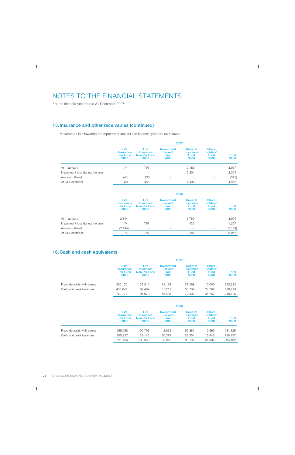For the financial year ended 31 December 2007

### **15.Insurance and other receivables (continued)**

Movements in allowance for impairment loss for the financial year are as follows:

|                                 | 2007                                                 |                                                   |                                              |                                                     |                                                  |                       |  |
|---------------------------------|------------------------------------------------------|---------------------------------------------------|----------------------------------------------|-----------------------------------------------------|--------------------------------------------------|-----------------------|--|
|                                 | Life<br><b>Insurance</b><br><b>Par Fund</b><br>\$000 | Life<br><b>Insurance</b><br>Non Par Fund<br>\$000 | Investment<br>Linked<br><b>Fund</b><br>\$000 | General<br><b>Insurance</b><br><b>Fund</b><br>\$000 | <b>Share</b><br>holders'<br><b>Fund</b><br>\$000 | <b>Total</b><br>\$000 |  |
| At 1 January                    | 74                                                   | 797                                               | $\overline{\phantom{a}}$                     | 2,186                                               | ۰                                                | 3,057                 |  |
| Impairment loss during the year | ۰                                                    | $\sim$                                            | $\overline{\phantom{a}}$                     | 2,304                                               | ۰                                                | 2,304                 |  |
| Amount utilised                 | (44)                                                 | (331)                                             | $\overline{\phantom{a}}$                     | $\overline{\phantom{a}}$                            | ۰                                                | (375)                 |  |
| At 31 December                  | 30                                                   | 466                                               | $\overline{\phantom{a}}$                     | 4,490                                               | ۰                                                | 4,986                 |  |

|                                 |                                                | 2006                                                    |                                              |                                                     |                                                  |                       |  |  |
|---------------------------------|------------------------------------------------|---------------------------------------------------------|----------------------------------------------|-----------------------------------------------------|--------------------------------------------------|-----------------------|--|--|
|                                 | Life<br>Ins urance<br><b>Par Fund</b><br>\$000 | Life<br>Insurance<br><b>Non Par Fund</b><br><b>SOOO</b> | Investment<br>Linked<br><b>Fund</b><br>\$000 | General<br><b>Insurance</b><br><b>Fund</b><br>\$000 | <b>Share</b><br>holders'<br><b>Fund</b><br>\$000 | <b>Total</b><br>\$000 |  |  |
| At 1 January                    | 2,144                                          | $\overline{\phantom{a}}$                                | -                                            | 1,760                                               | $\overline{\phantom{a}}$                         | 3,904                 |  |  |
| Impairment loss during the year | 74                                             | 797                                                     | $\overline{\phantom{a}}$                     | 426                                                 | $\overline{\phantom{a}}$                         | 1,297                 |  |  |
| Amount utilised                 | (2, 144)                                       | $\overline{\phantom{a}}$                                | $\overline{\phantom{a}}$                     | $\overline{\phantom{a}}$                            | $\overline{\phantom{a}}$                         | (2, 144)              |  |  |
| At 31 December                  | 74                                             | 797                                                     | $\overline{\phantom{a}}$                     | 2,186                                               | $\overline{\phantom{a}}$                         | 3,057                 |  |  |

### **16.Cash and cash equivalents**

|                           | 2007                                          |                                                         |                                                    |                                                     |                                                  |                |  |
|---------------------------|-----------------------------------------------|---------------------------------------------------------|----------------------------------------------------|-----------------------------------------------------|--------------------------------------------------|----------------|--|
|                           | Life<br>Insurance<br><b>Par Fund</b><br>\$000 | Life<br>Insurance<br><b>Non Par Fund</b><br><b>SOOO</b> | Investment<br>Linked<br><b>Fund</b><br><b>SOOO</b> | General<br><b>Insurance</b><br><b>Fund</b><br>\$000 | <b>Share</b><br>holders'<br><b>Fund</b><br>\$000 | Total<br>\$000 |  |
| Fixed deposits with banks | 305.130                                       | 32.510                                                  | 21.194                                             | 21.498                                              | 10.000                                           | 390,332        |  |
| Cash and bank balances    | 455,644                                       | 62,469                                                  | 35.211                                             | 50,702                                              | 24,767                                           | 628,793        |  |
|                           | 760.774                                       | 94.979                                                  | 56.405                                             | 72,200                                              | 34,767                                           | 1,019,125      |  |

|                           |                                                      | 2006                                                    |                                              |                                                           |                                                  |                       |  |  |  |
|---------------------------|------------------------------------------------------|---------------------------------------------------------|----------------------------------------------|-----------------------------------------------------------|--------------------------------------------------|-----------------------|--|--|--|
|                           | Life<br><b>Insurance</b><br><b>Par Fund</b><br>\$000 | Life<br><b>Insurance</b><br>Non Par Fund<br><b>SOOO</b> | Investment<br>Linked<br><b>Fund</b><br>\$000 | General<br><b>Insurance</b><br><b>Fund</b><br><b>SOOO</b> | <b>Share</b><br>holders'<br><b>Fund</b><br>\$000 | <b>Total</b><br>\$000 |  |  |  |
| Fixed deposits with banks | 255.658                                              | 109.793                                                 | 2,632                                        | 55,382                                                    | 10.860                                           | 434,325               |  |  |  |
| Cash and bank balances    | 365.837                                              | 21.146                                                  | 30.378                                       | 28.354                                                    | 13.442                                           | 459.157               |  |  |  |
|                           | 621.495                                              | 130.939                                                 | 33,010                                       | 83.736                                                    | 24.302                                           | 893.482               |  |  |  |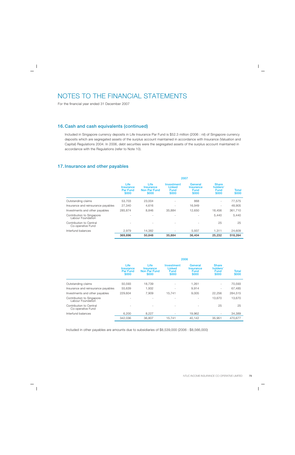For the financial year ended 31 December 2007

### **16.Cash and cash equivalents (continued)**

Included in Singapore currency deposits in Life Insurance Par Fund is \$52.3 million (2006 : nil) of Singapore currency deposits which are segregated assets of the surplus account maintained in accordance with Insurance (Valuation and Capital) Regulations 2004. In 2006, debt securities were the segregated assets of the surplus account maintained in accordance with the Regulations (refer to Note 10).

### **17.Insurance and other payables**

|                                                |                                               | 2007                                              |                                              |                                              |                                                  |                      |  |
|------------------------------------------------|-----------------------------------------------|---------------------------------------------------|----------------------------------------------|----------------------------------------------|--------------------------------------------------|----------------------|--|
|                                                | Life<br>Insurance<br><b>Par Fund</b><br>\$000 | Life<br>Insurance<br><b>Non Par Fund</b><br>\$000 | Investment<br>Linked<br><b>Fund</b><br>\$000 | General<br>Insurance<br><b>Fund</b><br>\$000 | <b>Share</b><br>holders'<br><b>Fund</b><br>\$000 | Total<br><b>SOOO</b> |  |
| Outstanding claims                             | 53.703                                        | 23,004                                            | ۰                                            | 868                                          | $\overline{\phantom{a}}$                         | 77,575               |  |
| Insurance and reinsurance payables             | 27,340                                        | 4,616                                             | ۰                                            | 16,949                                       | $\overline{\phantom{a}}$                         | 48,905               |  |
| Investments and other payables                 | 285.874                                       | 8.846                                             | 35.884                                       | 12.650                                       | 18.456                                           | 361.710              |  |
| Contribution to Singapore<br>Labour Foundation | ۰                                             |                                                   | ٠                                            |                                              | 5.440                                            | 5,440                |  |
| Contribution to Central<br>Co-operative Fund   |                                               |                                                   |                                              |                                              | 25                                               | 25                   |  |
| Interfund balances                             | 2.979                                         | 14,382                                            | ۰                                            | 5,937                                        | 1,311                                            | 24,609               |  |
|                                                | 369,896                                       | 50,848                                            | 35,884                                       | 36,404                                       | 25,232                                           | 518,264              |  |

|                                                |                                               | 2006                                              |                                              |                                              |                                                  |                |  |  |
|------------------------------------------------|-----------------------------------------------|---------------------------------------------------|----------------------------------------------|----------------------------------------------|--------------------------------------------------|----------------|--|--|
|                                                | Life<br>Insurance<br><b>Par Fund</b><br>\$000 | Life<br>Insurance<br><b>Non Par Fund</b><br>\$000 | Investment<br>Linked<br><b>Fund</b><br>\$000 | General<br>Insurance<br><b>Fund</b><br>\$000 | <b>Share</b><br>holders'<br><b>Fund</b><br>\$000 | Total<br>\$000 |  |  |
| Outstanding claims                             | 50,593                                        | 18,739                                            | $\overline{\phantom{a}}$                     | 1,261                                        | -                                                | 70,593         |  |  |
| Insurance and reinsurance payables             | 55.639                                        | 1,932                                             | ٠                                            | 9,914                                        | $\overline{\phantom{a}}$                         | 67,485         |  |  |
| Investments and other payables                 | 229.604                                       | 7,909                                             | 15,741                                       | 9,005                                        | 22,256                                           | 284,515        |  |  |
| Contribution to Singapore<br>Labour Foundation |                                               |                                                   |                                              |                                              | 13,670                                           | 13,670         |  |  |
| Contribution to Central<br>Co-operative Fund   |                                               |                                                   |                                              |                                              | 25                                               | 25             |  |  |
| Interfund balances                             | 6,200                                         | 8,227                                             | ۰                                            | 19,962                                       | ۰                                                | 34,389         |  |  |
|                                                | 342.036                                       | 36,807                                            | 15.741                                       | 40.142                                       | 35.951                                           | 470.677        |  |  |

Included in other payables are amounts due to subsidiaries of \$8,539,000 (2006 : \$8,566,000)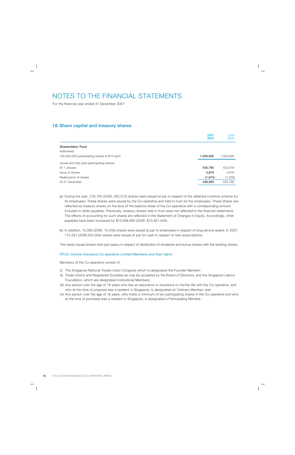For the financial year ended 31 December 2007

### **18.Share capital and treasury shares**

|                                               | 2007<br>\$000 | 2006<br>\$000 |
|-----------------------------------------------|---------------|---------------|
| Shareholders' Fund                            |               |               |
| Authorised:                                   |               |               |
| 100,000,000 participating shares of \$10 each | 1,000,000     | 1,000,000     |
| Issued and fully paid participating shares:   |               |               |
| At 1 January                                  | 435,795       | 432,518       |
| Issue of shares                               | 4,679         | 4,816         |
| Redemption of shares                          | (1,674)       | (1,539)       |
| At 31 December                                | 438,800       | 435.795       |

- (a) During the year, 276,792 (2006: 262,013) shares were issued at par in respect of the deferred incentive scheme for its employees. These shares were issued by the Co-operative and held in trust for the employees. These shares are reflected as treasury shares on the face of the balance sheet of the Co-operative with a corresponding amount included in other payables. Previously, treasury shares held in trust were not reflected in the financial statements. The effects of accounting for such shares are reflected in the Statement of Changes in Equity. Accordingly, other payables have been increased by \$13,698,960 (2006: \$10,931,040).
- (b) In addition, 15,560 (2006: 15,040) shares were issued at par to employees in respect of long service award. In 2007, 175,581 (2006:204,593) shares were issued at par for cash in respect of new subscriptions.

The newly issued shares rank pari passu in respect of distribution of dividends and bonus shares with the existing shares.

#### NTUC Income Insurance Co-operative Limited Members and their rights

Members of the Co-operative consist of:

- (i) The Singapore National Trades Union Congress which is designated the Founder Member;
- (ii) Trade Unions and Registered Societies as may be accepted by the Board of Directors, and the Singapore Labour Foundation, which are designated Institutional Members;
- (iii) Any person over the age of 18 years who has an assurance or insurance on his/her life with the Co-operative, and who at the time of proposal was a resident in Singapore, is designated an Ordinary Member; and
- (iv) Any person over the age of 18 years, who holds a minimum of ten participating shares in the Co-operative and who at the time of purchase was a resident in Singapore, is designated a Participating Member.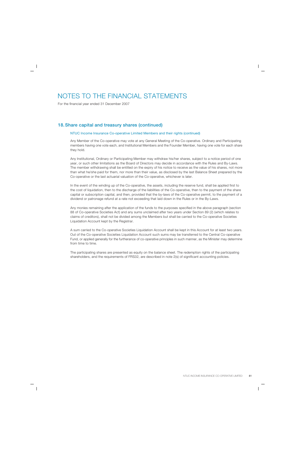For the financial year ended 31 December 2007

### **18.Share capital and treasury shares (continued)**

#### NTUC Income Insurance Co-operative Limited Members and their rights (continued)

Any Member of the Co-operative may vote at any General Meeting of the Co-operative. Ordinary and Participating members having one vote each, and Institutional Members and the Founder Member, having one vote for each share they hold.

Any Institutional, Ordinary or Participating Member may withdraw his/her shares, subject to a notice period of one year, or such other limitations as the Board of Directors may decide in accordance with the Rules and By-Laws. The member withdrawing shall be entitled on the expiry of his notice to receive as the value of his shares, not more than what he/she paid for them, nor more than their value, as disclosed by the last Balance Sheet prepared by the Co-operative or the last actuarial valuation of the Co-operative, whichever is later.

In the event of the winding up of the Co-operative, the assets, including the reserve fund, shall be applied first to the cost of liquidation, then to the discharge of the liabilities of the Co-operative, then to the payment of the share capital or subscription capital, and then, provided that the by-laws of the Co-operative permit, to the payment of a dividend or patronage refund at a rate not exceeding that laid down in the Rules or in the By-Laws.

Any monies remaining after the application of the funds to the purposes specified in the above paragraph (section 88 of Co-operative Societies Act) and any sums unclaimed after two years under Section 89 (2) (which relates to claims of creditors), shall not be divided among the Members but shall be carried to the Co-operative Societies Liquidation Account kept by the Registrar.

A sum carried to the Co-operative Societies Liquidation Account shall be kept in this Account for at least two years. Out of the Co-operative Societies Liquidation Account such sums may be transferred to the Central Co-operative Fund, or applied generally for the furtherance of co-operative principles in such manner, as the Minister may determine from time to time.

The participating shares are presented as equity on the balance sheet. The redemption rights of the participating shareholders, and the requirements of FRS32, are described in note 2(s) of significant accounting policies.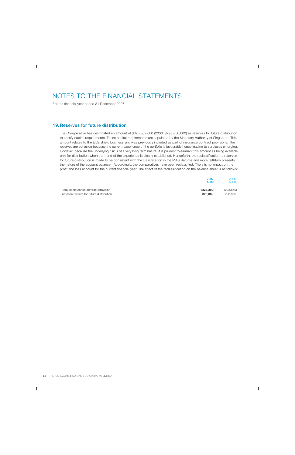For the financial year ended 31 December 2007

#### **19.Reserves for future distribution**

The Co-operative has designated an amount of \$325,302,000 (2006: \$298,850,000) as reserves for future distribution to satisfy capital requirements. These capital requirements are stipulated by the Monetary Authority of Singapore. This amount relates to the Eldershield business and was previously included as part of insurance contract provisions. The reserves are set aside because the current experience of the portfolio is favourable hence leading to surpluses emerging. However, because the underlying risk is of a very long term nature, it is prudent to earmark this amount as being available only for distribution when the trend of the experience is clearly established. Henceforth, the reclassification to reserves for future distribution is made to be consistent with the classification in the MAS Returns and more faithfully presents the nature of the account balance. Accordingly, the comparatives have been reclassified. There is no impact on the profit and loss account for the current financial year. The effect of the reclassification on the balance sheet is as follows:

|                                          | 2007<br>\$000 | 2006<br>\$000 |
|------------------------------------------|---------------|---------------|
| Reduce insurance contract provision      | (325, 302)    | (298, 850)    |
| Increase reserve for future distribution | 325.302       | 298.850       |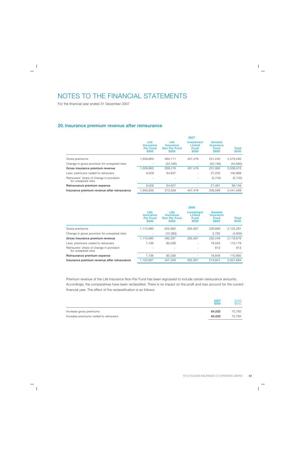For the financial year ended 31 December 2007

### **20.Insurance premium revenue after reinsurance**

| Life<br>Insurance<br><b>Par Fund</b><br>\$000 | Life<br>Insurance<br>Non Par Fund<br><b>SOOO</b> | Investment<br>Linked<br><b>Fund</b><br><b>SOOO</b> | General<br>Insurance<br><b>Fund</b><br><b>SOOO</b> | Total<br><b>SOOO</b> |  |
|-----------------------------------------------|--------------------------------------------------|----------------------------------------------------|----------------------------------------------------|----------------------|--|
| 1,509,863                                     | 360.711                                          | 457.476                                            | 251,245                                            | 2,579,295            |  |
|                                               | (22, 495)                                        |                                                    | (20, 185)                                          | (42,680)             |  |
| 1,509,863                                     | 338,216                                          | 457.476                                            | 231.060                                            | 2,536,615            |  |
| 9.028                                         | 64,657                                           | $\overline{\phantom{a}}$                           | 27.203                                             | 100.888              |  |
| $\overline{\phantom{a}}$                      |                                                  | $\overline{\phantom{a}}$                           | (5, 742)                                           | (5, 742)             |  |
| 9,028                                         | 64,657                                           | $\overline{\phantom{a}}$                           | 21,461                                             | 95,146               |  |
| 1,500,835                                     | 273,559                                          | 457.476                                            | 209.599                                            | 2,441,469            |  |
|                                               |                                                  |                                                    | 2007                                               |                      |  |

|                                                                 | 2006                                          |                                                   |                                                           |                                              |                |  |  |
|-----------------------------------------------------------------|-----------------------------------------------|---------------------------------------------------|-----------------------------------------------------------|----------------------------------------------|----------------|--|--|
|                                                                 | Life<br>Insurance<br><b>Par Fund</b><br>\$000 | Life<br>Insurance<br><b>Non Par Fund</b><br>\$000 | Investment<br><b>Linked</b><br><b>Fund</b><br><b>SOOO</b> | General<br>Insurance<br><b>Fund</b><br>\$000 | Total<br>\$000 |  |  |
| Gross premiums                                                  | 1,110,993                                     | 502.682                                           | 282.937                                                   | 226,669                                      | 2,123,281      |  |  |
| Change in gross provision for unexpired risks                   |                                               | (10, 385)                                         |                                                           | 5,780                                        | (4,605)        |  |  |
| Gross insurance premium revenue                                 | 1,110,993                                     | 492,297                                           | 282.937                                                   | 232.449                                      | 2,118,676      |  |  |
| Less: premiums ceded to reinsurers                              | 7.106                                         | 85,038                                            |                                                           | 18,035                                       | 110.179        |  |  |
| Reinsurers' share of change in provision<br>for unexpired risks |                                               |                                                   |                                                           | 813                                          | 813            |  |  |
| Reinsurance premium expense                                     | 7,106                                         | 85.038                                            |                                                           | 18,848                                       | 110,992        |  |  |
| Insurance premium revenue after reinsurance                     | 1,103,887                                     | 407.259                                           | 282.937                                                   | 213.601                                      | 2.007.684      |  |  |

Premium revenue of the Life Insurance Non-Par Fund has been regrossed to include certain reinsurance amounts. Accordingly, the comparatives have been reclassified. There is no impact on the profit and loss account for the current financial year. The effect of the reclassification is as follows:

|                                       | 2007<br>\$000 | 2006<br>\$000 |
|---------------------------------------|---------------|---------------|
| Increase gross premiums               | 64.032        | 75.765        |
| Increase premiums ceded to reinsurers | 64.032        | 75.765        |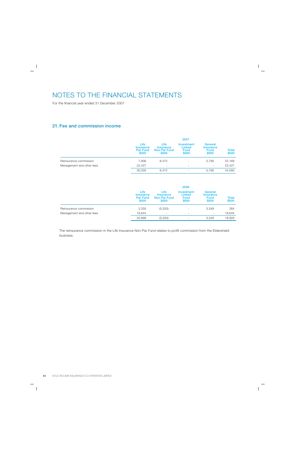For the financial year ended 31 December 2007

### **21.Fee and commission income**

|                           |                                               | 2007                                                                  |                                                    |                                                     |                       |
|---------------------------|-----------------------------------------------|-----------------------------------------------------------------------|----------------------------------------------------|-----------------------------------------------------|-----------------------|
|                           | Life<br>Insurance<br><b>Par Fund</b><br>\$000 | Life<br><i><u><b>Insurance</b></u></i><br>Non Par Fund<br><b>SOOO</b> | Investment<br>Linked<br><b>Fund</b><br><b>SOOO</b> | General<br><b>Insurance</b><br><b>Fund</b><br>\$000 | <b>Total</b><br>\$000 |
| Reinsurance commission    | 7.906                                         | 8.472                                                                 |                                                    | 5.790                                               | 22,168                |
| Management and other fees | 22.427                                        | $\sim$                                                                | ۰                                                  | ۰                                                   | 22,427                |
|                           | 30,333                                        | 8.472                                                                 | -                                                  | 5,790                                               | 44,595                |

|                           | Life<br>Insurance<br><b>Par Fund</b><br>\$000 | Life<br>Insurance<br>Non Par Fund<br><b>SOOO</b> | Investment<br><b>Linked</b><br><b>Fund</b><br>\$000 | General<br><b>Insurance</b><br><b>Fund</b><br>\$000 | Total<br>\$000 |
|---------------------------|-----------------------------------------------|--------------------------------------------------|-----------------------------------------------------|-----------------------------------------------------|----------------|
| Reinsurance commission    | 2,255                                         | (5,320)                                          | $\overline{\phantom{a}}$                            | 3,349                                               | 284            |
| Management and other fees | 18.644                                        | $\overline{\phantom{a}}$                         | $\overline{\phantom{a}}$                            | $\overline{\phantom{a}}$                            | 18,644         |
|                           | 20,899                                        | (5,320)                                          | $\overline{\phantom{a}}$                            | 3.349                                               | 18,928         |

The reinsurance commission in the Life Insurance Non-Par Fund relates to profit commission from the Eldershield business.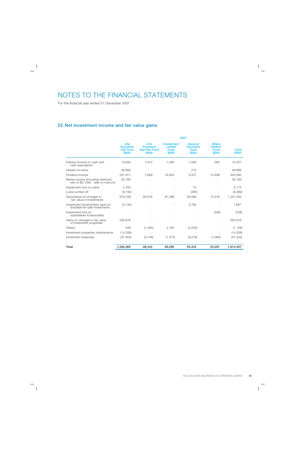For the financial year ended 31 December 2007

## **22.Net investment income and fair value gains**

|                                                                            |                                                      | 2007                                                     |                                                            |                                                     |                                                  |                       |  |
|----------------------------------------------------------------------------|------------------------------------------------------|----------------------------------------------------------|------------------------------------------------------------|-----------------------------------------------------|--------------------------------------------------|-----------------------|--|
|                                                                            | Life<br><b>Insurance</b><br><b>Par Fund</b><br>\$000 | Life<br><b>Insurance</b><br><b>Non Par Fund</b><br>\$000 | <b>Investment</b><br><b>Linked</b><br><b>Fund</b><br>\$000 | General<br><b>Insurance</b><br><b>Fund</b><br>\$000 | <b>Share</b><br>holders'<br><b>Fund</b><br>\$000 | <b>Total</b><br>\$000 |  |
| Interest income on cash and<br>cash equivalents                            | 10,640                                               | 1,913                                                    | 1,260                                                      | 1,008                                               | 580                                              | 15,401                |  |
| Interest on loans                                                          | 46.656                                               |                                                          |                                                            | 210                                                 |                                                  | 46,866                |  |
| Dividend income                                                            | 257,911                                              | 7,689                                                    | 16,954                                                     | 9,527                                               | 10,499                                           | 302,580               |  |
| Rental income (including interfund<br>rent of \$5,139k - refer to note 24) | 50,783                                               |                                                          |                                                            |                                                     |                                                  | 50,783                |  |
| Impairment loss on loans                                                   | 2,760                                                |                                                          |                                                            | 15                                                  |                                                  | 2,775                 |  |
| Loans written off                                                          | (6, 194)                                             |                                                          |                                                            | (395)                                               |                                                  | (6,589)               |  |
| Gains/(loss) on changes in<br>fair value of investments                    | 979,106                                              | 83,576                                                   | 67,286                                                     | 85,996                                              | 15,318                                           | 1,231,282             |  |
| Impairment (loss)/written back on<br>available-for-sale investments        | (2, 134)                                             |                                                          |                                                            | 3,795                                               |                                                  | 1,661                 |  |
| Impairment loss on<br>subsidiaries & associates                            |                                                      |                                                          |                                                            |                                                     | (238)                                            | (238)                 |  |
| Gains on changes in fair value<br>of investment properties                 | 292.676                                              |                                                          |                                                            |                                                     |                                                  | 292,676               |  |
| Others                                                                     | 449                                                  | (1,490)                                                  | 2,165                                                      | (2, 253)                                            |                                                  | (1, 129)              |  |
| Investment properties maintenance                                          | (14, 339)                                            |                                                          |                                                            |                                                     |                                                  | (14, 339)             |  |
| Investment expenses                                                        | (37, 954)                                            | (3, 146)                                                 | (1, 575)                                                   | (3,579)                                             | (1,068)                                          | (47, 322)             |  |
| Total                                                                      | 1,580,360                                            | 88,542                                                   | 86,090                                                     | 94,324                                              | 25,091                                           | 1,874,407             |  |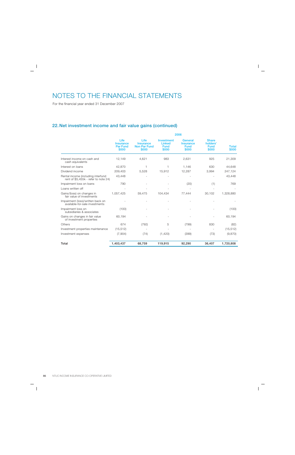For the financial year ended 31 December 2007

## **22.Net investment income and fair value gains (continued)**

|                                                                            |                                                      | 2006                                                     |                                                            |                                                     |                                                  |                       |  |  |
|----------------------------------------------------------------------------|------------------------------------------------------|----------------------------------------------------------|------------------------------------------------------------|-----------------------------------------------------|--------------------------------------------------|-----------------------|--|--|
|                                                                            | Life<br><b>Insurance</b><br><b>Par Fund</b><br>\$000 | Life<br><b>Insurance</b><br><b>Non Par Fund</b><br>\$000 | <b>Investment</b><br><b>Linked</b><br><b>Fund</b><br>\$000 | General<br><b>Insurance</b><br><b>Fund</b><br>\$000 | <b>Share</b><br>holders'<br><b>Fund</b><br>\$000 | <b>Total</b><br>\$000 |  |  |
| Interest income on cash and<br>cash equivalents                            | 12,149                                               | 4,621                                                    | 983                                                        | 2,631                                               | 925                                              | 21,309                |  |  |
| Interest on loans                                                          | 42,870                                               | 1                                                        |                                                            | 1,146                                               | 630                                              | 44,648                |  |  |
| Dividend income                                                            | 209,403                                              | 5,528                                                    | 15,912                                                     | 12,287                                              | 3,994                                            | 247,124               |  |  |
| Rental income (including interfund<br>rent of \$5,455k - refer to note 24) | 43,448                                               |                                                          |                                                            |                                                     |                                                  | 43,448                |  |  |
| Impairment loss on loans                                                   | 790                                                  |                                                          |                                                            | (20)                                                | (1)                                              | 769                   |  |  |
| Loans written off                                                          |                                                      |                                                          |                                                            |                                                     |                                                  |                       |  |  |
| Gains/(loss) on changes in<br>fair value of investments                    | 1,057,425                                            | 59,475                                                   | 104,434                                                    | 77.444                                              | 30,102                                           | 1,328,880             |  |  |
| Impairment (loss)/written back on<br>available-for-sale investments        |                                                      |                                                          |                                                            |                                                     |                                                  |                       |  |  |
| Impairment loss on<br>subsidiaries & associates                            | (100)                                                |                                                          |                                                            |                                                     |                                                  | (100)                 |  |  |
| Gains on changes in fair value<br>of investment properties                 | 60,194                                               |                                                          |                                                            |                                                     |                                                  | 60,194                |  |  |
| Others                                                                     | 674                                                  | (792)                                                    | 5                                                          | (799)                                               | 830                                              | (82)                  |  |  |
| Investment properties maintenance                                          | (15, 512)                                            |                                                          |                                                            |                                                     |                                                  | (15, 512)             |  |  |
| Investment expenses                                                        | (7,904)                                              | (74)                                                     | (1,420)                                                    | (399)                                               | (73)                                             | (9,870)               |  |  |
| Total                                                                      | 1,403,437                                            | 68,759                                                   | 119,915                                                    | 92,290                                              | 36.407                                           | 1,720,808             |  |  |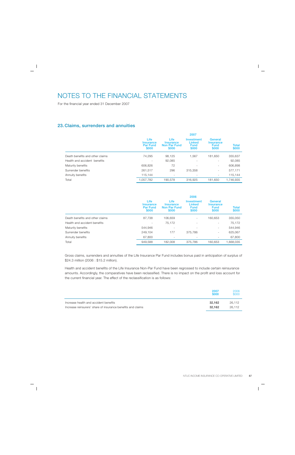For the financial year ended 31 December 2007

### **23.Claims, surrenders and annuities**

|                                 | 2007                                          |                                            |                                                     |                                              |                |  |
|---------------------------------|-----------------------------------------------|--------------------------------------------|-----------------------------------------------------|----------------------------------------------|----------------|--|
|                                 | Life<br>Insurance<br><b>Par Fund</b><br>\$000 | Life<br>Insurance<br>Non Par Fund<br>\$000 | Investment<br><b>Linked</b><br><b>Fund</b><br>\$000 | General<br>Insurance<br><b>Fund</b><br>\$000 | Total<br>\$000 |  |
| Death benefits and other claims | 74.295                                        | 98,125                                     | 1.567                                               | 181,650                                      | 355,637        |  |
| Health and accident benefits    | ۰                                             | 92,085                                     | $\overline{\phantom{a}}$                            | $\overline{\phantom{a}}$                     | 92,085         |  |
| Maturity benefits               | 606,826                                       | 72                                         | $\overline{\phantom{a}}$                            | $\sim$                                       | 606,898        |  |
| Surrender benefits              | 261,517                                       | 296                                        | 315,358                                             | $\sim$                                       | 577,171        |  |
| Annuity benefits                | 115,144                                       | $\overline{\phantom{a}}$                   |                                                     | $\overline{\phantom{a}}$                     | 115,144        |  |
| Total                           | 1,057,782                                     | 190,578                                    | 316.925                                             | 181.650                                      | 1,746,935      |  |

|                                 | 2006                                          |                                                          |                                                     |                                              |                |  |
|---------------------------------|-----------------------------------------------|----------------------------------------------------------|-----------------------------------------------------|----------------------------------------------|----------------|--|
|                                 | Life<br>Insurance<br><b>Par Fund</b><br>\$000 | <b>Life</b><br>Insurance<br><b>Non Par Fund</b><br>\$000 | Investment<br><b>Linked</b><br><b>Fund</b><br>\$000 | General<br>Insurance<br><b>Fund</b><br>\$000 | Total<br>\$000 |  |
| Death benefits and other claims | 87.738                                        | 106,659                                                  | $\qquad \qquad$                                     | 160.653                                      | 355,050        |  |
| Health and accident benefits    |                                               | 75.172                                                   | $\overline{\phantom{a}}$                            | $\overline{\phantom{a}}$                     | 75,172         |  |
| Maturity benefits               | 544.946                                       | $\overline{\phantom{a}}$                                 | $\overline{\phantom{a}}$                            | $\overline{\phantom{a}}$                     | 544,946        |  |
| Surrender benefits              | 249,104                                       | 177                                                      | 375.786                                             | ٠                                            | 625,067        |  |
| Annuity benefits                | 67,800                                        | $\overline{\phantom{a}}$                                 | $\sim$                                              | ٠                                            | 67,800         |  |
| Total                           | 949,588                                       | 182,008                                                  | 375,786                                             | 160,653                                      | 1,668,035      |  |

Gross claims, surrenders and annuities of the Life Insurance Par Fund includes bonus paid in anticipation of surplus of \$24.3 million (2006 : \$15.2 million).

Health and accident benefits of the Life Insurance Non-Par Fund have been regrossed to include certain reinsurance amounts. Accordingly, the comparatives have been reclassified. There is no impact on the profit and loss account for the current financial year. The effect of the reclassification is as follows:

|                                                             | 2007<br>\$000 | 2006<br>\$000 |
|-------------------------------------------------------------|---------------|---------------|
| Increase health and accident benefits                       | 32.162        | 26.112        |
| Increase reinsurers' share of insurance benefits and claims | 32.162        | 26.112        |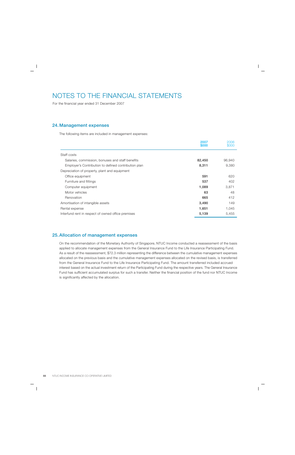For the financial year ended 31 December 2007

#### **24.Management expenses**

The following items are included in management expenses:

|                                                      | 2007<br><b>SOOO</b> | 2006<br>\$000 |
|------------------------------------------------------|---------------------|---------------|
| Staff costs                                          |                     |               |
| Salaries, commission, bonuses and staff benefits     | 82,450              | 96,940        |
| Employer's Contribution to defined contribution plan | 8,311               | 9,380         |
| Depreciation of property, plant and equipment        |                     |               |
| Office equipment                                     | 591                 | 620           |
| Furniture and fittings                               | 537                 | 402           |
| Computer equipment                                   | 1,089               | 3,871         |
| Motor vehicles                                       | 63                  | 48            |
| Renovation                                           | 665                 | 412           |
| Amortisation of intangible assets                    | 3,490               | 149           |
| Rental expense                                       | 1,651               | 1.045         |
| Interfund rent in respect of owned office premises   | 5,139               | 5,455         |

#### **25.Allocation of management expenses**

On the recommendation of the Monetary Authority of Singapore, NTUC Income conducted a reassessment of the basis applied to allocate management expenses from the General Insurance Fund to the Life Insurance Participating Fund. As a result of the reassessment, \$72.3 million representing the difference between the cumulative management expenses allocated on the previous basis and the cumulative management expenses allocated on the revised basis, is transferred from the General Insurance Fund to the Life Insurance Participating Fund. The amount transferred included accrued interest based on the actual investment return of the Participating Fund during the respective years. The General Insurance Fund has sufficient accumulated surplus for such a transfer. Neither the financial position of the fund nor NTUC Income is significantly affected by the allocation.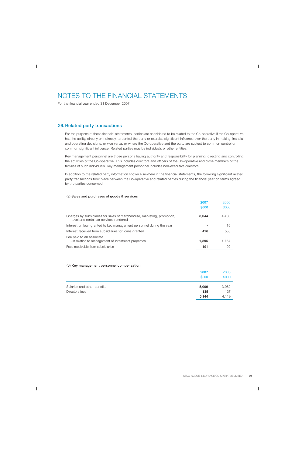For the financial year ended 31 December 2007

### **26.Related party transactions**

For the purpose of these financial statements, parties are considered to be related to the Co-operative if the Co-operative has the ability, directly or indirectly, to control the party or exercise significant influence over the party in making financial and operating decisions, or vice versa, or where the Co-operative and the party are subject to common control or common significant influence. Related parties may be individuals or other entities.

Key management personnel are those persons having authority and responsibility for planning, directing and controlling the activities of the Co-operative. This includes directors and officers of the Co-operative and close members of the families of such individuals. Key management personnel includes non-executive directors.

In addition to the related party information shown elsewhere in the financial statements, the following significant related party transactions took place between the Co-operative and related parties during the financial year on terms agreed by the parties concerned:

#### **(a) Sales and purchases of goods & services**

|                                                                                                                    | 2007  | 2006  |
|--------------------------------------------------------------------------------------------------------------------|-------|-------|
|                                                                                                                    | \$000 | \$000 |
| Charges by subsidiaries for sales of merchandise, marketing, promotion,<br>travel and rental car services rendered | 8.044 | 4.463 |
| Interest on loan granted to key management personnel during the year                                               |       | 15    |
| Interest received from subsidiaries for loans granted                                                              | 416   | 555   |
| Fee paid to an associate<br>- in relation to management of investment properties                                   | 1.395 | 1.764 |
| Fees receivable from subsidiaries                                                                                  | 191   | 192   |

#### **(b) Key management personnel compensation**

|                             | 2007  | 2006  |
|-----------------------------|-------|-------|
|                             | \$000 | \$000 |
| Salaries and other benefits | 5,009 | 3,982 |
| Directors fees              | 135   | 137   |
|                             | 5,144 | 4,119 |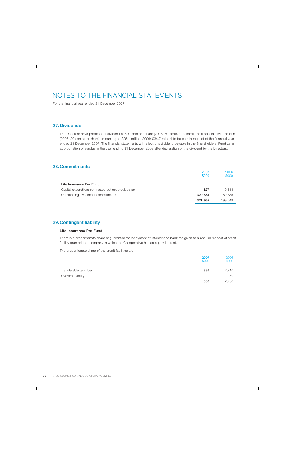For the financial year ended 31 December 2007

#### **27.Dividends**

The Directors have proposed a dividend of 60 cents per share (2006: 60 cents per share) and a special dividend of nil (2006: 20 cents per share) amounting to \$26.1 million (2006: \$34.7 million) to be paid in respect of the financial year ended 31 December 2007. The financial statements will reflect this dividend payable in the Shareholders' Fund as an appropriation of surplus in the year ending 31 December 2008 after declaration of the dividend by the Directors.

### **28.Commitments**

|                                                     | 2007<br>\$000 | 2006<br>\$000 |
|-----------------------------------------------------|---------------|---------------|
| Life Insurance Par Fund                             |               |               |
| Capital expenditure contracted but not provided for | 527           | 9.814         |
| Outstanding investment commitments                  | 320,838       | 189,735       |
|                                                     | 321,365       | 199.549       |

### **29.Contingent liability**

#### **Life Insurance Par Fund**

There is a proportionate share of guarantee for repayment of interest and bank fee given to a bank in respect of credit facility granted to a company in which the Co-operative has an equity interest.

The proportionate share of the credit facilities are:

|                        | 2007<br>\$000 | 2006<br>\$000 |
|------------------------|---------------|---------------|
| Transferable term loan | 386           | 2,710         |
| Overdraft facility     |               | 50            |
|                        | 386           | 2,760         |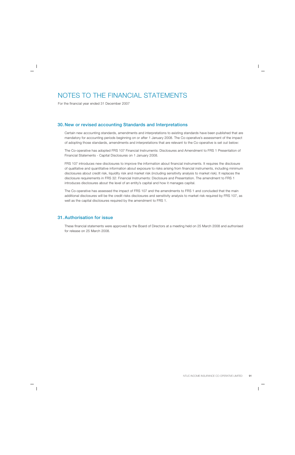For the financial year ended 31 December 2007

### **30.New or revised accounting Standards and Interpretations**

Certain new accounting standards, amendments and interpretations to existing standards have been published that are mandatory for accounting periods beginning on or after 1 January 2008. The Co-operative's assessment of the impact of adopting those standards, amendments and interpretations that are relevant to the Co-operative is set out below:

The Co-operative has adopted FRS 107 Financial Instruments: Disclosures and Amendment to FRS 1 Presentation of Financial Statements - Capital Disclosures on 1 January 2008.

FRS 107 introduces new disclosures to improve the information about financial instruments. It requires the disclosure of qualitative and quantitative information about exposure to risks arising from financial instruments, including minimum disclosures about credit risk, liquidity risk and market risk (including sensitivity analysis to market risk). It replaces the disclosure requirements in FRS 32: Financial Instruments: Disclosure and Presentation. The amendment to FRS 1 introduces disclosures about the level of an entity's capital and how it manages capital.

The Co-operative has assessed the impact of FRS 107 and the amendments to FRS 1 and concluded that the main additional disclosures will be the credit risks disclosures and sensitivity analysis to market risk required by FRS 107, as well as the capital disclosures required by the amendment to FRS 1.

#### **31.Authorisation for issue**

These financial statements were approved by the Board of Directors at a meeting held on 25 March 2008 and authorised for release on 25 March 2008.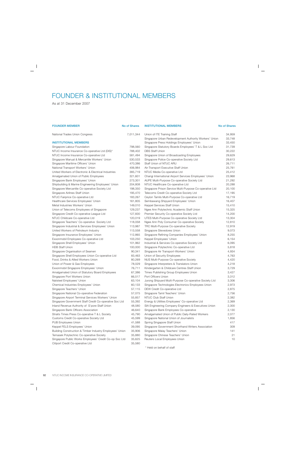# FOUNDER & INSTITUTIONAL MEMBERS

As at 31 December 2007

| <b>FOUNDER MEMBER</b>                                    | <b>No of Shares</b> | <b>INSTITUTIONAL MEMBERS</b>                            | <b>No of Shares</b> |
|----------------------------------------------------------|---------------------|---------------------------------------------------------|---------------------|
| National Trades Union Congress                           | 7,011,344           | Union of ITE Training Staff                             | 34,959              |
|                                                          |                     | Singapore Urban Redevelopment Authority Workers' Union  | 33,748              |
| <b>INSTITUTIONAL MEMBERS</b>                             |                     | Singapore Press Holdings Employees' Union               | 33,450              |
| Singapore Labour Foundation                              | 798,560             | Singapore Statutory Boards Employees' T & L Soc Ltd     | 31,739              |
| NTUC Income Insurance Co-operative Ltd (DIS)*            | 788,402             | <b>DBS Staff Union</b>                                  | 30,222              |
| NTUC Income Insurance Co-operative Ltd                   | 581,494             | Singapore Union of Broadcasting Employees               | 29,629              |
| Singapore Manual & Mercantile Workers' Union             | 530,533             | Singapore Police Co-operative Society Ltd               | 29,613              |
| Singapore Maritime Officers' Union                       | 470,386             | Staff Union of NTUC ARU                                 | 26,711              |
| National Transport Workers' Union                        | 406,984             | Air-Transport Executive Staff Union                     | 25,761              |
| United Workers of Electronic & Electrical Industries     | 385,719             | NTUC Media Co-operative Ltd                             | 25,412              |
| Amalgamated Union of Public Employees                    | 321,601             | Changi International Airport Services Employees' Union  | 23,968              |
| Singapore Bank Employees' Union                          | 273,301             | AUPE Multi-Purpose Co-operative Society Ltd             | 21,292              |
| Shipbuilding & Marine Engineering Employees' Union       | 204,808             | NTUC Healthcare Co-operative Ltd                        | 20,288              |
| Singapore Mercantile Co-operative Society Ltd            | 198,350             | Singapore Prison Service Multi-Purpose Co-operative Ltd | 20,100              |
| Singapore Airlines Staff Union                           | 195,470             | Telecoms Credit Co-operative Society Ltd                | 17,195              |
| NTUC Fairprice Co-operative Ltd                          | 183,267             | Ceylon Tamils Multi-Purpose Co-operative Ltd            | 16,719              |
| Healthcare Services Employees' Union                     | 161,805             | Sembawang Shipyard Employees' Union                     | 16,407              |
| Metal Industries Workers' Union                          | 149,010             | Keppel Services Staff Union                             | 15,410              |
| Union of Telecoms Employees of Singapore                 | 129,237             | Ngee Ann Polytechnic Academic Staff Union               | 15,325              |
| Singapore Credit Co-operative League Ltd                 | 127,830             | Premier Security Co-operative Society Ltd               | 14,200              |
| NTUC Childcare Co-operative Ltd                          | 120,019             | UTES Multi-Purpose Co-operative Society Ltd             | 13,304              |
| Singapore Teachers' Co-operative Society Ltd             | 118,058             | Ngee Ann Poly Consumer Co-operative Society             | 12,810              |
| Singapore Industrial & Services Employees' Union         | 113,987             | TRC Multi-Purpose Co-operative Society                  | 12,919              |
| United Workers of Petroleum Industry                     | 113,558             | Singapore Stevedores Union                              | 9,073               |
| Singapore Insurance Employees' Union                     | 112,865             | Singapore Refining Companies Employees' Union           | 8,255               |
| Exxonmobil Employees Co-operative Ltd                    | 103,250             | Keppel Employees' Union                                 | 6,154               |
| Singapore Shell Employees' Union                         | 101,962             | Industrial & Services Co-operative Society Ltd          | 6,095               |
| <b>HDB Staff Union</b>                                   | 100,000             | Singapore Polytechnic Co-operative Ltd                  | 5,818               |
| Singapore Organisation of Seamen                         | 90,341              | Singapore Air Transport-Workers' Union                  | 4,934               |
| Singapore Shell Employees Union Co-operative Ltd         | 83,463              | Union of Security Employees                             | 4,763               |
| Food, Drinks & Allied Workers Union                      | 80,269              | NUS Multi-Purpose Co-operative Society                  | 4,420               |
| Union of Power & Gas Employees                           | 78,029              | Singapore Interpreters & Translators Union              | 4,218               |
| Exxonmobil Singapore Employees' Union                    | 76,711              | Kindergarten & Childcare Centres Staff Union            | 3,729               |
| Amalgamated Union of Statutory Board Employees           | 67,386              | Times Publishing Group Employees Union                  | 3,427               |
| Singapore Port Workers Union                             | 66,517              | Port Officers Union                                     | 3,312               |
| Natsteel Employees' Union                                | 63,104              | Jurong Shipyard Multi-Purpose Co-operative Society Ltd  | 3,306               |
| Chemical Industries Employees' Union                     | 60,133              | Singapore Technologies Electronics Employees Union      | 2,973               |
| Singapore Teachers' Union                                | 57,115              | DEW Credit Co-operative Ltd                             | 2,875               |
| Singapore National Co-operative Federation               | 57,075              | Singapore Tamil Teachers' Union                         | 2,756               |
| Singapore Airport Terminal Services Workers' Union       | 55,857              | NTUC Club Staff Union                                   | 2,382               |
| Singapore Government Staff Credit Co-operative Soc Ltd   | 55,392              | Energy & Utilities Employees' Co-operative Ltd          | 2,369               |
| Inland Revenue Authority of S'pore Staff Union           | 48,580              | SIA Engineering Company Engineers & Executives Union    | 2,300               |
| Singapore Bank Officers Association                      | 46,640              | Singapore Bank Employees Co-operative                   | 2,130               |
| Straits Times Press Co-operative T & L Society           | 45,790              | Amalgamated Union of Public Daily-Rated Workers         | 2,077               |
| Customs Credit Co-operative Society Ltd                  | 45,599              | Singapore National Union of Journalists                 | 1,856               |
| <b>PUB Employees Union</b>                               | 41,588              | Spring Singapore Staff Union                            | 417                 |
| Keppel FELS Employees' Union                             | 39,095              | Singapore Government Shorthand Writers Association      | 309                 |
| Building Construction & Timber Industry Employees' Union | 35,906              | Singapore Malay Teachers' Union                         | 141                 |
| Temasek Polytechnic Co-operative Society                 | 35,880              | Singapore Chinese Teachers' Union                       | 21                  |
| Singapore Public Works Employees' Credit Co-op Soc Ltd   | 35,625              | Reuters Local Employees Union                           | 10                  |
| Citiport Credit Co-operative Ltd                         | 35,580              |                                                         |                     |

\* Held on behalf of staff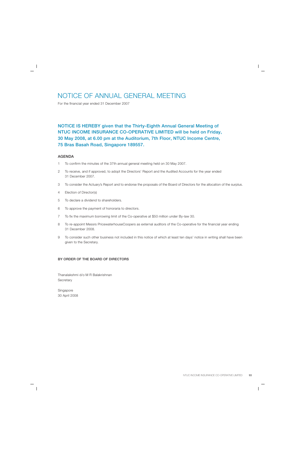## NOTICE OF ANNUAL GENERAL MEETING

For the financial year ended 31 December 2007

## **NOTICE IS HEREBY given that the Thirty-Eighth Annual General Meeting of NTUC INCOME INSURANCE CO-OPERATIVE LIMITED will be held on Friday, 30 May 2008, at 6.00 pm at the Auditorium, 7th Floor, NTUC Income Centre, 75 Bras Basah Road, Singapore 189557.**

#### **AGENDA**

- 1 To confirm the minutes of the 37th annual general meeting held on 30 May 2007.
- 2 To receive, and if approved, to adopt the Directors' Report and the Audited Accounts for the year ended 31 December 2007.
- 3 To consider the Actuary's Report and to endorse the proposals of the Board of Directors for the allocation of the surplus.
- 4 Election of Director(s)
- 5 To declare a dividend to shareholders.
- 6 To approve the payment of honoraria to directors.
- 7 To fix the maximum borrowing limit of the Co-operative at \$50 million under By-law 30.
- 8 To re-appoint Messrs PricewaterhouseCoopers as external auditors of the Co-operative for the financial year ending 31 December 2008.
- 9 To consider such other business not included in this notice of which at least ten days' notice in writing shall have been given to the Secretary.

#### **BY ORDER OF THE BOARD OF DIRECTORS**

Thanalakshmi d/o M R Balakrishnan **Secretary** 

Singapore 30 April 2008